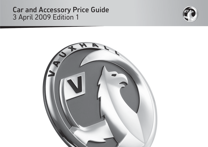## Car and Accessory Price Guide 3 April 2009 Edition 1



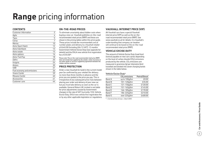# **Range** pricing information

#### **CONTENTS**

| Customer information       | 2  |
|----------------------------|----|
| Agila                      | 4  |
| Tigra                      | 5  |
| Corsa                      | 7  |
| Meriva                     | 10 |
| Astra Sport Hatch          | 12 |
| Astra hatchback            | 13 |
| Astra estate               | 15 |
| Astra options              | 16 |
| Astra TwinTop              | 18 |
| Zafira                     | 20 |
| Insignia                   | 24 |
| Antara                     | 30 |
| <b>VXR</b>                 | 31 |
| Fuel economy and emissions | 36 |
| Vivaro Combi               | 39 |
| Movano Combi               | 40 |
| Accessories                | 41 |
| Customer care              | 44 |
|                            |    |

#### **ON-THE-ROAD PRICES**

To eliminate uncertainty about hidden costs when buying a new car, Vauxhall publishes on-the-road recommended retail prices (RRP) and these are shown in the pricing tables within this price guide. These prices include the recommended cost of number plates and delivery to a Vauxhall retailer of £645.00 (including £84.13 VAT), 12 months' Government Vehicle Excise Duty (see opposite for details) and the DVLA new vehicle first registration fee of £55.00\*.

Please note: The on-the-road recommended retail price (RRP) does not include fuel supplied by the retailer, motor insurance or any other goods or services supplied by agreement between the retailer and the customer.

#### **PRICE PROTECTION**

Order a new Vauxhall for build in the current model year (as confirmed by your retailer) for delivery no more than three months in advance and the price you are quoted is the price you pay. This is irrespective of any subsequent price rises between placing your order and delivery of your new car, but you must take delivery as soon as the car is available. General Motors UK Limited is not liable for price adjustments caused by Government changes in the rate of VAT (currently 15%), Vehicle Excise Duty, DVLA new vehicle first registration fee or by any other applicable legislation or regulations.

#### **VAUXHALL INTERNET PRICE (VIP)**

All Vauxhall cars have a special Vauxhall internet price (VIP) as well as the on-theroad recommended retail price (RRP). See www.vauxhall.co.uk for details. It is Vauxhall's understanding that company car taxation will continue to be based on the on-the-road recommended retail price (RRP).

#### **VEHICLE EXCISE DUTY**

The amount of Vehicle Excise Duty (road fund licence) payable on new cars varies depending on the level of carbon dioxide  $(CO<sub>2</sub>)$  emissions produced by the vehicle.  $CO<sub>2</sub>$  emissions are measured in grammes (g) per kilometre (km) travelled and divided into seven charging bands shown in the table below.

#### Vehicle Excise Duty\*

|        | $CO2$ emissions | Petrol/Diesel |
|--------|-----------------|---------------|
| Band A | up to 100g/km   | £0.00         |
| Band B | 101-120g/km     | £35.00        |
| Band C | 121-150g/km     | £120.00       |
| Band D | 151-165g/km     | £145.00       |
| Band E | 166-185g/km     | £170.00       |
| Band F | 186-225g/km     | £210.00       |
| Band G | over 225g/km    | £400.00       |

\* = Correct at time of issue – 3 April 2009.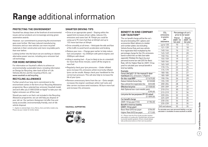# **Range** additional information

#### **PROTECTING THE ENVIRONMENT**

Vauxhall has always been at the forefront of environmental issues and our products are increasingly winning green automotive awards.

However, our commitment to preserving the environment goes even further. We have reduced manufacturing emissions and our new vehicles use more recycled materials in their construction and more recyclable parts than ever before.

Looking further into the future we are working on cleaner, alternative power sources, including zero-emission fuel cell technology.

#### **FOR MORE INFORMATION**

For information on Vauxhall's efforts to achieve an environmentally sustainable future, including information on Design for Recycling, take-back of End-of-Life Vehicles (ELVs), and the recycling of ELVs, see www.vauxhall.co.uk/recycling

#### **RECYCLING ALLOWANCE**

Further proof of our long-term commitment to the environment comes in the form of our Recycling Allowance programme. Buy a selected low-emission Vauxhall model and we'll offer you £1000 (£500 on Agila)† to take your old, higher emission car off the road.

Should you want a car that's not included in the Recycling Allowance programme, we can still help you dispose of your old car. Our partners Autogreen Ltd offer free and easily accessible, environmentally friendly, end-of-life vehicle disposal.

† = Applies to selected Agila, Corsa, Meriva, Astra and Zafira models only. Please see your retailer for further details.

#### **SMARTER DRIVING TIPS**

- Drive at an appropriate speed: Staying within the speed limit increases driver safety, reduces CO2 emissions and saves fuel. At 70mph you could be using up to 9% more fuel than at 60mph and up to 15% more fuel than at 50mph
- Drive smoothly at all times: Anticipate the ebb and flow of the traffic to avoid harsh acceleration and braking
- Reduce your revs: Change gear earlier to help reduce fuel consumption – try 2500rpm with petrol engines and 2000rpm with diesel
- Idling is wasting fuel: If you're likely to be at a standstill for more than three minutes, switch off the engine to save fuel
- Regularly check your tyre pressures: Under inflated tyres increase CO<sub>2</sub> emissions whilst incorrectly inflated tyres can be unsafe. Always check your handbook for the correct tyre pressure. This will also help to increase the life of your tyres
- Remove unnecessary items from the car: Extra weight increases the engine's workload, whilst roof racks and bike carriers increase wind resistance. All burn more fuel and increase  $CO<sub>2</sub>$  emissions

**VAUXHALL SUPPORTING**



#### **BENEFIT IN KIND COMPANYCAR TAXATION††**

| <b>BENEFIT IN KIND COMPANY</b><br><b>CAR TAXATION<sup>tt</sup></b>                                                             | CO <sub>2</sub><br>emissions                       | Percentage of car's<br>price to be taxed |                                      |  |  |  |
|--------------------------------------------------------------------------------------------------------------------------------|----------------------------------------------------|------------------------------------------|--------------------------------------|--|--|--|
| The car benefit charge will be the car's<br>list price (including VAT, options and<br>accessories fitted, delivery to retailer | in grams<br>per<br>kilometre                       | Petrol<br>2009-10<br>tax year            | <b>Diesel</b><br>2009-10<br>tax year |  |  |  |
| and number plates, but excluding                                                                                               | up to 120                                          | 10                                       | 13                                   |  |  |  |
| Vehicle Excise Duty and new vehicle                                                                                            | 121-139                                            | 15                                       | 18                                   |  |  |  |
| first registration fee) multiplied by the                                                                                      | $140 - 144$                                        | 16                                       | 19                                   |  |  |  |
| percentage charge for the CO <sub>2</sub> emissions                                                                            | 145-149                                            | 17                                       | 20                                   |  |  |  |
| band in which the car falls (see table                                                                                         | 150-154                                            | 18                                       | 21                                   |  |  |  |
| opposite). Multiply this figure by your                                                                                        | 155-159                                            | 19                                       | 22                                   |  |  |  |
| personal income tax rate (20% for Basic                                                                                        | 160-164                                            | 20                                       | 23                                   |  |  |  |
| Rate, 40% for Higher Rate for 2009-10 tax<br>year) to calculate your annual benefit in                                         | 165-169                                            | 21                                       | 24                                   |  |  |  |
| kind tax liability.                                                                                                            | 170-174                                            | 22                                       | 25                                   |  |  |  |
| Example:                                                                                                                       | 175-179                                            | 23                                       | 26                                   |  |  |  |
| Corsa Life (a/c) 1.2i 16y manual 5-door                                                                                        | 180-184                                            | 24                                       | 27                                   |  |  |  |
| hatchback (CO <sub>2</sub> emissions 139q/km)                                                                                  | 185-189                                            | 25                                       | 28                                   |  |  |  |
| On-the-road RRP<br>£11675.00                                                                                                   | 190-194                                            | 26                                       | 29                                   |  |  |  |
| (E120.00)<br>Deduct: Vehicle Excise Duty                                                                                       | 195-199                                            | 27                                       | 30                                   |  |  |  |
| (E55.00)<br>New vehicle first registration fee                                                                                 | 200-204                                            | 28                                       | 31                                   |  |  |  |
| <b>Effective list price</b><br>£11500.00                                                                                       | 205-209                                            | 29                                       | 32                                   |  |  |  |
| Add: Optional two-coat metallic paint                                                                                          | 210-214                                            | 30                                       | 33                                   |  |  |  |
| £395.00                                                                                                                        | 215-219                                            | 31                                       | 34                                   |  |  |  |
| List price for tax purposes (P11D value)<br>£11895.00                                                                          | 220-224                                            | 32                                       | 35                                   |  |  |  |
| Car benefit charge                                                                                                             | 225-229                                            | 33                                       | 35                                   |  |  |  |
| £1784.00                                                                                                                       | 230-234                                            | 34                                       | 35                                   |  |  |  |
| 2009-10 tax year (15%)<br>Benefit in kind tax liability                                                                        | 235-239                                            | 35                                       | 35                                   |  |  |  |
| (2009-10 tax year)                                                                                                             | 240 and above                                      | 35                                       | 35                                   |  |  |  |
| Basic Rate (20%) tax paver<br>£356.00                                                                                          | To calculate your own personal liability a car tax |                                          |                                      |  |  |  |

calculator is available at www.vauxhall.co.uk/bik

Higher Rate (40%) tax payer £713.00 †† = Please note this Price Guide provides taxation information as a guide only. Vauxhall does not purport to provide taxation guidance. Drivers should always take professional advice on their own tax position.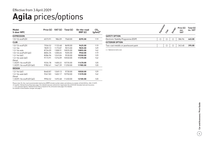### **Agila** prices/options Effective from 3 April 2009

| Model<br>5-door MPC       | Price $(E)$ | VAT (£) | Total $(E)$ | On-the-road<br>RRP(E) | CO <sub>2</sub><br>$(g/km)^*$ |
|---------------------------|-------------|---------|-------------|-----------------------|-------------------------------|
| <b>EXPRESSION</b>         |             |         |             |                       |                               |
| 1.0i 12y ecoFLEX          | 6573.91     | 986.09  | 7560.00     | 8295.00               | 119                           |
| <b>CLUB</b>               |             |         |             |                       |                               |
| 1.0i 12y ecoFLEX          | 7556.52     | 1133.48 | 8690.00     | 9425.00               | 119                           |
| 1.2i 16v                  | 7839.13     | 1175.87 | 9015.00     | 9835.00               | 129                           |
| 1.2i 16y auto             | 8726.09     | 1308.91 | 10035.00    | 10855.00              | 142                           |
| 1.0i $12v$ ecoFLEX (a/c)  | 8004.35     | 1200.65 | 9205.00     | 9940.00               | 119                           |
| 1.2i $16v$ (a/c)          | 8286.96     | 1243.04 | 9530.00     | 10350.00              | 129                           |
| 1.2i 16y auto $(a/c)$     | 9173.91     | 1376.09 | 10550.00    | 11370.00              | 142                           |
| Diesel                    |             |         |             |                       |                               |
| 1.3CDTi 16y ecoFLEX       | 9334.78     | 1400.22 | 10735.00    | 11470.00              | 120                           |
| 1.3CDTi 16y ecoFLEX (a/c) | 9782.61     | 1467.39 | 11250.00    | 11985.00              | 120                           |
| <b>DESIGN</b>             |             |         |             |                       |                               |
| 1.2i $16v$ (a/c)          | 8460.87     | 1269.13 | 9730.00     | 10550.00              | 129                           |
| 1.2i $16v$ auto $(a/c)$   | 9347.83     | 1402.17 | 10750.00    | 11570.00              | 142                           |
| Diesel                    |             |         |             |                       |                               |
| 1.3CDTi 16v ecoFLEX (a/c) | 9956.52     | 1493.48 | 11450.00    | 12185.00              | 120                           |

Please note: On-the-road recommended retail prices (RRP) include number plates and delivery to retailer of £645.00 (inc. £84.13 VAT), 12 months' Vehicle Excise Duty (see page 2 for details) and new vehicle first registration fee of £55.00. Excludes fuel and insurance.  $*$  = CO<sub>2</sub> emission figures. Vehicle Excise Duty is based on CO<sub>2</sub> emissions (see page 2 for details).

For benefit in kind taxation charges see page 3.

|                                        | <b>IDRessin</b> | Club | Design | Price $(E)$<br>exc.<br><b>VAT</b> | Total $(E)$<br>inc. VAT |
|----------------------------------------|-----------------|------|--------|-----------------------------------|-------------------------|
| <b>SAFETY OPTION</b>                   |                 |      |        |                                   |                         |
| Electronic Stability Programme (ESP)   | ( )             | ∩    |        | 386.96                            | 445.00                  |
| <b>EXTERIOR OPTION</b>                 |                 |      |        |                                   |                         |
| Two-coat metallic or pearlescent paint |                 | ∩    |        | 343.48                            | 395.00                  |

 $O =$  Optional at extra cost.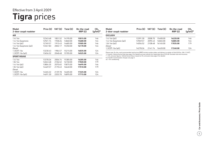## **Tigra** prices Effective from 3 April 2009

| Model<br>2-door coupé roadster | Price $(E)$ | VAT(E)  | Total $(E)$ | On-the-road<br>RRP(E) | CO <sub>2</sub><br>$(g/km)^*$ |
|--------------------------------|-------------|---------|-------------|-----------------------|-------------------------------|
| <b>AIR</b>                     |             |         |             |                       |                               |
| 1.4i 16y                       | 12343.48    | 1851.52 | 14195.00    | 15015.00              | 146                           |
| 1.4i 16v Easytronic            | 12921.74    | 1938.26 | 14860.00    | 15680.00              | 144                           |
| $1.4i$ 16y (a/c)               | 12769.57    | 1915.43 | 14685.00    | 15505.00              | 146                           |
| 1.4i 16v Easytronic (a/c)      | 13347.83    | 2002.17 | 15350.00    | 16170.00              | 144                           |
| Diesel                         |             |         |             |                       |                               |
| 1.3CDTi 16v                    | 13230.43    | 1984.57 | 15215.00    | 16035.00              | 124                           |
| $1.3$ CDTi $16v$ (a/c)         | 13656.52    | 2048.48 | 15705.00    | 16525.00              | 124                           |
| <b>SPORT ROUGE</b>             |             |         |             |                       |                               |
| 1.4i 16y                       | 13378.26    | 2006.74 | 15385.00    | 16205.00              | 146                           |
| 1.8i 16v                       | 14043.48    | 2106.52 | 16150.00    | 17020.00              | 179                           |
| $1.4i$ 16y (a/c)               | 13804.35    | 2070.65 | 15875.00    | 16695.00              | 146                           |
| 1.8i $16v$ (a/c)               | 14469.57    | 2170.43 | 16640.00    | 17510.00              | 179                           |
| Diesel                         |             |         |             |                       |                               |
| 1.3CDTi 16v                    | 14265.22    | 2139.78 | 16405.00    | 17225.00              | 124                           |
| $1.3$ CDTi $16v$ (a/c)         | 14691.30    | 2203.70 | 16895.00    | 17715.00              | 124                           |

| Model<br>2-door coupé roadster |          |         | Price $(E)$ VAT $(E)$ Total $(E)$ | On-the-road<br>RRP(E) | $CO2$<br>(g/km)* |
|--------------------------------|----------|---------|-----------------------------------|-----------------------|------------------|
| <b>EXCLUSIV</b>                |          |         |                                   |                       |                  |
| 1.4i $16v$ (a/c)               | 13391.30 | 2008 70 | 15400.00                          | 16220.00              | 146              |
| 1.4i 16y Easytronic (a/c)      | 13969.57 | 2095.43 | 16065.00                          | 16885.00              | 144              |
| $1.8i$ 16y (a/c)<br>Diesel     | 14056.52 | 2108.48 | 1616500                           | 17035.00              | 179              |
| $1.3$ CDTi $16v$ (a/c)         | 14278.26 | 214174  | 16420.00                          | 17240.00              | 124              |

Please note: On-the-road recommended retail prices (RRP) include number plates and delivery to retailer of £645.00 (inc. £84.13 VAT).<br>12 months' Vehicle Excise Duty (see page 2 for details) and new vehicle first registrati

For benefit in kind taxation charges see page 3.

a/c = Air conditioning.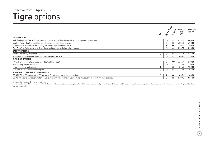## **Tigra** options Effective from 3 April 2009

|                                                                                                                        | $\div$    | Sport Rodes | Erclusiv                | Price $(E)$<br>exc.<br><b>VAT</b> | Total $(E)$<br>inc. VAT |
|------------------------------------------------------------------------------------------------------------------------|-----------|-------------|-------------------------|-----------------------------------|-------------------------|
| <b>OPTION PACKS</b>                                                                                                    |           |             |                         |                                   |                         |
| VXR Styling Pack One . Body-colour front lower spoiler/rear lower skirt/boot lip spoiler and side sills                | $\circ$   | O           | $\bigcirc$              | 695.65                            | 800.00                  |
| Leather Pack • Leather seat facings • Electrically heated sports seats                                                 |           | О           | $\bullet$               | 600.00                            | 690.00                  |
| Travel Pack • Windbreak • Retaining net for storage area behind seats                                                  | $\circ$   |             | $\bullet$               | 130.43                            | 150.00                  |
| <b>Plus Pack<sup>1</sup></b> • Cruise control • Driver information centre including trip computer                      |           | $\circ$     | $\bigcirc$              | 256.52                            | 295.00                  |
| <b>SAFETY OPTIONS</b>                                                                                                  |           |             |                         |                                   |                         |
| Electronic Stability Programme (ESP)                                                                                   | $\circ$   | О           | $\circ$                 | 386.96                            | 445.00                  |
| Automatic seat occupancy detection for passenger's airbags                                                             | O         |             |                         | 108.70                            | 125.00                  |
| <b>EXTERIOR OPTIONS</b>                                                                                                |           |             |                         |                                   |                         |
| 17-inch five-spoke alloy wheels with 205/45 R 17 tyres <sup>2</sup>                                                    |           | $\circ$     | $\bullet^3$             | 321.74                            | 370.00                  |
| Rear parking distance sensors                                                                                          | $\circ$   | $\circ$     | $\circ$                 | 321.74                            | 370.00                  |
| Targa roof bar in body colour                                                                                          | $\bullet$ |             | $\bigcirc$ <sup>4</sup> | 86.96                             | 100.00                  |
| Two-coat metallic or pearlescent paint                                                                                 | $\circ$   | Ω           | $\bigcirc$              | 343.48                            | 395.00                  |
| AUDIO AND COMMUNICATION OPTIONS                                                                                        |           |             |                         |                                   |                         |
| CD 30 MP3 . CD player with MP3 format . Stereo radio . Auxiliary-in socket                                             | $\circ$   |             |                         | 86.96                             | 100.00                  |
| CD 70 • Satellite navigation system • CD player with MP3 format • Stereo radio • Auxiliary-in socket • Graphic display |           | О           |                         | 830.43                            | 955.00                  |

 $\bigcirc$  = Optional at extra cost.  $\bullet$  = Standard equipment.

1 = Not available on 1.3CDTi 16v models. 2 = The steel spare wheel is replaced by an emergency tyre inflation kit to effect a temporary 'get you home' repair. 3 = Exclusiv models feature 17-inch five-spoke alloy wheels wit two-coat metallic paint.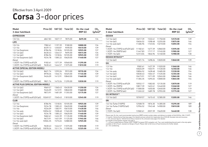#### Effective from 3 April 2009

## **Corsa** 3-door prices

| <b>Model</b>                               | Price (E) | VAT(E)  | Total $(E)$ | On-the-road | CO <sub>2</sub> |
|--------------------------------------------|-----------|---------|-------------|-------------|-----------------|
| <b>3-door hatchback</b>                    |           |         |             | RRP(E)      | $(g/km)^*$      |
| <b>EXPRESSION</b>                          |           |         |             |             |                 |
| 1.0i 12v                                   | 6847.83   | 1027.17 | 7875.00     | 8695.00     | 134             |
| LIFE                                       |           |         |             |             |                 |
| 1.0i 12v                                   | 7982.61   | 1197.39 | 9180.00     | 10000.00    | 134             |
| 1.2i 16v                                   | 8339.13   | 1250.87 | 9590.00     | 10410.00    | 139             |
| 1.2i 16v Easytronic                        | 8786.96   | 1318.04 | 10105.00    | 10925.00    | 137             |
| 1.0i $12v$ (a/c)                           | 8430.43   | 1264.57 | 9695.00     | 10515.00    | 134             |
| $1.2i$ 16 $v$ (a/c)                        | 8786.96   | 1318.04 | 10105.00    | 10925.00    | 139             |
| 1.2i 16v Easytronic (a/c)                  | 9234.78   | 1385.22 | 10620.00    | 11440.00    | 137             |
| Diesel                                     |           |         |             |             |                 |
| 1.3CDTi 16v (75PS) ecoFLEX                 | 9182.61   | 1377.39 | 10560.00    | 11295.00    | 119             |
| 1.3CDTi 16v (75PS) ecoFLEX (a/c)           | 9630.43   | 1444.57 | 11075.00    | 11810.00    | 119             |
| <b>ACTIVE (SPECIAL EDITION MODEL)</b>      |           |         |             |             |                 |
| 1.0i $12v$ (a/c)                           | 8621.74   | 1293.26 | 9915.00     | 10735.00    | 134             |
| 1.2i $16v$ (a/c)                           | 8978.26   | 1346.74 | 10325.00    | 11145.00    | 139             |
| 1.2i 16v Easytronic (a/c)                  | 9426.09   | 1413.91 | 10840.00    | 11660.00    | 137             |
| Diesel                                     |           |         |             |             |                 |
| 1.3CDTi 16v (75PS) ecoFLEX (a/c)           | 9821.74   | 1473.26 | 11295.00    | 12030.00    | 119             |
| <b>ACTIVE PLUS (SPECIAL EDITION MODEL)</b> |           |         |             |             |                 |
| 1.0i $12v$ (a/c)                           | 9069.57   | 1360.43 | 10430.00    | 11250.00    | 134             |
| $1.2i$ 16 $v$ (a/c)                        | 9426.09   | 1413.91 | 10840.00    | 11660.00    | 139             |
| 1.2i 16v Easytronic (a/c)                  | 9873.91   | 1481.09 | 11355.00    | 12175.00    | 137             |
| Diesel                                     |           |         |             |             |                 |
| 1.3CDTi 16v (75PS) ecoFLEX (a/c)           | 10269.57  | 1540.43 | 11810.00    | 12545.00    | 119             |
| <b>CLUB</b>                                |           |         |             |             |                 |
| 1.2i 16v                                   | 8786.96   | 1318.04 | 10105.00    | 10925.00    | 139             |
| 1.2i 16v Easytronic                        | 9234.78   | 1385.22 | 10620.00    | 11440.00    | 137             |
| 1.4i 16v                                   | 9226.09   | 1383.91 | 10610.00    | 11430.00    | 146             |
| 1.4i 16v auto                              | 10056.52  | 1508.48 | 11565.00    | 12410.00    | 154             |
| 1.2i $16v$ (a/c)                           | 9234.78   | 1385.22 | 10620.00    | 11440.00    | 139             |
| 1.2i 16v Easytronic (a/c)                  | 9682.61   | 1452.39 | 11135.00    | 11955.00    | 137             |
| 1.4i 16v (a/c)                             | 9673.91   | 1451.09 | 11125.00    | 11945.00    | 146             |
| 1.4i 16v auto (a/c)                        | 10504.35  | 1575.65 | 12080.00    | 12925.00    | 154             |
| Diesel                                     |           |         |             |             |                 |
| 1.3CDTi 16v (75PS) ecoFLEX                 | 9630.43   | 1444.57 | 11075.00    | 11810.00    | 119             |
| 1.3CDTi 16v (75PS) ecoFLEX (a/c)           | 10078.26  | 1511.74 | 11590.00    | 12325.00    | 119             |

| <b>Model</b>                     | Price $(E)$ | VAT (£) | Total $(E)$ | On-the-road | CO <sub>2</sub> |
|----------------------------------|-------------|---------|-------------|-------------|-----------------|
| 3-door hatchback                 |             |         |             | RRP(E)      | $(g/km)^*$      |
| <b>DESIGN</b>                    |             |         |             |             |                 |
| 1.2i $16v$ (a/c)                 | 10217.39    | 1532.61 | 11750.00    | 12570.00    | 139             |
| 1.4i $16v$ (a/c)                 | 10656.52    | 1598.48 | 12255.00    | 13075.00    | 146             |
| $1.4i$ 16v auto (a/c)            | 11486.96    | 1723.04 | 13210.00    | 14055.00    | 154             |
| Diesel                           |             |         |             |             |                 |
| 1.3CDTi 16v (75PS) ecoFLEX (a/c) | 11182.61    | 1677.39 | 12860.00    | 13595.00    | 119             |
| 1.3CDTi 16v (90PS) (a/c)         | 11447.83    | 1717.17 | 13165.00    | 13985.00    | 127             |
| 1.7CDTi 16y (a/c)                | 12313.04    | 1846.96 | 14160.00    | 14980.00    | 130             |
| <b>DESIGN INTOUCH**</b>          |             |         |             |             |                 |
| 1.2i 16v (a/c)                   | 11321.74    | 1698.26 | 13020.00    | 13840.00    | 139             |
| <b>SXi</b>                       |             |         |             |             |                 |
| 1.2i 16v                         | 9582.61     | 1437.39 | 11020.00    | 11840.00    | 146             |
| 1.4i 16v                         | 10026.09    | 1503.91 | 11530.00    | 12350.00    | 146             |
| 1.4i 16y auto                    | 10856.52    | 1628.48 | 12485.00    | 13330.00    | 154             |
| 1.2i $16v$ (a/c)                 | 10030.43    | 1504.57 | 11535.00    | 12355.00    | 146             |
| 1.4i 16v (a/c)                   | 10473.91    | 1571.09 | 12045.00    | 12865.00    | 146             |
| $1.4i$ 16v auto (a/c)            | 11304.35    | 1695.65 | 13000.00    | 13845.00    | 154             |
| Diesel                           |             |         |             |             |                 |
| 1.3CDTi 16v (75PS) ecoFLEX       | 10552.17    | 1582.83 | 12135.00    | 12870.00    | 119             |
| 1.3CDTi 16v (90PS)               | 10817.39    | 1622.61 | 12440.00    | 13260.00    | 127             |
| 1.3CDTi 16v (75PS) ecoFLEX (a/c) | 11000.00    | 1650.00 | 12650.00    | 13385.00    | 119             |
| 1.3CDTi 16y (90PS) (a/c)         | 11265.22    | 1689.78 | 12955.00    | 13775.00    | 127             |
| <b>SXi INTOUCH**</b>             |             |         |             |             |                 |
| 1.2i $16v$ (a/c)                 | 10769.57    | 1615.43 | 12385.00    | 13205.00    | 146             |
| <b>SRi</b>                       |             |         |             |             |                 |
| 1.6i 16y Turbo (150PS)           | 12508.70    | 1876.30 | 14385.00    | 15295.00    | 189             |
| 1.6i 16v Turbo (150PS) (a/c)     | 12956.52    | 1943.48 | 14900.00    | 15810.00    | 189             |
| Diesel                           |             |         |             |             |                 |
| 1.7CDTi 16y (a/c)                | 13582.61    | 2037.39 | 15620.00    | 16440.00    | 130             |

Please note: On-the-road recommended retail prices (RRP) include number plates and delivery to retailer of £645.00 (inc. £84.13 VAT), 12 months' Vehicle Excise Duty (see page 2 for details) and new vehicle first registration fee of £55.00. Excludes fuel and insurance.  $*$  = CO<sub>2</sub> emission figures. Vehicle Excise Duty is based on CO<sub>2</sub> emissions (see page 2 for details).

For benefit in kind taxation charges see page 3.

\*\* = inTouch model features Pioneer AVIC-F900BT European DVD navigation unit. Two-coat metallic/pearlescent paint is the only option available on SXi inTouch, standard on Design inTouch. Please refer to the Corsa inTouch brochure for further details. a/c = Air conditioning.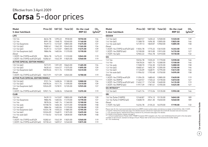### **Corsa** 5-door prices Effective from 3 April 2009

| <b>Model</b><br>5-door hatchback           |          | Price $(E)$ VAT $(E)$ | Total $(E)$      | On-the-road<br>RRP(E) | CO <sub>2</sub><br>$(g/km)^*$ | <b>Model</b><br>5-door hatchback                                                                                                                                                                                                                                    | Price $(E)$          | VAT (£) | Total $(E)$      | On-the-road<br>RRP(E) | CO <sub>2</sub><br>(g/km) |
|--------------------------------------------|----------|-----------------------|------------------|-----------------------|-------------------------------|---------------------------------------------------------------------------------------------------------------------------------------------------------------------------------------------------------------------------------------------------------------------|----------------------|---------|------------------|-----------------------|---------------------------|
| <b>LIFE</b>                                |          |                       |                  |                       |                               | <b>DESIGN</b>                                                                                                                                                                                                                                                       |                      |         |                  |                       |                           |
| 1.0i 12v                                   | 8634.78  | 1295.22               | 9930.00          | 10750.00              | 134                           | $1.2i$ 16 $v$ (a/c)                                                                                                                                                                                                                                                 | 10869.57             | 1630.43 | 12500.00         | 13320.00              | 139                       |
| 1.2i 16v                                   | 8991.30  | 1348.70               | 10340.00         | 11160.00              | 139                           | 1.4i $16v$ (a/c)                                                                                                                                                                                                                                                    | 11308.70             | 1696.30 | 13005.00         | 13825.00              | 146                       |
| 1.2i 16v Easytronic                        | 9439.13  | 1415.87               | 10855.00         | 11675.00              | 137                           | 1.4i 16 $v$ auto (a/c)                                                                                                                                                                                                                                              | 12139.13             | 1820.87 | 13960.00         | 14805.00              | 158                       |
| 1.0i 12v (a/c)                             | 9082.61  | 1362.39               | 10445.00         | 11265.00              | 134                           | Diesel                                                                                                                                                                                                                                                              |                      |         |                  |                       |                           |
| $1.2i$ 16y (a/c)                           | 9439.13  | 1415.87               | 10855.00         | 11675.00              | 139                           | 1.3CDTi 16v (75PS) ecoFLEX (a/c)                                                                                                                                                                                                                                    | 11834.78             | 1775.22 | 13610.00         | 14345.00              | 119                       |
| 1.2i 16v Easytronic (a/c)                  | 9886.96  | 1483.04               | 11370.00         | 12190.00              | 137                           | 1.3CDTi 16y (90PS) (a/c)                                                                                                                                                                                                                                            | 12100.00             | 1815.00 | 13915.00         | 14735.00              | 127                       |
| Diesel                                     |          |                       |                  |                       |                               | 1.7CDTi $16v$ (a/c)                                                                                                                                                                                                                                                 | 12965.22             |         | 1944.78 14910.00 | 15730.00              | 132                       |
| 1.3CDTi 16v (75PS) ecoFLEX                 | 9834.78  |                       | 1475.22 11310.00 | 12045.00              | 119                           | SXi                                                                                                                                                                                                                                                                 |                      |         |                  |                       |                           |
| 1.3CDTi 16v (75PS) ecoFLEX (a/c)           | 10282.61 |                       | 1542.39 11825.00 | 12560.00              | 119                           |                                                                                                                                                                                                                                                                     |                      |         |                  |                       |                           |
| <b>ACTIVE (SPECIAL EDITION MODEL)</b>      |          |                       |                  |                       |                               | 1.2i 16v<br>1.4i 16v                                                                                                                                                                                                                                                | 10234.78<br>10678.26 |         | 1535.22 11770.00 | 12590.00<br>13100.00  | 146                       |
|                                            |          |                       |                  |                       |                               |                                                                                                                                                                                                                                                                     |                      | 1601.74 | 12280.00         |                       | 146                       |
| 1.0i $12v$ (a/c)                           | 9273.91  | 1391.09               | 10665.00         | 11485.00              | 134                           | 1.4i 16v auto                                                                                                                                                                                                                                                       | 11508.70             | 1726.30 | 13235.00         | 14080.00              | 158                       |
| 1.2i $16v$ (a/c)                           | 9630.43  | 1444.57               | 11075.00         | 11895.00              | 139                           | 1.2i 16y (a/c)                                                                                                                                                                                                                                                      | 10682.61             | 1602.39 | 12285.00         | 13105.00              | 146                       |
| 1.2i 16v Easytronic (a/c)                  | 10078.26 | 1511.74               | 11590.00         | 12410.00              | 137                           | 1.4i 16y (a/c)                                                                                                                                                                                                                                                      | 11126.09             | 1668.91 | 12795.00         | 13615.00              | 146                       |
| Diesel                                     |          |                       |                  |                       |                               | 1.4i 16y auto $(a/c)$                                                                                                                                                                                                                                               | 11956.52             | 1793.48 | 13750.00         | 14595.00              | 158                       |
| 1.3CDTi 16v (75PS) ecoFLEX (a/c)           | 10473.91 | 1571.09               | 12045.00         | 12780.00              | 119                           | Diesel<br>1.3CDTi 16v (75PS) ecoFLEX                                                                                                                                                                                                                                | 11204.35             | 1680.65 | 12885.00         | 13620.00              | 119                       |
| <b>ACTIVE PLUS (SPECIAL EDITION MODEL)</b> |          |                       |                  |                       |                               | 1.3CDTi 16y (90PS)                                                                                                                                                                                                                                                  | 11469.57             | 1720.43 | 13190.00         | 14010.00              | 127                       |
| 1.0i $12v$ (a/c)                           | 9721.74  | 1458.26               | 11180.00         | 12000.00              | 134                           | 1.3CDTi 16v (75PS) ecoFLEX (a/c)                                                                                                                                                                                                                                    | 11652.17             | 1747.83 | 13400.00         | 14135.00              | 119                       |
| 1.2i $16v$ (a/c)                           | 10078.26 |                       | 1511.74 11590.00 | 12410.00              | 139                           | 1.3CDTi 16v (90PS) (a/c)                                                                                                                                                                                                                                            | 11917.39             | 1787.61 | 13705.00         | 14525.00              | 127                       |
| 1.2i 16v Easytronic (a/c)                  | 10526.09 | 1578.91               | 12105.00         | 12925.00              | 137                           |                                                                                                                                                                                                                                                                     |                      |         |                  |                       |                           |
| Diesel                                     |          |                       |                  |                       |                               | <b>SXi INTOUCH**</b>                                                                                                                                                                                                                                                |                      |         |                  |                       |                           |
| 1.3CDTi 16v (75PS) ecoFLEX (a/c)           | 10921.74 |                       | 1638.26 12560.00 | 13295.00              | 119                           | $1.2i$ 16 $v$ (a/c)                                                                                                                                                                                                                                                 | 11421.74             |         | 1713.26 13135.00 | 13955.00              | 146                       |
| <b>CLUB</b>                                |          |                       |                  |                       |                               | <b>SRi</b>                                                                                                                                                                                                                                                          |                      |         |                  |                       |                           |
| 1.2i 16v                                   | 9439.13  | 1415.87               | 10855.00         | 11675.00              | 139                           | 1.6i 16y Turbo (150PS)                                                                                                                                                                                                                                              | 13160.87             |         | 1974.13 15135.00 | 16045.00              | 189                       |
| 1.2i 16v Easytronic                        | 9886.96  |                       | 1483.04 11370.00 | 12190.00              | 137                           | 1.6i 16y Turbo (150PS) (a/c)                                                                                                                                                                                                                                        | 13608.70             | 2041.30 | 15650.00         | 16560.00              | 189                       |
| 1.4i 16y                                   | 9878.26  |                       | 1481.74 11360.00 | 12180.00              | 146                           | Diesel                                                                                                                                                                                                                                                              |                      |         |                  |                       |                           |
| 1.4i 16y auto                              | 10708.70 | 1606.30               | 12315.00         | 13160.00              | 158                           | $1.7$ CDTi $16v$ (a/c)                                                                                                                                                                                                                                              | 14234.78             |         | 2135.22 16370.00 | 17190.00              | 132                       |
| 1.2i $16v$ (a/c)                           | 9886.96  | 1483.04               | 11370.00         | 12190.00              | 139                           |                                                                                                                                                                                                                                                                     |                      |         |                  |                       |                           |
| 1.2i 16v Easytronic (a/c)                  | 10334.78 |                       | 1550.22 11885.00 | 12705.00              | 137                           | Please note: On-the-road recommended retail prices (RRP) include number plates and delivery to retailer of £645.00 (inc. £84.13 VAT),                                                                                                                               |                      |         |                  |                       |                           |
| 1.4i $16v$ (a/c)                           | 10326.09 | 1548.91               | 11875.00         | 12695.00              | 146                           | 12 months' Vehicle Excise Duty (see page 2 for details) and new vehicle first registration fee of £55.00. Excludes fuel and insurance.<br>* = CO <sub>3</sub> emission figures. Vehicle Excise Duty is based on CO <sub>3</sub> emissions (see page 2 for details). |                      |         |                  |                       |                           |
| 1.4i 16 $v$ auto (a/c)                     | 11156.52 | 1673.48               | 12830.00         | 13675.00              | 158                           | For benefit in kind taxation charges see page 3.                                                                                                                                                                                                                    |                      |         |                  |                       |                           |
| Diesel                                     |          |                       |                  |                       |                               | ** = inTouch model features Pioneer AVIC-F900BT European DVD navigation unit. Two-coat metallic/pearlescent paint is the only option<br>available on SXi inTouch, standard on Design inTouch. Please refer to the Corsa inTouch brochure for further details.       |                      |         |                  |                       |                           |
| 1.3CDTi 16v (75PS) ecoFLEX                 | 10282.61 | 1542.39               | 11825.00         | 12560.00              | 119                           | $a/c = Air$ conditioning.                                                                                                                                                                                                                                           |                      |         |                  |                       |                           |
| 1.3CDTi 16v (75PS) ecoFLEX (a/c)           | 10730.43 |                       | 1609.57 12340.00 | 13075.00              | 119                           |                                                                                                                                                                                                                                                                     |                      |         |                  |                       |                           |

 $(a/km)^*$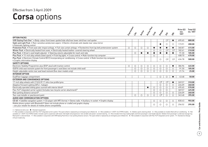### **Corsa** options Effective from 3 April 2009

|                                                                                                                                                                         | Expression | $\ddot{\mathcal{S}}$ | <b>Active</b> | Active Rouse | Class      | Design                  | ぶ                                | $\dot{\mathcal{S}}$     | Price $(E)$<br>exc.<br><b>VAT</b> | Total $(E)$<br>inc. VAT |
|-------------------------------------------------------------------------------------------------------------------------------------------------------------------------|------------|----------------------|---------------|--------------|------------|-------------------------|----------------------------------|-------------------------|-----------------------------------|-------------------------|
| <b>OPTION PACKS</b>                                                                                                                                                     |            |                      |               |              |            |                         |                                  |                         |                                   |                         |
| VXR Styling Pack One <sup>1</sup> • Body-colour front lower spoiler/side sills/rear lower skirt/rear roof spoiler                                                       |            |                      |               |              |            |                         | $\mathcal{O}^2$                  | $\bullet$               | 695.65                            | 800.00                  |
| Sight and Light Pack . Rain-sensitive windscreen wipers . Electro-chromatic anti-dazzle rear-view mirror<br>• Automatic lighting control                                |            |                      |               |              |            | ●                       | $\circ$                          | $\circ$                 | 173.91                            | 200.00                  |
| Protection Pack • Front seat side-impact airbags • Full-size curtain airbags • Pyrotechnic front lap belt pretensioner system                                           | $\circ$    | О                    | $\circ$       | O            | $\bullet$  | $\bullet$               | $\bullet$                        | $\bullet$               | 360.87                            | 415.00                  |
| Winter Pack . Electrically heated front seats . Electrically heated leather-covered steering wheel                                                                      |            |                      |               |              | ◯          | O                       | $\bigcirc$ <sup>3</sup>          | $\bigcirc$ <sup>3</sup> | 182.61                            | 210.00                  |
| Plus Pack . Driver's seat height adjuster . Steering column adjustable for reach and rake                                                                               |            | $\bigcirc$           | $\bullet$     |              | $\bullet$  | $\bullet$               |                                  | $\bullet$               | 91.30                             | 105.00                  |
| Plus Pack . 15-inch alloy wheels (steel spare) . Front fog lights . Cruise control . Multi-function trip computer                                                       |            |                      |               |              | $\bigcirc$ |                         |                                  |                         | 408.70                            | 470.00                  |
| Plus Pack • Electronic Climate Control (ECC) incorporating air conditioning • Cruise control • Multi-function trip computer<br>• Graphic information display            |            |                      |               |              |            | О                       | $\circlearrowright$ <sup>4</sup> | $\bigcirc$ <sup>4</sup> | 434.78                            | 500.00                  |
| <b>SAFETY OPTIONS</b>                                                                                                                                                   |            |                      |               |              |            |                         |                                  |                         |                                   |                         |
| Electronic Stability Programme-plus (ESP-plus) with traction control                                                                                                    | $\circ$    | О                    | $\circ$       | О            | $\circ$    | $\circ$                 | $\circ$                          | $\bullet$               | 386.96                            | 445.00                  |
| ISOFIX child seat restraint system for front passenger's seat (does not include child seat)                                                                             |            | O                    | $\circ$       | O            | $\circ$    | $\circ$                 | $\circ$                          | $\circ$                 | 91.30                             | 105.00                  |
| Height-adjustable centre rear seat head restraint (five-door models only)                                                                                               |            | $\bigcirc$           | $\bigcirc$    | $\bigcirc$   | $\circ$    | $\circ$                 | $\circ$                          | $\circ$                 | 21.74                             | 25.00                   |
| <b>INTERIOR OPTION</b>                                                                                                                                                  |            |                      |               |              |            |                         |                                  |                         |                                   |                         |
| DualFloor luggage compartment                                                                                                                                           |            |                      |               |              |            | О                       | O                                | $\bullet$               | 43.48                             | 50.00                   |
| <b>EXTERIOR AND CONVENIENCE OPTIONS</b>                                                                                                                                 |            |                      |               |              |            |                         |                                  |                         |                                   |                         |
| 17-inch alloy wheels with 215/45 R 17 ultra-low profile tyres                                                                                                           |            |                      |               |              |            | $\bigcirc$ <sup>5</sup> | $\bigcirc$ <sub>5</sub>          | $\bullet$               | 269.57                            | 310.00                  |
| Adaptive Forward Lighting (AFL) - halogen                                                                                                                               |            |                      |               |              |            | $\circ$                 | $\circ$                          | $\circ$                 | 226.09                            | 260.00                  |
| Electrically operated sliding glass sunroof with interior blind <sup>6</sup>                                                                                            |            |                      |               | ●            | $\circ$    | $\circ$                 | $\circ$                          | $\circ$                 | 495.65                            | 570.00                  |
| Flex-Fix® integrated carrier system (includes two-bicycle carrier attachment)7                                                                                          |            |                      |               |              | $\circ$    | $\circ$                 | $\circ$                          |                         | 369.57                            | 425.00                  |
| Rear parking distance sensors <sup>8</sup>                                                                                                                              |            |                      |               |              | $\circ$    | $\circ$                 | $\circ$                          | $\circ$                 | 226.09                            | 260.00                  |
| Two-coat metallic or pearlescent paint                                                                                                                                  |            | $\bigcirc$           | $\bigcirc$    | О            | $\circ$    | O <sup>9</sup>          | О                                | $\bigcirc$              | 343.48                            | 395.00                  |
| AUDIO AND COMMUNICATION OPTIONS                                                                                                                                         |            |                      |               |              |            |                         |                                  |                         |                                   |                         |
| CD 60 • Satellite navigation system • CD player with MP3 format • Stereo radio • Auxiliary-in socket • Graphic display                                                  |            |                      |               |              | $\circ$    | $\circ$                 | $\circ$                          | $\circ$                 | 830.43                            | 955.00                  |
| Mobile phone system with Bluetooth <sup>®</sup> (does not include phone or cradle) and graphic display<br>- see your retailer for details of mobile phone compatibility |            |                      |               |              | $\circ$    | О                       | О                                | $\circ$                 | 256.52                            | 295.00                  |

 $\bigcirc$  = Optional at extra cost.  $\bullet$  = Standard equipment.

1 = Not available in conjunction with Flex-Fix® integrated carrier system. The spare wheel is replaced by an emergency tyre inflation kit. 2 = Not available on 1.3CDTi 16v (75PS) models. 3 = Deletes sports steering wheel. available on 1.3CDTi 16v (75PS) models. Includes sports suspension with lower ride height and progressive-rate variable ratio power-assisted steering. 6 = Also includes front map reading lights and front passenger's seat h Roof panel is coloured black. 7 = Not available in conjunction with VXR Styling Pack One or rear parking distance sensors. The spare wheel is replaced by an emergency tyre inflation kit. 8 = Not available in conjunction wi inTouch model only.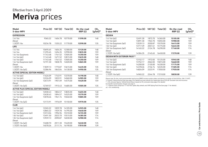### **Meriva** prices Effective from 3 April 2009

| <b>Model</b><br>5-door MPV                 | Price (£) | VAT $(f)$ | Total $(E)$ | On-the-road<br>RRP(E) | CO <sub>2</sub><br>$(g/km)^*$ |
|--------------------------------------------|-----------|-----------|-------------|-----------------------|-------------------------------|
| <b>EXPRESSION</b>                          |           |           |             |                       |                               |
| 1.4i 16v                                   | 9365.22   | 1404.78   | 10770.00    | 11590.00              | 148                           |
| <b>Diesel</b>                              |           |           |             |                       |                               |
| 1.3CDTi 16v                                | 10234.78  | 1535.22   | 11770.00    | 12590.00              | 135                           |
| LIFE                                       |           |           |             |                       |                               |
| 1.4i 16v                                   | 10695.65  | 1604.35   | 12300.00    | 13120.00              | 148                           |
| 1.6i 16v                                   | 11295.65  | 1694.35   | 12990.00    | 13835.00              | 159                           |
| 1.6i 16v Easytronic                        | 11743.48  | 1761.52   | 13505.00    | 14350.00              | 159                           |
| 1.4i 16v (a/c)                             | 11143.48  | 1671.52   | 12815.00    | 13635.00              | 148                           |
| 1.6i $16v$ (a/c)                           | 11743.48  | 1761.52   | 13505.00    | 14350.00              | 159                           |
| 1.6i 16v Easytronic (a/c)                  | 12191.30  | 1828.70   | 14020.00    | 14865.00              | 159                           |
| Diesel                                     |           |           |             |                       |                               |
| 1.3CDTi 16v                                | 11839.13  | 1775.87   | 13615.00    | 14435.00              | 135                           |
| 1.3CDTi 16v (a/c)                          | 12286.96  | 1843.04   | 14130.00    | 14950.00              | 135                           |
| <b>ACTIVE (SPECIAL EDITION MODEL)</b>      |           |           |             |                       |                               |
| 1.4i $16v$ (a/c)                           | 11626.09  | 1743.91   | 13370.00    | 14190.00              | 148                           |
| 1.6i $16v$ (a/c)                           | 12226.09  | 1833.91   | 14060.00    | 14905.00              | 159                           |
| 1.6i 16v Easytronic (a/c)                  | 12673.91  | 1901.09   | 14575.00    | 15420.00              | 159                           |
| Diesel                                     |           |           |             |                       |                               |
| $1.3$ CDTi $16v$ (a/c)                     | 12769.57  | 1915.43   | 14685.00    | 15505.00              | 135                           |
| <b>ACTIVE PLUS (SPECIAL EDITION MODEL)</b> |           |           |             |                       |                               |
| 1.4i 16v (a/c)                             | 12030.43  | 1804.57   | 13835.00    | 14655.00              | 148                           |
| 1.6i $16v$ (a/c)                           | 12630.43  | 1894.57   | 14525.00    | 15370.00              | 159                           |
| 1.6i 16v Easytronic (a/c)                  | 13078.26  | 1961.74   | 15040.00    | 15885.00              | 159                           |
| Diesel                                     |           |           |             |                       |                               |
| 1.3CDTi 16v (a/c)                          | 13173.91  | 1976.09   | 15150.00    | 15970.00              | 135                           |
| <b>CLUB</b>                                |           |           |             |                       |                               |
| 1.4i 16v (a/c)                             | 12265.22  | 1839.78   | 14105.00    | 14925.00              | 148                           |
| 1.6i $16v$ (a/c)                           | 12865.22  | 1929.78   | 14795.00    | 15640.00              | 159                           |
| 1.6i 16v Easytronic (a/c)                  | 13313.04  | 1996.96   | 15310.00    | 16155.00              | 159                           |
| 1.8i 16v (a/c)                             | 13491.30  | 2023.70   | 15515.00    | 16385.00              | 174                           |
| 1.8i 16v Easytronic (a/c)                  | 13939.13  | 2090.87   | 16030.00    | 16900.00              | 174                           |
| Diesel                                     |           |           |             |                       |                               |
| $1.3$ CDTi $16v$ (a/c)                     | 13408.70  | 2011.30   | 15420.00    | 16240.00              | 135                           |
| 1.7CDTi 16v (a/c)                          | 14078.26  | 2111.74   | 16190.00    | 17010.00              | 139                           |

| <b>Model</b><br>5-door MPV         | Price $(E)$ | VAT(E)  | Total $(E)$ | On-the-road<br>RRP(E) | CO <sub>2</sub><br>$(g/km)^*$ |
|------------------------------------|-------------|---------|-------------|-----------------------|-------------------------------|
| <b>DESIGN</b>                      |             |         |             |                       |                               |
| 1.4i $16v$ (a/c)                   | 12491.30    | 1873.70 | 14365.00    | 15185.00              | 148                           |
| 1.6i $16v$ (a/c)                   | 13091.30    | 1963.70 | 15055.00    | 15900.00              | 159                           |
| 1.6i 16y Easytronic (a/c)          | 13539.13    | 2030.87 | 15570.00    | 16415.00              | 159                           |
| $1.8i$ 16y (a/c)                   | 13717.39    | 2057.61 | 15775.00    | 16645.00              | 174                           |
| 1.8i 16v Easytronic (a/c)          | 14165.22    | 2124.78 | 16290.00    | 17160.00              | 174                           |
| Diesel                             |             |         |             |                       |                               |
| $1.7$ CDTi $16v$ (a/c)             | 14304.35    | 2145.65 | 16450.00    | 17270.00              | 139                           |
| <b>DESIGN WITH EXTERIOR PACK**</b> |             |         |             |                       |                               |
| 1.4i 16y (a/c)                     | 13152.17    | 1972.83 | 15125.00    | 15945.00              | 148                           |
| 1.6i $16v$ (a/c)                   | 13752.17    | 2062.83 | 15815.00    | 16660.00              | 159                           |
| 1.6i 16v Easytronic (a/c)          | 14200.00    | 2130.00 | 16330.00    | 17175.00              | 159                           |
| $1.8i$ 16 $v$ (a/c)                | 14378.26    | 2156.74 | 16535.00    | 17405.00              | 174                           |
| 1.8i 16v Easytronic (a/c)          | 14826.09    | 2223.91 | 17050.00    | 17920.00              | 174                           |
| Diesel                             |             |         |             |                       |                               |
| $1.7$ CDTi $16v$ (a/c)             | 14965.22    | 2244.78 | 17210.00    | 18030.00              | 139                           |

Please note: On-the-road recommended retail prices (RRP) include number plates and delivery to retailer of £645.00 (inc. £84.13 VAT),<br>12 months' Vehicle Excise Duty (see page 2 for details) and new vehicle first registrati  $*$  = CO<sub>2</sub> emission figures. Vehicle Excise Duty is based on CO<sub>2</sub> emissions (see page 2 for details).

For benefit in kind taxation charges see page 3. \*\* = Exterior Pack comprises 17-inch five-spoke alloy wheels and VXR Styling Pack One (see page 11 for details). a/c = Air conditioning.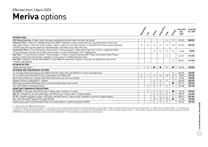### **Meriva** options Effective from 3 April 2009

|                                                                                                                                                                                                                                                                                                                                                                                    |              |                      |                |                |                      |                                  | Price $(E)$        | Total $(E)$ |
|------------------------------------------------------------------------------------------------------------------------------------------------------------------------------------------------------------------------------------------------------------------------------------------------------------------------------------------------------------------------------------|--------------|----------------------|----------------|----------------|----------------------|----------------------------------|--------------------|-------------|
|                                                                                                                                                                                                                                                                                                                                                                                    | Expressively | $\ddot{\mathcal{S}}$ | <b>Project</b> | Active Plus    | Club                 | Dessign                          | exc.<br><b>VAT</b> | inc. VAT    |
| <b>OPTION PACKS</b>                                                                                                                                                                                                                                                                                                                                                                |              |                      |                |                |                      |                                  |                    |             |
| VXR Styling Pack One . Body-colour front lower spoiler/side sills/rear lower skirt/rear roof spoiler                                                                                                                                                                                                                                                                               |              |                      |                |                | O                    | $\circlearrowright$ <sup>1</sup> | 695.65             | 800.00      |
| Protection Pack <sup>2</sup> . Electronic Stability Programme (ESP) . Electronic traction control with two-way intervention . Front seat<br>side-impact airbags • Full-size curtain airbags • Active-safety front seat head restraints • Automatic front seat occupancy detection<br>. ISOFIX child seat restraint system for front passenger's seat (does not include child seat) | $\circ$      | $\circ$              | O              | $\circ$        | $\circ$              | $\bigcirc$ <sup>3</sup>          | 513.04             | 590.00      |
| Convenience Pack . Front seat folding centre armrest . Front passenger's underseat storage tray . Driver's sunglasses holder<br>• Front passenger's storage net on lower centre console • Load-restraining floor net in luggage area                                                                                                                                               |              |                      | O              | $\circ$        | $\circ$              | $\circ$                          | 43.48              | 50.00       |
| Plus Pack • 15-inch Structure wheels • Front fog lights • Leather-covered steering wheel • Dark-tinted Solar Protect® glass<br>(excludes windscreen and front door windows) • Cruise control • Tiltable steering column                                                                                                                                                            |              |                      |                |                | $\bigcirc$           |                                  | 447.83             | 515.00      |
| Plus Pack • Electronic Climate Control (ECC) • Solar Reflect <sup>®</sup> windscreen • Electro-chromatic anti-dazzle rear-view mirror<br>• Indirect night lighting                                                                                                                                                                                                                 |              |                      |                |                |                      | $\circ$                          | 360.87             | 415.00      |
| <b>INTERIOR OPTION</b>                                                                                                                                                                                                                                                                                                                                                             |              |                      |                |                |                      |                                  |                    |             |
| Tiltable steering column                                                                                                                                                                                                                                                                                                                                                           |              | $\circ$              |                |                | ∩                    |                                  | 86.96              | 100.00      |
| <b>EXTERIOR AND CONVENIENCE OPTIONS</b>                                                                                                                                                                                                                                                                                                                                            |              |                      |                |                |                      |                                  |                    |             |
| 16-inch alloy wheels (emergency tyre inflation kit) with locking bolts and 205/50 R 16 ultra-low profile tyres                                                                                                                                                                                                                                                                     |              |                      |                |                |                      | $\circ$                          | 226.09             | 260.00      |
| 15-inch steel spare wheel/tyre (in lieu of emergency tyre inflation kit) 4                                                                                                                                                                                                                                                                                                         | $\circ$      | $\circ$              | $\circ$        | $\circ$        | $\circ$ <sup>5</sup> | $\bigcirc$ <sup>5</sup>          | 86.96              | 100.00      |
| Electrically operated rear windows with safety autoreverse and one-touch facility                                                                                                                                                                                                                                                                                                  |              |                      |                |                |                      | $\circ$                          | 86.96              | 100.00      |
| Adaptive Forward Lighting (AFL) - halogen                                                                                                                                                                                                                                                                                                                                          |              |                      | $\circ$        | $\circ$        | $\circ$              | $\circ$                          | 226.09             | 260.00      |
| Electrically operated slide/tilt glass front sunroof and tiltable glass rear sunroof                                                                                                                                                                                                                                                                                               |              |                      | $\circ$        | $\circ$        |                      | $\bullet$                        | 539.13             | 620.00      |
| Two-coat metallic or pearlescent paint                                                                                                                                                                                                                                                                                                                                             |              | $\circ$              | $\circ$        | $\circ$        | $\circ$              | $\bigcirc$                       | 343.48             | 395.00      |
| AUDIO AND COMMUNICATION OPTIONS                                                                                                                                                                                                                                                                                                                                                    |              |                      |                |                |                      |                                  |                    |             |
| CD 30 MP3 • CD player with MP3 format • Stereo radio • Auxiliary-in socket                                                                                                                                                                                                                                                                                                         |              | $\circ$              | O              | $\circ$        | $\circ$              | $\bullet$ <sup>6</sup>           | 86.96              | 100.00      |
| CDC 40 • Integral six-disc CD autochanger with MP3 format • Stereo radio • Graphic display                                                                                                                                                                                                                                                                                         |              |                      | $\circ$        | $\circ$        | $\circ$              | $\circ$                          | 386.96             | 445.00      |
| CD 70 • Satellite navigation system • CD player with MP3 format • Stereo radio • Auxiliary-in socket • Graphic display                                                                                                                                                                                                                                                             |              |                      | O              | $\circ$        | $\circ$              | $\circ$                          | 830.43             | 955.00      |
| Rear seat Twin Audio <sup>®</sup> system with single headset                                                                                                                                                                                                                                                                                                                       |              |                      | O <sup>7</sup> | O <sup>7</sup> | O <sup>7</sup>       | $\bullet$                        | 91.30              | 105.00      |
| Mobile phone system with Bluetooth <sup>®</sup> (does not include phone or cradle) and graphic display <sup>8</sup>                                                                                                                                                                                                                                                                |              |                      | $\circ$        | $\circ$        | $\circ$              |                                  | 256.52             | 295.00      |

 $\bigcirc$  = Optional at extra cost.  $\bigcirc$  = Standard equipment.

1 = Standard on Design with Exterior Pack models. 2 = For details on the correct fitment of child seats when the vehicle is fitted with a front passenger's airbag or side-impact airbags please consult your Vauxhall retaile compartments under luggage compartment floor. 5 = Not available on Design with Exterior Pack models, or in conjunction with VXR Styling Pack One. 6 = Does not include auxiliary-in socket. 7 = Only available in conjunction CD 30 MP3. Not available in conjunction with mobile phone system with Bluetooth®. 8 = Not available in conjunction with rear seat Twin Audio®.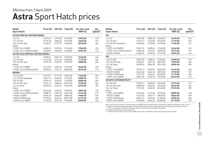### **Astra** Sport Hatch prices Effective from 3 April 2009

| Model<br><b>Sport Hatch</b>                | Price (£) | VAT (£) | Total $(E)$ | On-the-road<br>RRP(E) | CO <sub>2</sub><br>$(g/km)^*$ | Model<br><b>Sport Hatch</b>     | Price (£) | VAT (£) | Total $(E)$ | On-the-road<br>RRP(E) | $CO2$ (g/km)* |
|--------------------------------------------|-----------|---------|-------------|-----------------------|-------------------------------|---------------------------------|-----------|---------|-------------|-----------------------|---------------|
| <b>ACTIVE (SPECIAL EDITION MODEL)</b>      |           |         |             |                       |                               | <b>SXi</b>                      |           |         |             |                       |               |
| 1.4i 16v                                   | 13173.91  | 1976.09 | 15150.00    | 15970.00              | 146                           | 1.4i 16v                        | 13591.30  | 2038.70 | 15630.00    | 16450.00              | 146           |
| 1.6i 16v VVT                               | 13734.78  | 2060.22 | 15795.00    | 16640.00              | 155                           | 1.6i 16v VVT                    | 14152.17  | 2122.83 | 16275.00    | 17120.00              | 155           |
| 1.8i 16y VVT auto                          | 15182.61  | 2277.39 | 17460.00    | 18330.00              | 184                           | 1.6i 16v VVT Easytronic         | 14600.00  | 2190.00 | 16790.00    | 17635.00              | 151           |
| Diesel                                     |           |         |             |                       |                               | Diesel                          |           |         |             |                       |               |
| 1.7CDTi 16y (100PS)                        | 14904.35  | 2235.65 | 17140.00    | 17960.00              | 135                           | 1.7CDTi 16v (100PS)             | 15321.74  | 2298.26 | 17620.00    | 18440.00              | 135           |
| 1.7CDTi 16v (110PS) ecoFLEX                | 15269.57  | 2290.43 | 17560.00    | 18295.00              | 119                           | 1.7CDTi 16v (110PS) ecoFLEX     | 15686.96  | 2353.04 | 18040.00    | 18775.00              | 119           |
| <b>ACTIVE PLUS (SPECIAL EDITION MODEL)</b> |           |         |             |                       |                               | 1.9CDTi (120PS)                 | 15456.52  | 2318.48 | 17775.00    | 18595.00              | 149           |
| 1.4i 16v                                   | 13582.61  | 2037.39 | 15620.00    | 16440.00              | 146                           | <b>SRi</b>                      |           |         |             |                       |               |
| 1.6i 16v VVT                               | 14143.48  | 2121.52 | 16265.00    | 17110.00              | 155                           | 1.8i 16v VVT                    | 15234.78  | 2285.22 | 17520.00    | 18390.00              | 172           |
| 1.8i 16y VVT auto                          | 15591.30  | 2338.70 | 17930.00    | 18800.00              | 184                           | 1.8i 16y VVT auto               | 16182.61  | 2427.39 | 18610.00    | 19520.00              | 186           |
| Diesel                                     |           |         |             |                       |                               | 1.6i 16v Turbo                  | 16708.70  | 2506.30 | 19215.00    | 20085.00              | 185           |
| 1.7CDTi 16v (100PS)                        | 15313.04  | 2296.96 | 17610.00    | 18430.00              | 135                           | Diesel                          |           |         |             |                       |               |
| 1.7CDTi 16v (110PS) ecoFLEX                | 15678.26  | 2351.74 | 18030.00    | 18765.00              | 119                           | 1.7CDTi 16y (100PS)             | 15952.17  | 2392.83 | 18345.00    | 19165.00              | 138           |
| <b>DESIGN</b>                              |           |         |             |                       |                               | 1.9CDTi (120PS)                 | 16443.48  | 2466.52 | 18910.00    | 19730.00              | 149           |
| 1.6i 16v VVT                               | 14473.91  | 2171.09 | 16645.00    | 17490.00              | 155                           | 1.9CDTi (120PS) auto            | 17617.39  | 2642.61 | 20260.00    | 21170.00              | 186           |
| 1.6i 16v VVT Easytronic                    | 14921.74  | 2238.26 | 17160.00    | 18005.00              | 151                           | 1.9CDTi 16y (150PS)             | 16891.30  | 2533.70 | 19425.00    | 20245.00              | 149           |
| 1.8i 16v VVT                               | 14939.13  | 2240.87 | 17180.00    | 18050.00              | 169                           | <b>SRI WITH EXTERIOR PACK**</b> |           |         |             |                       |               |
| 1.8i 16y VVT auto                          | 15921.74  | 2388.26 | 18310.00    | 19180.00              | 184                           | 1.8i 16v VVT                    | 16039.13  | 2405.87 | 18445.00    | 19315.00              | 172           |
| 1.6i 16v Turbo                             | 16978.26  | 2546.74 | 19525.00    | 20395.00              | 185                           | 1.8i 16y VVT auto               | 16986.96  | 2548.04 | 19535.00    | 20445.00              | 186           |
| Diesel                                     |           |         |             |                       |                               | 1.6i 16y Turbo                  | 17513.04  | 2626.96 | 20140.00    | 21010.00              | 185           |
| 1.7CDTi 16y (100PS)                        | 15643.48  | 2346.52 | 17990.00    | 18810.00              | 135                           | Diesel                          |           |         |             |                       |               |
| 1.7CDTi 16v (110PS) ecoFLEX                | 16008.70  | 2401.30 | 18410.00    | 19145.00              | 119                           | 1.7CDTi 16y (100PS)             | 16756.52  | 2513.48 | 19270.00    | 20090.00              | 138           |
| 1.9CDTi (120PS)                            | 16404.35  | 2460.65 | 18865.00    | 19685.00              | 149                           | 1.9CDTi (120PS)                 | 17247.83  | 2587.17 | 19835.00    | 20655.00              | 149           |
| 1.9CDTi (120PS) auto                       | 17578.26  | 2636.74 | 20215.00    | 21125.00              | 186                           | 1.9CDTi (120PS) auto            | 18421.74  | 2763.26 | 21185.00    | 22095.00              | 186           |
| 1.9CDTi 16v (150PS)                        | 17165.22  | 2574.78 | 19740.00    | 20560.00              | 149                           | 1.9CDTi 16v (150PS)             | 17695.65  | 2654.35 | 20350.00    | 21170.00              | 149           |

Please note: On-the-road recommended retail prices (RRP) include number plates and delivery to retailer of £645.00 (inc. £84.13 VAT), 12 months' Vehicle Excise Duty (see page 2 for details) and new vehicle first registration fee of £55.00. Excludes fuel and insurance.

 $*$  = CO<sub>2</sub> emission figures. Vehicle Excise Duty is based on CO<sub>3</sub> emissions (see page 2 for details).

For benefit in kind taxation charges see page 3.

\*\* = Exterior Pack comprises 18-inch five-spoke alloy wheels and VXR Styling Pack One (see page 16 for details).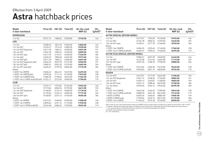### **Astra** hatchback prices Effective from 3 April 2009

| Model<br>5-door hatchback                  | Price $(E)$ | VAT (£) | Total $(E)$ | On-the-road<br>RRP(E) | CO <sub>2</sub><br>$(g/km)^*$ |
|--------------------------------------------|-------------|---------|-------------|-----------------------|-------------------------------|
| <b>EXPRESSION</b>                          |             |         |             |                       |                               |
| 1.4i 16v                                   | 10721.74    | 1608.26 | 12330.00    | 13150.00              | 146                           |
| <b>LIFE</b>                                |             |         |             |                       |                               |
| 1.4i 16v                                   | 12208.70    | 1831.30 | 14040.00    | 14860.00              | 146                           |
| 1.6i 16v VVT                               | 12769.57    | 1915.43 | 14685.00    | 15530.00              | 155                           |
| 1.6i 16v VVT Easytronic                    | 13217.39    | 1982.61 | 15200.00    | 16045.00              | 151                           |
| 1.8i 16v VVT                               | 13234.78    | 1985.22 | 15220.00    | 16090.00              | 169                           |
| 1.8i 16v VVT auto                          | 14217.39    | 2132.61 | 16350.00    | 17220.00              | 184                           |
| 1.4i $16v$ (a/c)                           | 12656.52    | 1898.48 | 14555.00    | 15375.00              | 146                           |
| 1.6i 16y VVT (a/c)                         | 13217.39    | 1982.61 | 15200.00    | 16045.00              | 155                           |
| 1.6i 16v VVT Easytronic (a/c)              | 13665.22    | 2049.78 | 15715.00    | 16560.00              | 151                           |
| 1.8i 16y VVT (a/c)                         | 13682.61    | 2052.39 | 15735.00    | 16605.00              | 169                           |
| 1.8i 16y VVT auto (a/c)                    | 14665.22    | 2199.78 | 16865.00    | 17735.00              | 184                           |
| Diesel                                     |             |         |             |                       |                               |
| 1.3CDTi 16v (90PS)                         | 13630.43    | 2044.57 | 15675.00    | 16495.00              | 130                           |
| 1.3CDTi 16v (90PS) (a/c)                   | 14078.26    | 2111.74 | 16190.00    | 17010.00              | 130                           |
| 1.7CDTi 16v (100PS) (a/c)                  | 14386.96    | 2158.04 | 16545.00    | 17365.00              | 135                           |
| 1.7CDTi 16v (110PS) ecoFLEX (a/c) 14752.17 |             | 2212.83 | 16965.00    | 17700.00              | 119                           |
| <b>CLUB</b>                                |             |         |             |                       |                               |
| 1.4i 16v                                   | 13152.17    | 1972.83 | 15125.00    | 15945.00              | 146                           |
| 1.6i 16v VVT                               | 13713.04    | 2056.96 | 15770.00    | 16615.00              | 155                           |
| 1.6i 16v VVT Easytronic                    | 14160.87    | 2124.13 | 16285.00    | 17130.00              | 151                           |
| 1.8i 16v VVT                               | 14178.26    | 2126.74 | 16305.00    | 17175.00              | 169                           |
| 1.8i 16y VVT auto                          | 15160.87    | 2274.13 | 17435.00    | 18305.00              | 184                           |
| Diesel                                     |             |         |             |                       |                               |
| 1.3CDTi 16v (90PS)                         | 14573.91    | 2186.09 | 16760.00    | 17580.00              | 130                           |
| 1.7CDTi 16y (100PS)                        | 14878.26    | 2231.74 | 17110.00    | 17930.00              | 138                           |
| 1.7CDTi 16v (110PS) ecoFLEX                | 15243.48    | 2286.52 | 17530.00    | 18265.00              | 119                           |

| Model<br>5-door hatchback                  |          |         | Price $(E)$ VAT $(E)$ Total $(E)$ | On-the-road<br>RRP(E) | CO <sub>2</sub><br>$(g/km)^*$ |
|--------------------------------------------|----------|---------|-----------------------------------|-----------------------|-------------------------------|
| <b>ACTIVE (SPECIAL EDITION MODEL)</b>      |          |         |                                   |                       |                               |
| 1.4i 16v                                   | 13173.91 | 1976.09 | 15150.00                          | 15970.00              | 146                           |
| 1.6i 16v VVT                               | 13734.78 | 2060.22 | 15795.00                          | 16640.00              | 155                           |
| 1.8i 16v VVT auto                          | 15182.61 | 2277.39 | 17460.00                          | 18330.00              | 184                           |
| Diesel                                     |          |         |                                   |                       |                               |
| 1.7CDTi 16v (100PS)                        | 14904.35 | 2235.65 | 17140.00                          | 17960.00              | 138                           |
| 1.7CDTi 16v (110PS) ecoFLEX                | 15269.57 | 2290.43 | 17560.00                          | 18295.00              | 119                           |
| <b>ACTIVE PLUS (SPECIAL EDITION MODEL)</b> |          |         |                                   |                       |                               |
| 1.4i 16v                                   | 13582.61 | 2037.39 | 15620.00                          | 16440.00              | 146                           |
| 1.6i 16v VVT                               | 14143.48 | 2121.52 | 16265.00                          | 17110.00              | 155                           |
| 1.8i 16y VVT auto                          | 15591.30 | 2338.70 | 17930.00                          | 18800.00              | 184                           |
| Diesel                                     |          |         |                                   |                       |                               |
| 1.7CDTi 16v (100PS)                        | 15313.04 | 2296.96 | 17610.00                          | 18430.00              | 138                           |
| 1.7CDTi 16v (110PS) ecoFLEX                | 15678.26 | 2351.74 | 18030.00                          | 18765.00              | 119                           |
| <b>DESIGN</b>                              |          |         |                                   |                       |                               |
| 1.6i 16v VVT                               | 14473.91 | 2171.09 | 16645.00                          | 17490.00              | 155                           |
| 1.6i 16v VVT Easytronic                    | 14921.74 | 2238.26 | 17160.00                          | 18005.00              | 151                           |
| 1.8i 16v VVT                               | 14939.13 | 2240.87 | 17180.00                          | 18050.00              | 169                           |
| 1.8i 16v VVT auto                          | 15921.74 | 2388.26 | 18310.00                          | 19180.00              | 184                           |
| 1.6i 16v Turbo                             | 16978.26 | 2546.74 | 19525.00                          | 20395.00              | 185                           |
| Diesel                                     |          |         |                                   |                       |                               |
| 1.7CDTi 16v (100PS)                        | 15643.48 | 2346.52 | 17990.00                          | 18810.00              | 138                           |
| 1.7CDTi 16v (110PS) ecoFLEX                | 16008.70 | 2401.30 | 18410.00                          | 19145.00              | 119                           |
| 1.9CDTi (120PS)                            | 16404.35 | 2460.65 | 18865.00                          | 19685.00              | 149                           |
| 1.9CDTi (120PS) auto                       | 17578.26 | 2636.74 | 20215.00                          | 21125.00              | 186                           |
| 1.9CDTi 16v (150PS)                        | 17165.22 | 2574.78 | 19740.00                          | 20560.00              | 149                           |

Please note: On-the-road recommended retail prices (RRP) include number plates and delivery to retailer of £645.00 (inc. £84.13 VAT), 12 months' Vehicle Excise Duty (see page 2 for details) and new vehicle first registration fee of £55.00. Excludes fuel and insurance.

 $*$  = CO<sub>2</sub> emission figures. Vehicle Excise Duty is based on CO<sub>3</sub> emissions (see page 2 for details).

For benefit in kind taxation charges see page 3.

a/c = Air conditioning.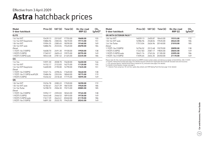### **Astra** hatchback prices Effective from 3 April 2009

| Model<br>5-door hatchback   | Price $(E)$ VAT $(E)$ |         | Total $(E)$ | On-the-road<br>RRP(E) | CO <sub>2</sub><br>$(g/km)^*$ |
|-----------------------------|-----------------------|---------|-------------|-----------------------|-------------------------------|
| <b>ELITE</b>                |                       |         |             |                       |                               |
| 1.6i 16v VVT                | 15439.13              | 2315.87 | 17755.00    | 18600.00              | 155                           |
| 1.6i 16v VVT Easytronic     | 15886.96              | 2383.04 | 18270.00    | 19115.00              | 151                           |
| 1.8i 16v VVT                | 15904.35              | 2385.65 | 18290.00    | 19160.00              | 169                           |
| 1.8i 16y VVT auto           | 16886.96              | 2533.04 | 19420.00    | 20290.00              | 184                           |
| Diesel                      |                       |         |             |                       |                               |
| 1.7CDTi 16y (100PS)         | 16608.70              | 2491.30 | 19100.00    | 19920.00              | 138                           |
| 1.9CDTi (120PS)             | 17369.57              | 2605.43 | 19975.00    | 20795.00              | 149                           |
| 1.9CDTi (120PS) auto        | 18543.48              | 2781.52 | 21325.00    | 22235.00              | 186                           |
| <b>SXi</b>                  |                       |         |             |                       |                               |
| 1.4i 16v                    | 13591.30              | 2038.70 | 15630.00    | 16450.00              | 146                           |
| 1.6i 16v VVT                | 14152.17              | 2122.83 | 16275.00    | 17120.00              | 155                           |
| 1.6i 16v VVT Easytronic     | 14600.00              | 2190.00 | 16790.00    | 17635.00              | 151                           |
| Diesel                      |                       |         |             |                       |                               |
| 1.7CDTi 16y (100PS)         | 15321.74              | 2298.26 | 17620.00    | 18440.00              | 138                           |
| 1.7CDTi 16v (110PS) ecoFLEX | 15686.96              | 2353.04 | 18040.00    | 18775.00              | 119                           |
| 1.9CDTi (120PS)             | 15456.52              | 2318.48 | 17775.00    | 18595.00              | 149                           |
| <b>SRi</b>                  |                       |         |             |                       |                               |
| 1.8i 16v VVT                | 15234.78              | 2285.22 | 17520.00    | 18390.00              | 172                           |
| 1.8i 16y VVT auto           | 16182.61              | 2427.39 | 18610.00    | 19520.00              | 186                           |
| 1.6i 16y Turbo              | 16708.70              | 2506.30 | 19215.00    | 20085.00              | 185                           |
| Diesel                      |                       |         |             |                       |                               |
| 1.7CDTi 16v (100PS)         | 15952.17              | 2392.83 | 18345.00    | 19165.00              | 138                           |
| 1.9CDTi (120PS)             | 16443.48              | 2466.52 | 18910.00    | 19730.00              | 149                           |
| 1.9CDTi (120PS) auto        | 17617.39              | 2642.61 | 20260.00    | 21170.00              | 186                           |
| 1.9CDTi 16v (150PS)         | 16891.30              | 2533.70 | 19425.00    | 20245.00              | 149                           |

| Model<br>5-door hatchback       | Price $(E)$ | VAT $(E)$ | Total $(E)$ | On-the-road<br>RRP(E) | CO <sub>2</sub><br>$(g/km)^*$ |
|---------------------------------|-------------|-----------|-------------|-----------------------|-------------------------------|
| <b>SRI WITH EXTERIOR PACK**</b> |             |           |             |                       |                               |
| 1.8i 16v VVT                    | 16039.13    | 2405.87   | 18445.00    | 19315.00              | 172                           |
| 1.8i 16y VVT auto               | 16986.96    | 2548.04   | 1953500     | 20445.00              | 186                           |
| 1.6i 16y Turbo                  | 17513.04    | 2626.96   | 20140.00    | 21010.00              | 185                           |
| Diesel                          |             |           |             |                       |                               |
| 1.7CDTi 16y (100PS)             | 16756.52    | 2513.48   | 19270.00    | 20090.00              | 138                           |
| 1.9CDTi (120PS)                 | 17247.83    | 2587.17   | 19835 00    | 20655.00              | 149                           |
| 1.9CDTi (120PS) auto            | 18421.74    | 2763.26   | 21185.00    | 22095.00              | 186                           |
| 1.9CDTi 16y (150PS)             | 17695.65    | 2654.35   | 20350.00    | 21170.00              | 149                           |

Please note: On-the-road recommended retail prices (RRP) include number plates and delivery to retailer of £645.00 (inc. £84.13 VAT),<br>12 months' Vehicle Excise Duty (see page 2 for details) and new vehicle first registrati  $* = CO<sub>2</sub>$  emission figures. Vehicle Excise Duty is based on  $CO<sub>2</sub>$  emissions (see page 2 for details).

For benefit in kind taxation charges see page 3. \*\* = Exterior Pack comprises 18-inch five-spoke alloy wheels and VXR Styling Pack One (see page 16 for details).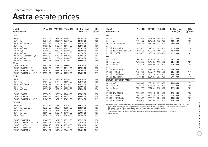## Effective from 3 April 2009

## **Astra** estate prices

| Model<br>5-door estate                     |          |         | Price $(E)$ VAT $(E)$ Total $(E)$ | On-the-road<br>RRP(E) | CO <sub>2</sub><br>$(g/km)^*$ | <b>Model</b><br>5-door estate                                                                                                                                                                                                               |                      |         | Price $(E)$ VAT $(E)$ Total $(E)$ | On-the-road<br>RRP(E) | $CO2$<br>(g/km)* |
|--------------------------------------------|----------|---------|-----------------------------------|-----------------------|-------------------------------|---------------------------------------------------------------------------------------------------------------------------------------------------------------------------------------------------------------------------------------------|----------------------|---------|-----------------------------------|-----------------------|------------------|
| <b>LIFE</b>                                |          |         |                                   |                       |                               | <b>SXi</b>                                                                                                                                                                                                                                  |                      |         |                                   |                       |                  |
| 1.4i 16v                                   | 13013.04 |         | 1951.96 14965.00                  | 15785.00              | 146                           | 1.4i 16v                                                                                                                                                                                                                                    | 14395.65             | 2159.35 | 16555.00                          | 17375.00              | 146              |
| 1.6i 16v VVT                               | 13573.91 | 2036.09 | 15610.00                          | 16455.00              | 158                           | 1.6i 16v VVT                                                                                                                                                                                                                                | 14956.52             | 2243.48 | 17200.00                          | 18045.00              | 158              |
| 1.6i 16v VVT Easytronic                    | 14021.74 | 2103.26 | 16125.00                          | 16970.00              | 153                           | 1.6i 16v VVT Easytronic                                                                                                                                                                                                                     | 15404.35             | 2310.65 | 17715.00                          | 18560.00              | 153              |
| 1.8i 16y VVT                               | 14039.13 |         | 2105.87 16145.00                  | 17015.00              | 169                           | Diesel                                                                                                                                                                                                                                      |                      |         |                                   |                       |                  |
| 1.8i 16y VVT auto                          | 14986.96 |         | 2248.04 17235.00                  | 18145.00              | 186                           | 1.7CDTi 16y (100PS)                                                                                                                                                                                                                         | 16126.09             | 2418.91 | 18545.00                          | 19365.00              | 138              |
| 1.4i $16v$ (a/c)                           | 13460.87 |         | 2019.13 15480.00                  | 16300.00              | 146                           | 1.7CDTi 16v (110PS) ecoFLEX                                                                                                                                                                                                                 | 16491.30             | 2473.70 | 18965.00                          | 19700.00              | 119              |
| 1.6i 16v VVT (a/c)                         | 14021.74 |         | 2103.26 16125.00                  | 16970.00              | 158                           | 1.9CDTi (120PS)                                                                                                                                                                                                                             | 16260.87             | 2439.13 | 18700.00                          | 19520.00              | 149              |
| 1.6i 16v VVT Easytronic (a/c)              | 14469.57 | 2170.43 | 16640.00                          | 17485.00              | 153                           | <b>SRi</b>                                                                                                                                                                                                                                  |                      |         |                                   |                       |                  |
| 1.8i 16y VVT (a/c)                         | 14486.96 | 2173.04 | 16660.00                          | 17530.00              | 169                           | 1.8i 16v VVT                                                                                                                                                                                                                                |                      | 2405.87 | 18445.00                          |                       | 172              |
| 1.8i 16y VVT auto (a/c)                    | 15434.78 | 2315.22 | 17750.00                          | 18660.00              | 186                           | 1.8i 16v VVT auto                                                                                                                                                                                                                           | 16039.13<br>16986.96 | 2548.04 | 19535.00                          | 19315.00<br>20445.00  | 189              |
| Diesel                                     |          |         |                                   |                       |                               | 1.6i 16v Turbo                                                                                                                                                                                                                              | 17513.04             | 2626.96 | 20140.00                          |                       | 185              |
| 1.3CDTi 16v (90PS)                         | 14434.78 | 2165.22 | 16600.00                          | 17420.00              | 130                           | Diesel                                                                                                                                                                                                                                      |                      |         |                                   | 21010.00              |                  |
| 1.3CDTi 16v (90PS) (a/c)                   | 14882.61 | 2232.39 | 17115.00                          | 17935.00              | 130                           | 1.7CDTi 16v (100PS)                                                                                                                                                                                                                         |                      |         |                                   |                       |                  |
| 1.7CDTi 16v (100PS) (a/c)                  | 15191.30 | 2278.70 | 17470.00                          | 18290.00              | 135                           |                                                                                                                                                                                                                                             | 16756.52             | 2513.48 | 19270.00                          | 20090.00              | 138              |
| 1.7CDTi 16v (110PS) ecoFLEX (a/c) 15556.52 |          | 2333.48 | 17890.00                          | 18625.00              | 119                           | 1.9CDTi (120PS)<br>1.9CDTi (120PS) auto                                                                                                                                                                                                     | 17247.83<br>18421.74 | 2763.26 | 2587.17 19835.00<br>21185.00      | 20655.00<br>22095.00  | 149<br>189       |
| <b>CLUB</b>                                |          |         |                                   |                       |                               | 1.9CDTi 16v (150PS)                                                                                                                                                                                                                         | 17695.65             | 2654.35 | 20350.00                          | 21170.00              | 149              |
| 1.4i 16v                                   | 13956.52 | 2093.48 | 16050.00                          | 16870.00              | 146                           | <b>SRI WITH EXTERIOR PACK**</b>                                                                                                                                                                                                             |                      |         |                                   |                       |                  |
| 1.6i 16v VVT                               | 14517.39 | 2177.61 | 16695.00                          | 17540.00              | 158                           |                                                                                                                                                                                                                                             |                      |         |                                   |                       |                  |
| 1.6i 16v VVT Easytronic                    | 14965.22 | 2244.78 | 17210.00                          | 18055.00              | 153                           | 1.8i 16v VVT                                                                                                                                                                                                                                | 16843.48             | 2526.52 | 19370.00                          | 20240.00              | 172              |
| 1.8i 16v VVT                               | 14982.61 | 2247.39 | 17230.00                          | 18100.00              | 169                           | 1.8i 16v VVT auto                                                                                                                                                                                                                           | 17791.30             | 2668.70 | 20460.00                          | 21370.00              | 189              |
| 1.8i 16v VVT auto                          | 15930.43 |         | 2389.57 18320.00                  | 19230.00              | 186                           | 1.6i 16v Turbo                                                                                                                                                                                                                              | 18317.39             | 2747.61 | 21065.00                          | 21935.00              | 185              |
| Diesel                                     |          |         |                                   |                       |                               | Diesel                                                                                                                                                                                                                                      |                      |         |                                   |                       |                  |
| 1.3CDTi 16v (90PS)                         | 15378.26 | 2306.74 | 17685.00                          | 18505.00              | 130                           | 1.7CDTi 16v (100PS)                                                                                                                                                                                                                         | 17560.87             | 2634.13 | 20195.00                          | 21015.00              | 138              |
| 1.7CDTi 16y (100PS)                        | 15682.61 | 2352.39 | 18035.00                          | 18855.00              | 138                           | 1.9CDTi (120PS)                                                                                                                                                                                                                             | 18052.17             | 2707.83 | 20760.00                          | 21580.00              | 149              |
| 1.7CDTi 16v (110PS) ecoFLEX                | 16047.83 |         | 2407.17 18455.00                  | 19190.00              | 119                           | 1.9CDTi (120PS) auto                                                                                                                                                                                                                        | 19226.09             | 2883.91 | 22110.00                          | 23020.00              | 189              |
| <b>DESIGN</b>                              |          |         |                                   |                       |                               | 1.9CDTi 16v (150PS)                                                                                                                                                                                                                         | 18500.00             |         | 2775.00 21275.00                  | 22095.00              | 149              |
| 1.6i 16v VVT                               | 15278.26 |         | 2291.74 17570.00                  | 18415.00              | 158                           | Please note: On-the-road recommended retail prices (RRP) include number plates and delivery to retailer of £645.00 (inc. £84.13 VAT),                                                                                                       |                      |         |                                   |                       |                  |
| 1.6i 16v VVT Easytronic                    | 15726.09 | 2358.91 | 18085.00                          | 18930.00              | 153                           | 12 months' Vehicle Excise Duty (see page 2 for details) and new vehicle first registration fee of £55.00. Excludes fuel and insurance.<br>* = CO, emission figures. Vehicle Excise Duty is based on CO, emissions (see page 2 for details). |                      |         |                                   |                       |                  |
| 1.8i 16v VVT                               | 15743.48 | 2361.52 | 18105.00                          | 18975.00              | 169                           | For benefit in kind taxation charges see page 3.                                                                                                                                                                                            |                      |         |                                   |                       |                  |
| 1.8i 16y VVT auto                          | 16691.30 | 2503.70 | 19195.00                          | 20105.00              | 186                           | ** = Exterior Pack comprises 18-inch five-spoke alloy wheels and VXR Styling Pack One (see page 16 for details).<br>$a/c = Air$ conditioning.                                                                                               |                      |         |                                   |                       |                  |
| 1.6i 16v Turbo                             | 17782.61 | 2667.39 | 20450.00                          | 21320.00              | 185                           |                                                                                                                                                                                                                                             |                      |         |                                   |                       |                  |
| Diesel                                     |          |         |                                   |                       |                               |                                                                                                                                                                                                                                             |                      |         |                                   |                       |                  |
| 1.7CDTi 16y (100PS)                        | 16447.83 | 2467.17 | 18915.00                          | 19735.00              | 138                           |                                                                                                                                                                                                                                             |                      |         |                                   |                       |                  |
| 1.7CDTi 16v (110PS) ecoFLEX                | 16813.04 | 2521.96 | 19335.00                          | 20070.00              | 119                           |                                                                                                                                                                                                                                             |                      |         |                                   |                       |                  |
| 1.9CDTi (120PS)                            | 17208.70 | 2581.30 | 19790.00                          | 20610.00              | 149                           |                                                                                                                                                                                                                                             |                      |         |                                   |                       |                  |
| 1.9CDTi (120PS) auto                       | 18382.61 | 2757.39 | 21140.00                          | 22050.00              | 189                           |                                                                                                                                                                                                                                             |                      |         |                                   |                       |                  |
| 1.9CDTi 16v (150PS)                        | 17969.57 | 2695.43 | 20665.00                          | 21485.00              | 149                           |                                                                                                                                                                                                                                             |                      |         |                                   |                       |                  |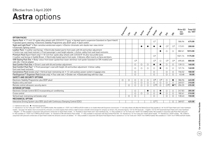### **Astra** options Effective from 3 April 2009

|                                                                                                                                                                                                                                           | Expressive | $\ddot{\mathcal{S}}$ | Cras                    | <b>Active</b> | Active Plus | Design                  | Eife           | ぶ                                | $\dot{\mathcal{S}}$     | Price $(E)$<br>exc.<br><b>VAT</b> | Total $(E)$<br>inc. VAT |
|-------------------------------------------------------------------------------------------------------------------------------------------------------------------------------------------------------------------------------------------|------------|----------------------|-------------------------|---------------|-------------|-------------------------|----------------|----------------------------------|-------------------------|-----------------------------------|-------------------------|
| <b>OPTION PACKS</b>                                                                                                                                                                                                                       |            |                      |                         |               |             |                         |                |                                  |                         |                                   |                         |
| Sports Pack . 17-inch 10-spoke alloy wheels with 225/45 R 17 tyres . Uprated sports suspension (standard on Sport Hatch)<br>• Uprated sports steering • Electronic Stability Programme-plus (ESP-plus) • Sport switch                     |            |                      |                         |               |             | $\bigcirc$ <sup>1</sup> |                |                                  |                         | 586.96                            | 675.00                  |
| Sight and Light Pack <sup>2</sup> • Rain-sensitive windscreen wipers • Electro-chromatic anti-dazzle rear-view mirror<br>• Automatic lighting control                                                                                     |            |                      |                         | $\bullet$     |             |                         |                | $\bigcirc$ <sup>3</sup>          | $\bigcirc$ <sup>3</sup> | 173.91                            | 200.00                  |
| Leather Pack • Leather seat facings • Electrically heated sports front seats with tilt and lumbar adjustment<br>• Centre rear seat head restraint • Front passenger's seat height adjuster • Active-safety front seat head restraints     |            |                      |                         |               |             |                         |                | $\circ$                          | $\circ$                 | 882.61                            | 1015.00                 |
| Premium Pack (Sport Hatch only) • 18-inch five-spoke alloy wheels with 225/40 R 18 ultra-low profile tyres<br>• Leather seat facings in Saddle Brown • Electrically heated sports front seats • Zebrano-effect inserts on facia and doors |            |                      |                         |               |             | $\bigcirc$ <sup>4</sup> |                |                                  |                         | 1021.74                           | 1175.00                 |
| VXR Styling Pack One . Body-colour front lower spoiler/rear lower skirt/rear roof spoiler (standard on SRi models) and<br>side sills . Aerial adaptor                                                                                     |            |                      | $\bigcirc$ <sup>5</sup> |               |             | $\bigcirc$ <sup>5</sup> | $\circ$        | $\circlearrowright$ <sup>5</sup> | $\circ$ <sup>6</sup>    | 695.65                            | 800.00                  |
| Seat Comfort Pack One . Driver's seat with tilt and lumbar adjustment                                                                                                                                                                     |            |                      | О                       | $\circ$       | $\circ$     | $\bullet$               | $\bullet$      | $\circ$                          | $\circ$                 | 139.13                            | 160.00                  |
| Seat Comfort Pack Two <sup>7</sup> • Front passenger's seat with height, tilt and lumbar adjustment • Active-safety<br>front seat head restraints                                                                                         |            |                      | O                       | $\bigcirc$    | $\bigcirc$  | Ω                       |                | O                                | $\bigcirc$              | 121.74                            | 140.00                  |
| Convenience Pack (estate only) • Vertical load-restraining net • 12-volt auxiliary power socket in luggage area                                                                                                                           |            |                      | Ω                       |               |             | Ω                       |                | $\circ$                          | $\circ$                 | 156.52                            | 180.00                  |
| FlexOrganiser® Organiser Pack (estate only) . Four side rails . Divider net . Elasticated bag with four clips                                                                                                                             |            |                      | O                       |               |             | $\circ$                 |                | $\circ$                          | ◯                       | 43.48                             | 50.00                   |
| <b>SAFETY AND SECURITY OPTIONS</b>                                                                                                                                                                                                        |            |                      |                         |               |             |                         |                |                                  |                         |                                   |                         |
| Electronic Stability Programme-plus (ESP-plus)                                                                                                                                                                                            | $\circ$    | $\circ$              | $\circ$                 | $\circ$       | $\circ$     | $\bigcirc$ 8            | O <sup>9</sup> | $\circ$                          | $\bullet$               | 386.96                            | 445.00                  |
| Keyless entry and start                                                                                                                                                                                                                   |            |                      | Ω                       | $\circ$       | $\circ$     | О                       | О              | $\circ$                          | $\circ$                 | 269.57                            | 310.00                  |
| Remote control ultrasonic security alarm                                                                                                                                                                                                  |            | $\bigcirc$           | $\bigcirc$              | $\bigcirc$    | $\bigcirc$  | $\bigcirc$ 10           | $\bigcirc$     | $\bigcirc$ 10                    | $^{\bullet}$ 10         | 204.35                            | 235.00                  |
| <b>INTERIOR OPTIONS</b>                                                                                                                                                                                                                   |            |                      |                         |               |             |                         |                |                                  |                         |                                   |                         |
| Electronic Climate Control (ECC) incorporating air conditioning                                                                                                                                                                           |            |                      | О                       |               | $\bullet$   | О                       | $\bullet$      | $\circ$                          | $\circ$                 | 247.83                            | 285.00                  |
| Cruise control                                                                                                                                                                                                                            |            |                      | $\circ$                 | $\circ$       | $\circ$     | $\circ$                 | $\bullet$      | $\circ$                          | $\circ$                 | 182.61                            | 210.00                  |
| Vertical load-restraining net (estate only)                                                                                                                                                                                               |            | $\bigcirc$           | $\bigcirc$              |               |             | ◯                       |                | $\bigcirc$                       | $\bigcirc$              | 130.43                            | 150.00                  |
| <b>MECHANICAL OPTION</b>                                                                                                                                                                                                                  |            |                      |                         |               |             |                         |                |                                  |                         |                                   |                         |
| Interactive Driving System-plus (IDS-plus) with Continuous Damping Control (CDC)                                                                                                                                                          |            |                      |                         |               |             | $\bigcirc$ 11           |                |                                  | $\circ$                 | 369.57                            | 425.00                  |

 $\bigcirc$  = Optional at extra cost.  $\bullet$  = Standard equipment.

1 = Standard on 1.6i 16v Turbo and 1.9CDTi 16v (150PS) models. Not available on 1.7CDTi 16v (110PS) ecoFLEX models or on models fitted with Easytronic transmission. 17-inch alloy wheels will affect the Vehicle Excise Duty models - see page 2 for details. Due to increased CO<sub>2</sub> emissions, on certain engines there will be a slight increase in benefit in kind charges for company car drivers. CO<sub>2</sub> emissions figures: 1.8i 16v VVT (manual) - 172 - 186g/km. 2 = Not available in conjunction with panoramic windscreen on Sport Hatch models. 3 = Available on Sport Hatch and 5-door hatchback only. 4 = Only available on 1.6i 16v Turbo and 1.9CDTi 16v (150PS) models. Not 5 = Not available on 1.7CDTi 16v (110PS) ecoFLEX models. 6 = Standard on SRi with Exterior Pack models. 7 = Only available in conjunction with Seat Comfort Pack One. 8 = Standard on 1.6i 16v Turbo and 1.9CDTi diesel models conjunction with panoramic windscreen on Sport Hatch models the ultrasonic sensors are deleted. 11 = Only available in conjunction with Sports Pack (Sports Pack (Sports Pack is standard on 1.6i 16v Turbo and 1.9CDTi 16v (1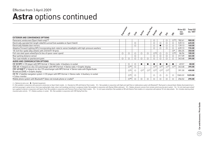### **Astra** options continued Effective from 3 April 2009

|                                                                                                                                                    |                          |            |               |               |                          |                          |                          |                          | Price $(E)$        | Total $(E)$ |
|----------------------------------------------------------------------------------------------------------------------------------------------------|--------------------------|------------|---------------|---------------|--------------------------|--------------------------|--------------------------|--------------------------|--------------------|-------------|
|                                                                                                                                                    | $\ddot{\mathcal{S}}$     |            | icida         | Cribe         |                          | Eife                     | ぶ                        |                          | exc.<br><b>VAT</b> | inc. VAT    |
| <b>EXTERIOR AND CONVENIENCE OPTIONS</b>                                                                                                            |                          |            |               |               |                          |                          |                          |                          |                    |             |
| Panoramic windscreen (Sport Hatch only) <sup>12</sup>                                                                                              |                          |            |               |               | O                        |                          | $\cup$                   | $\bigcirc$ <sup>13</sup> | 782.61             | 900.00      |
| Electrically operated full-length slide/tilt sunroof (not available on Sport Hatch)                                                                |                          | $\circ$    |               |               | C                        | $\circ$                  |                          |                          | 539.13             | 620.00      |
| Electrically foldable door mirrors                                                                                                                 |                          | Ω          |               |               | C                        |                          |                          |                          | 139.13             | 160.00      |
| Adaptive Forward Lighting (AFL) incorporating dark-style bi-xenon headlights with high-pressure washers                                            |                          |            |               |               | $\bigcirc$               | $\bigcirc$               |                          |                          | 639.13             | 735.00      |
| 18-inch five-spoke alloy wheels with 225/40 R 18 tyres                                                                                             |                          |            |               |               |                          |                          |                          | $\bigcirc$ <sup>6</sup>  | 304.35             | 350.00      |
| Full-size steel spare wheel/tyre (in lieu of space-saver spare)                                                                                    | $\circ$                  | $\circ$    | $\bigcirc$    | $\bigcirc$    | $\bigcirc$ <sup>14</sup> | $\bigcirc$               | $\bigcirc$               | $\bigcirc$ <sup>15</sup> | 86.96              | 100.00      |
| Rear parking distance sensor                                                                                                                       |                          | О          |               |               | C                        | $\circ$                  |                          |                          | 317.39             | 365.00      |
| Two-coat metallic or pearlescent paint                                                                                                             |                          |            |               |               |                          |                          |                          |                          | 343.48             | 395.00      |
| AUDIO AND COMMUNICATION OPTIONS                                                                                                                    |                          |            |               |               |                          |                          |                          |                          |                    |             |
| CD 30 MP3 $\bullet$ CD player with MP3 format $\bullet$ Stereo radio $\bullet$ Auxiliary-in socket                                                 | $\circ$                  | O          |               |               |                          |                          |                          |                          | 69.57              | 80.00       |
| CDC 40 • Integral six-disc CD autochanger with MP3 format • Stereo radio • Graphic display                                                         | $\bigcirc$ <sup>16</sup> | O          |               |               | $\bigcirc$ <sup>17</sup> | $\bigcirc$ <sup>17</sup> | $\bigcirc$ <sup>17</sup> | $\bigcirc$ <sup>17</sup> | 343.48             | 395.00      |
| CDC 40 DAB <sup>18</sup> . Integral six-disc CD autochanger with MP3 format . Stereo radio with Digital Audio<br>Broadcast (DAB) • Graphic display | $\bigcirc$ <sup>16</sup> | $\bigcirc$ | $\bigcirc$ 17 | $\bigcirc$ 17 | $\bigcirc$ 17            | $\bigcirc$ 17            | $\bigcirc$ 17            |                          | 391.30             | 450.00      |
| CD 70 • Satellite navigation system • CD player with MP3 format • Stereo radio • Auxiliary-in socket<br>• Colour monitor                           | $\bigcirc$ 16            | $\bigcirc$ |               |               | ◯                        | $\circ$                  |                          |                          | 1065.22            | 1225.00     |
| Mobile phone system with Bluetooth <sup>®</sup> (does not include phone or cradle) <sup>2</sup>                                                    | $\bigcirc$ <sup>16</sup> |            | C             | О             | $\circ$                  | $\circ$                  |                          |                          | 256.52             | 295.00      |

 $\bigcirc$  = Optional at extra cost.  $\bullet$  = Standard equipment.

2 = Not available in conjunction with panoramic windscreen on Sport Hatch models. 6 = Standard on SRi with Exterior Pack models. 12 = Not available in conjunction with Sight and Light Pack or mobile phone system with Bluet and front passenger's vanity mirrors, front map reading lights, body-colour roof mouldings and driver's sunglasses holder. Not available in conjunction with Olympic White solid paint. 13 = Deletes ultrasonic sensors from r tyre supplied if ordered in conjunction with Sports Pack. Not available in conjunction with Premium Pack on Sport Hatch models. 15 = 16-inch spare wheel/tyre. Not available on SRi with Exterior Pack models or in conjunctio mounted audio controls. 17 = Deletes auxiliary-in socket. 18 = Not available in conjunction with VXR Styling Pack One.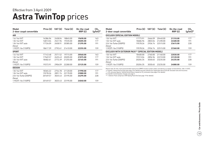### **Astra TwinTop** prices Effective from 3 April 2009

| Model<br>2-door coupé convertible |          |         | Price $(E)$ VAT $(E)$ Total $(E)$ | On-the-road<br>RRP(E) | CO <sub>2</sub><br>$(g/km)^*$ |
|-----------------------------------|----------|---------|-----------------------------------|-----------------------|-------------------------------|
| <b>AIR</b>                        |          |         |                                   |                       |                               |
| 1.6i 16v VVT                      | 16386.96 | 2458.04 | 18845.00                          | 19690.00              | 163                           |
| 1.8i 16y VVT                      | 16813.04 | 2521.96 | 19335.00                          | 20205.00              | 177                           |
| 1.8i 16y VVT auto                 | 17726.09 | 2658.91 | 20385.00                          | 21295.00              | 191                           |
| Diesel                            |          |         |                                   |                       |                               |
| 1.9CDTi 16v (150PS)               | 18617.39 | 2792.61 | 21410.00                          | 22255.00              | 159                           |
| <b>SPORT</b>                      |          |         |                                   |                       |                               |
| 1.6i 16y VVT                      | 17143.48 | 2571.52 | 19715.00                          | 20560.00              | 163                           |
| 1.8i 16y VVT                      | 17569.57 | 2635.43 | 20205.00                          | 21075.00              | 177                           |
| 1.8i 16y VVT auto                 | 18482.61 | 2772.39 | 21255.00                          | 22165.00              | 191                           |
| Diesel                            |          |         |                                   |                       |                               |
| 1.9CDTi 16v (150PS)               | 19373.91 | 2906.09 | 22280.00                          | 23125.00              | 159                           |
| <b>DESIGN</b>                     |          |         |                                   |                       |                               |
| 1.8i 16y VVT                      | 18365.22 | 2754.78 | 21120.00                          | 21990.00              | 177                           |
| 1.8i 16y VVT auto                 | 19278.26 | 2891.74 | 22170.00                          | 23080.00              | 191                           |
| 2.0i 16y Turbo (200PS)            | 20169.57 | 3025.43 | 23195.00                          | 24295.00              | 228                           |
| Diesel                            |          |         |                                   |                       |                               |
| 1.9CDTi 16v (150PS)               | 20169.57 | 3025.43 | 23195.00                          | 24040.00              | 159                           |

| Model<br>2-door coupé convertible                            | Price $(E)$ |         | VAT $(E)$ Total $(E)$ | On-the-road<br>RRP(E) | CO <sub>2</sub><br>$(g/km)^*$ |
|--------------------------------------------------------------|-------------|---------|-----------------------|-----------------------|-------------------------------|
| <b>EXCLUSIV (SPECIAL EDITION MODEL)</b>                      |             |         |                       |                       |                               |
| 1.8i 16y VVT                                                 | 17773.91    | 2666.09 | 20440.00              | 21310.00              | 177                           |
| 1.8i 16y VVT auto                                            | 18686.96    | 2803.04 | 21490.00              | 22400.00              | 191                           |
| 2.0i 16y Turbo (200PS)                                       | 19578.26    | 2936.74 | 22515.00              | 23615.00              | 228                           |
| Diesel                                                       |             |         |                       |                       |                               |
| 1.9CDTi 16y (150PS)                                          | 19578.26    | 2936.74 | 22515.00              | 23360.00              | 159                           |
| <b>EXCLUSIV WITH EXTERIOR PACK** (SPECIAL EDITION MODEL)</b> |             |         |                       |                       |                               |
| 1.8i 16y VVT                                                 | 18400.00    | 2760.00 | 21160.00              | 22030.00              | 177                           |
| 1.8i 16y VVT auto                                            | 19313.04    | 2896.96 | 22210.00              | 23120.00              | 191                           |
| 2.0i 16y Turbo (200PS)<br>Diesel                             | 20204.35    | 3030.65 | 23235.00              | 24335.00              | 228                           |
| 1.9CDTi 16y (150PS)                                          | 20204.35    | 3030.65 | 23235.00              | 24080.00              | 159                           |

Please note: On-the-road recommended retail prices (RRP) include number plates and delivery to retailer of £645.00 (inc. £84.13 VAT),

12 months' Vehicle Excise Duty (see page 2 for details) and new vehicle first registration fee of £55.00. Excludes fuel and insurance.  $*$  = CO<sub>2</sub> emission figures. Vehicle Excise Duty is based on CO<sub>2</sub> emissions (see page 2 for details).

For benefit in kind taxation charges see page 3.

\*\* = Exterior Pack comprises VXR Styling Pack One (see page 19 for details).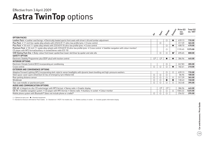### **Astra TwinTop** options Effective from 3 April 2009

|                                                                                                                                                                                                                          | $\dot{\hat{\mathbf{v}}}$ | Sport                   | Design                  | <b>Stronger</b>        | Price (£)<br>exc.<br><b>VAT</b> | Total $(E)$<br>inc. VAT |
|--------------------------------------------------------------------------------------------------------------------------------------------------------------------------------------------------------------------------|--------------------------|-------------------------|-------------------------|------------------------|---------------------------------|-------------------------|
| <b>OPTION PACKS</b>                                                                                                                                                                                                      |                          |                         |                         |                        |                                 |                         |
| Leather Pack . Leather seat facings . Electrically heated sports front seats with driver's tilt and lumbar adjustment                                                                                                    |                          |                         | O                       |                        | 639.13                          | 735.00                  |
| Plus Pack . 17-inch five-spoke alloy wheels with 225/45 R 17 ultra-low profile tyres . Cruise control                                                                                                                    |                          | $\circ$                 |                         |                        | 317.39                          | 365.00                  |
| Plus Pack • 18-inch 11-spoke alloy wheels with 225/40 R 18 ultra-low profile tyres • Cruise control                                                                                                                      |                          |                         | $\circ$                 | ●                      | 408.70                          | 470.00                  |
| Premium Pack • 18-inch 11-spoke alloy wheels with 225/40 R 18 ultra-low profile tyres • Cruise control • Satellite navigation with colour monitor/<br>CD player with MP3 format/auxiliary-in socket/stereo radio (CD 70) |                          |                         | ◯                       |                        | 1195.65                         | 1375.00                 |
| VXR Styling Pack One . Body-colour front lower spoiler/rear lower skirt/rear lip spoiler and side sills                                                                                                                  |                          | $\circ$                 |                         | $\bullet$ <sup>1</sup> | 695.65                          | 800.00                  |
| <b>SAFETY OPTION</b>                                                                                                                                                                                                     |                          |                         |                         |                        |                                 |                         |
| Electronic Stability Programme-plus (ESP-plus) with traction control                                                                                                                                                     | $\mathrm{O}^2$           | O <sup>2</sup>          |                         |                        | 386.96                          | 445.00                  |
| <b>INTERIOR OPTIONS</b>                                                                                                                                                                                                  |                          |                         |                         |                        |                                 |                         |
| Electronic Climate Control (ECC) incorporating air conditioning                                                                                                                                                          |                          |                         | O                       |                        | 247.83                          | 285.00                  |
| Cruise control                                                                                                                                                                                                           | $\circ$                  | $\bigcirc$              |                         |                        | 182.61                          | 210.00                  |
| <b>EXTERIOR AND CONVENIENCE OPTIONS</b>                                                                                                                                                                                  |                          |                         |                         |                        |                                 |                         |
| Adaptive Forward Lighting (AFL) incorporating dark-style bi-xenon headlights with dynamic beam levelling and high-pressure washers                                                                                       |                          |                         | $\circ$                 | $\circ$                | 639.13                          | 735.00                  |
| Steel space-saver spare wheel/tyre (in lieu of emergency tyre inflation kit)                                                                                                                                             | $\circ$                  | $\bigcirc$              | $\circ$                 |                        | 86.96                           | 100.00                  |
| Rear parking distance sensor                                                                                                                                                                                             | $\circ$                  | $\circ$                 |                         | $\bigcirc$             | 317.39                          | 365.00                  |
| Windbreak                                                                                                                                                                                                                | $\circ$                  | $\circ$                 |                         |                        | 130.43                          | 150.00                  |
| Two-coat metallic or pearlescent paint                                                                                                                                                                                   | $\circ$                  | $\circ$                 |                         |                        | 343.48                          | 395.00                  |
| AUDIO AND COMMUNICATION OPTIONS                                                                                                                                                                                          |                          |                         |                         |                        |                                 |                         |
| CDC 40 • Integral six-disc CD autochanger with MP3 format • Stereo radio • Graphic display                                                                                                                               |                          | $\bigcirc$ <sup>3</sup> | $\bigcirc$ <sup>3</sup> |                        | 386.96                          | 445.00                  |
| CD 70 • Satellite navigation system • CD player with MP3 format • Stereo radio • Auxiliary-in socket • Colour monitor                                                                                                    |                          | $\circ$                 |                         | $\bigcirc$             | 1065.22                         | 1225.00                 |
| Mobile phone system with Bluetooth® (does not include phone or cradle) <sup>4</sup>                                                                                                                                      | O                        | $\circ$                 |                         |                        | 256.52                          | 295.00                  |

 $\bigcirc$  = Optional at extra cost.  $\bullet$  = Standard equipment.

1 = Standard on Exclusiv with Exterior Pack models. 2 = Standard on 1.9CDTi 16v models only. 3 = Deletes auxiliary-in socket. 4 = Includes graphic information display.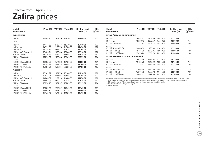## Zafira prices Effective from 3 April 2009

| Model<br>5-door MPV     | Price (£) | VAT $(E)$ | Total $(E)$ | On-the-road<br>RRP(E) | CO <sub>2</sub><br>(g/km)* |
|-------------------------|-----------|-----------|-------------|-----------------------|----------------------------|
| <b>EXPRESSION</b>       |           |           |             |                       |                            |
| 1.6i 16v                | 12008.70  | 1801.30   | 13810.00    | 14680.00              | 172                        |
| <b>LIFE</b>             |           |           |             |                       |                            |
| 1.6i 16v                | 14147.83  | 2122.17   | 16270.00    | 17140.00              | 172                        |
| 1.6i 16y (a/c)          | 14591.30  | 2188.70   | 16780.00    | 17650.00              | 172                        |
| 1.8i 16v VVT            | 15239.13  | 2285.87   | 17525.00    | 18395.00              | 177                        |
| 1.8i 16v VVT Easytronic | 15686.96  | 2353.04   | 18040.00    | 18910.00              | 172                        |
| 2.2i 16y Direct         | 16230.43  | 2434.57   | 18665.00    | 19575.00              | 197                        |
| 2.2i 16y Direct auto    | 17256.52  | 2588.48   | 19845.00    | 20755.00              | 204                        |
| Diesel                  |           |           |             |                       |                            |
| 1.7CDTi 16y ecoFLEX     | 16508.70  | 2476.30   | 18985.00    | 19805.00              | 139                        |
| 1.9CDTi (120PS)         | 16395.65  | 2459.35   | 18855.00    | 19700.00              | 159                        |
| 1.9CDTi (120PS) auto    | 17586.96  | 2638.04   | 20225.00    | 21135.00              | 186                        |
| <b>EXCLUSIV</b>         |           |           |             |                       |                            |
| 1.6i 16v                | 13165.22  | 1974.78   | 15140.00    | 16010.00              | 172                        |
| 1.8i 16v VVT            | 13813.04  | 2071.96   | 15885.00    | 16755.00              | 177                        |
| 1.8i 16v VVT Easytronic | 14260.87  | 2139.13   | 16400.00    | 17270.00              | 172                        |
| 2.2i 16y Direct         | 14804.35  | 2220.65   | 17025.00    | 17935.00              | 197                        |
| 2.2i 16y Direct auto    | 15830.43  | 2374.57   | 18205.00    | 19115.00              | 204                        |
| Diesel                  |           |           |             |                       |                            |
| 1.7CDTi 16y ecoFLEX     | 15082.61  | 2262.39   | 17345.00    | 18165.00              | 139                        |
| 1.9CDTi (120PS)         | 14969.57  | 2245.43   | 17215.00    | 18060.00              | 159                        |
| 1.9CDTi (120PS) auto    | 16160.87  | 2424.13   | 18585.00    | 19495.00              | 186                        |

| Model<br>5-door MPV                   |          |         | Price $(E)$ VAT $(E)$ Total $(E)$ | On-the-road<br>RRP(E) | CO <sub>2</sub><br>$(g/km)^*$ |
|---------------------------------------|----------|---------|-----------------------------------|-----------------------|-------------------------------|
| <b>ACTIVE (SPECIAL EDITION MODEL)</b> |          |         |                                   |                       |                               |
| 1.6i 16v                              | 14682.61 | 2202.39 | 16885.00                          | 17755.00              | 172                           |
| 1.8i 16v VVT                          | 15330.43 | 2299.57 | 17630.00                          | 18500.00              | 177                           |
| 2.2i 16y Direct auto<br>Diesel        | 17347.83 | 2602.17 | 19950.00                          | 20860.00              | 204                           |
| 1.7CDTi 16v ecoFLEX                   | 16600.00 | 2490.00 | 19090.00                          | 19910.00              | 139                           |
| 1.9CDTi (120PS)                       | 16486.96 | 2473.04 | 18960.00                          | 19805.00              | 159                           |
| 1.9CDTi (120PS) auto                  | 17678.26 | 2651.74 | 20330.00                          | 21240.00              | 186                           |
| ACTIVE PLUS (SPECIAL EDITION MODEL)   |          |         |                                   |                       |                               |
| 1.6i 16v                              | 15086.96 | 2263.04 | 17350.00                          | 18220.00              | 172                           |
| 1.8i 16v VVT                          | 15734.78 | 2360.22 | 18095.00                          | 18965.00              | 177                           |
| 2.2i 16y Direct auto                  | 17752.17 | 2662.83 | 20415.00                          | 21325.00              | 204                           |
| Diesel                                |          |         |                                   |                       |                               |
| 1.7CDTi 16v ecoFLEX                   | 17004.35 | 2550.65 | 19555.00                          | 20375.00              | 139                           |
| 1.9CDTi (120PS)                       | 16891.30 | 2533.70 | 19425.00                          | 20270.00              | 159                           |
| 1.9CDTi (120PS) auto                  | 18082.61 | 2712.39 | 20795.00                          | 21705.00              | 186                           |

Please note: On-the-road recommended retail prices (RRP) include number plates and delivery to retailer of £645.00 (inc. £84.13 VAT),<br>12 months' Vehicle Excise Duty (see page 2 for details) and new vehicle first registrati

 $*$  = CO<sub>2</sub> emission figures. Vehicle Excise Duty is based on CO<sub>2</sub> emissions (see page 2 for details).

For benefit in kind taxation charges see page 3.

a/c = Air conditioning.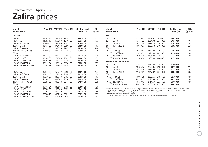## Zafira prices Effective from 3 April 2009

| Model<br>5-door MPV              |          | Price $(E)$ VAT $(E)$ | Total $(E)$ | On-the-road<br>RRP(E) | CO <sub>2</sub><br>$(g/km)^*$ |
|----------------------------------|----------|-----------------------|-------------|-----------------------|-------------------------------|
| <b>DESIGN</b>                    |          |                       |             |                       |                               |
| 1.6i 16v                         | 16304.35 | 2445.65               | 18750.00    | 19620.00              | 172                           |
| 1.8i 16v VVT                     | 16952.17 | 2542.83               | 19495.00    | 20365.00              | 177                           |
| 1.8i 16v VVT Easytronic          | 17400.00 | 2610.00               | 20010.00    | 20880.00              | 172                           |
| 2.2i 16y Direct                  | 18165.22 | 2724.78               | 20890.00    | 21800.00              | 197                           |
| 2.2i 16y Direct auto             | 19191.30 | 2878.70               | 22070.00    | 22980.00              | 204                           |
| 2.0i 16y Turbo (200PS)<br>Diesel | 19460.87 | 2919.13               | 22380.00    | 23480.00              | 228                           |
| 1.7CDTi 16y ecoFLEX              | 18217.39 | 2732.61               | 20950.00    | 21770.00              | 139                           |
| 1.9CDTi (120PS)                  | 18104.35 | 2715.65               | 20820.00    | 21665.00              | 159                           |
| 1.9CDTi (120PS) auto             | 19295.65 | 2894.35               | 22190.00    | 23100.00              | 186                           |
| 1.9CDTi 16v (150PS)              | 19113.04 | 2866.96               | 21980.00    | 22825.00              | 159                           |
| 1.9CDTi 16v (150PS) auto         | 20304.35 | 3045.65               | 23350.00    | 24260.00              | 191                           |
| <b>ELITE</b>                     |          |                       |             |                       |                               |
| 1.8i 16v VVT                     | 17847.83 | 2677.17               | 20525.00    | 21395.00              | 177                           |
| 1.8i 16v VVT Easytronic          | 18295.65 | 2744.35               | 21040.00    | 21910.00              | 172                           |
| 2.2i 16y Direct                  | 19060.87 | 2859.13               | 21920.00    | 22830.00              | 197                           |
| 2.2i 16y Direct auto             | 20086.96 | 3013.04               | 23100.00    | 24010.00              | 204                           |
| 2.0i 16y Turbo (200PS)           | 20356.52 | 3053.48               | 23410.00    | 24510.00              | 228                           |
| Diesel                           |          |                       |             |                       |                               |
| 1.7CDTi 16y ecoFLEX              | 19113.04 | 2866.96               | 21980.00    | 22800.00              | 139                           |
| 1.9CDTi (120PS)                  | 19000.00 | 2850.00               | 21850.00    | 22695.00              | 159                           |
| 1.9CDTi (120PS) auto             | 20191.30 | 3028.70               | 23220.00    | 24130.00              | 186                           |
| 1.9CDTi 16v (150PS)              | 20008.70 | 3001.30               | 23010.00    | 23855.00              | 159                           |
| 1.9CDTi 16v (150PS) auto         | 21200.00 | 3180.00               | 24380.00    | 25290.00              | 191                           |

| Model<br>5-door MPV             | Price (£) | VAT $(E)$ | Total $(E)$ | On-the-road<br>RRP(E) | CO <sub>2</sub><br>(g/km)* |
|---------------------------------|-----------|-----------|-------------|-----------------------|----------------------------|
| <b>SRi</b>                      |           |           |             |                       |                            |
| 1 8i 1 6y VVT                   | 17130.43  | 2569.57   | 19700.00    | 20570.00              | 177                        |
| 2.2i 16y Direct                 | 17765.22  | 2664.78   | 20430.00    | 21340.00              | 197                        |
| 2.2i 16y Direct auto            | 18791.30  | 2818.70   | 21610.00    | 22520.00              | 204                        |
| 2.0i 16y Turbo (200PS)          | 19060.87  | 2859.13   | 21920.00    | 23020.00              | 228                        |
| Diesel                          |           |           |             |                       |                            |
| 1.9CDTi (120PS)                 | 18282.61  | 2742.39   | 21025.00    | 21870.00              | 159                        |
| 1.9CDTi (120PS) auto            | 19473.91  | 2921.09   | 22395.00    | 23305.00              | 186                        |
| 1.9CDTi 16v (150PS)             | 18708.70  | 2806.30   | 21515.00    | 22360.00              | 159                        |
| 1.9CDTi 16y (150PS) auto        | 19900.00  | 2985.00   | 22885.00    | 23795.00              | 191                        |
| <b>SRI WITH EXTERIOR PACK**</b> |           |           |             |                       |                            |
| 1.8i 16v VVT                    | 17852.17  | 2677.83   | 20530.00    | 21400.00              | 177                        |
| 2.2i 16y Direct                 | 18486.96  | 2773.04   | 21260.00    | 22170.00              | 197                        |
| 2.2i 16y Direct auto            | 19513.04  | 2926.96   | 22440.00    | 23350.00              | 204                        |
| 2.0i 16y Turbo (200PS)          | 19782.61  | 2967.39   | 22750.00    | 23850.00              | 228                        |
| Diesel                          |           |           |             |                       |                            |
| 1.9CDTi (120PS)                 | 19004.35  | 2850.65   | 21855.00    | 22700.00              | 159                        |
| 1.9CDTi (120PS) auto            | 20195.65  | 3029.35   | 23225.00    | 24135.00              | 186                        |
| 1.9CDTi 16v (150PS)             | 19430.43  | 2914.57   | 22345.00    | 23190.00              | 159                        |
| 1.9CDTi 16v (150PS) auto        | 20621.74  | 3093.26   | 23715.00    | 24625.00              | 191                        |

Please note: On-the-road recommended retail prices (RRP) include number plates and delivery to retailer of £645.00 (inc. £84.13 VAT), 12 months' Vehicle Excise Duty (see page 2 for details) and new vehicle first registration fee of £55.00. Excludes fuel and insurance.

 $*$  = CO<sub>2</sub> emission figures. Vehicle Excise Duty is based on CO<sub>2</sub> emissions (see page 2 for details).

For benefit in kind taxation charges see page 3. \*\* = Exterior Pack comprises 18-inch five-spoke alloy wheels and VXR Styling Pack One (see page 22 for details).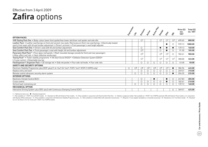### **Zafira** options Effective from 3 April 2009

|                                                                                                                                                                                                                                                |            |              |                                  |               |              |                         |                         |                         | Price $(E)$        | Total $(E)$ |
|------------------------------------------------------------------------------------------------------------------------------------------------------------------------------------------------------------------------------------------------|------------|--------------|----------------------------------|---------------|--------------|-------------------------|-------------------------|-------------------------|--------------------|-------------|
|                                                                                                                                                                                                                                                | Expressive |              | Erclasji                         | <b>Accide</b> | Active Plus  | Design                  | Eife                    | $\dot{\mathcal{S}}$     | exc.<br><b>VAT</b> | inc. VAT    |
| <b>OPTION PACKS</b>                                                                                                                                                                                                                            |            |              |                                  |               |              |                         |                         |                         |                    |             |
| VXR Styling Pack One . Body-colour lower front spoiler/rear lower skirt/rear roof spoiler and side sills                                                                                                                                       |            |              | $\circlearrowright$ <sup>1</sup> |               |              | $\bigcirc$ <sup>1</sup> | $\bigcirc$ <sup>1</sup> | $\mathcal{O}^2$         | 695.65             | 800.00      |
| Leather Pack • Leather seat facings on front and second-row seats, Morrocana on third-row seat facings • Electrically heated<br>sports front seats with tilt and lumbar adjustment . Driver's armrest . Front passenger's seat height adjuster |            |              |                                  |               |              |                         |                         | $\bigcirc$              | 939.13             | 1080.00     |
| Seat Comfort Pack One . Driver's seat with tilt and lumbar adjustment                                                                                                                                                                          |            |              | $\circ$                          |               |              |                         |                         | $\bullet$               | 139.13             | 160.00      |
| Seat Comfort Pack Two • Front passenger's seat with height, tilt and lumbar adjustment                                                                                                                                                         |            |              | $\bigcirc$ <sup>3</sup>          |               |              | $\bigcirc$              |                         |                         | 91.30              | 105.00      |
| Panoramic Roof Pack <sup>4</sup> • Four glass roof panels • Roof-mounted storage console for front and rear passengers<br>• Alloy-effect roof rails • Heat-reflective windscreen                                                               |            |              | $\bigcirc$ <sup>5</sup>          |               |              | $\bigcirc$ <sup>5</sup> | $\bigcirc$ <sup>5</sup> | $\bigcirc$              | 782.61             | 900.00      |
| Towing Pack <sup>5</sup> • Trailer stability programme • Hill Start Assist (HSA) <sup>6</sup> • Deflation Detection System (DDS) <sup>6</sup><br>• Cruise control • Detachable tow bar                                                         |            |              | O <sup>7</sup>                   |               |              | O <sup>7</sup>          | $\bigcirc$ <sup>7</sup> | $\bigcirc$ <sup>7</sup> | 300.00             | 345.00      |
| FlexOrganiser® Organiser Pack • 3D storage net • Side net pocket • Four side rail hooks • Four side rails                                                                                                                                      |            |              | $\circ$                          | О             | О            | $\circ$                 |                         |                         | 43.48              | 50.00       |
| <b>SAFETY AND SECURITY OPTIONS</b>                                                                                                                                                                                                             |            |              |                                  |               |              |                         |                         |                         |                    |             |
| Electronic Stability Programme-plus (ESP-plus) (1.6i 16v/1.8i 16v/1.7CDTi 16v/1.9CDTi (120PS) only)                                                                                                                                            | $\circ$    | $\bigcirc$ 8 | $\bigcirc$ 8                     | $\bigcirc$ 8  | $\bigcirc$ 8 | O <sup>9</sup>          | O <sup>9</sup>          |                         | 386.96             | 445.00      |
| Keyless entry and start                                                                                                                                                                                                                        |            |              | $\circ$                          | О             |              | $\circ$                 |                         | $\circ$                 | 269.57             | 310.00      |
| Remote control ultrasonic security alarm system                                                                                                                                                                                                |            | О            | $\circ$                          | О             |              | $\circ$                 |                         |                         | 204.35             | 235.00      |
| <b>INTERIOR OPTIONS</b>                                                                                                                                                                                                                        |            |              |                                  |               |              |                         |                         |                         |                    |             |
| Electronic Climate Control (ECC)                                                                                                                                                                                                               |            |              | $\circ$                          |               |              |                         |                         | $\circ$                 | 247.83             | 285.00      |
| Cruise control                                                                                                                                                                                                                                 |            |              | $\circ$                          | О             | О            | $\circ$                 |                         |                         | 182.61             | 210.00      |
| Vertical load-restraining net                                                                                                                                                                                                                  |            | $\circ$      | ◯                                | Ω             | Ω            | $\bigcirc$              |                         |                         | 139.13             | 160.00      |
| <b>MECHANICAL OPTION</b>                                                                                                                                                                                                                       |            |              |                                  |               |              |                         |                         |                         |                    |             |
| Interactive Driving System-plus (IDS-plus) with Continuous Damping Control (CDC)                                                                                                                                                               |            |              |                                  |               |              |                         |                         |                         | 369.57             | 425.00      |

 $\bigcirc$  = Optional at extra cost.  $\bullet$  = Standard equipment.

1 = Not available on 1.7CDTi 16v ecoFLEX models. 2 = Standard on SRi with Exterior Pack models. 3 = Only available in conjunction with Seat Comfort Pack One. 4 = Deletes sunglasses holder. Not available on 1.9CDTi 16v (150 with Olympic White solid paint. 5 = Only available in conjunction with Electronic Stability Programme-plus. 6 = Not available on models fitted with automatic transmission. 7 = Requires 13-pin adaptor (available as a Vauxha on 2.2i 16v Direct, 2.0i 16v Turbo and 1.9CDTi 16v (150PS) models.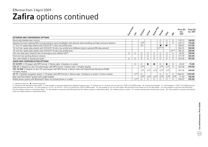### **Zafira** options continued Effective from 3 April 2009

|                                                                                                                                              |                 | Hudson                   |                          | Ictive River             | Design                   | Eife                     |                          | Price (£)<br>exc.<br><b>VAT</b> | Total $(E)$<br>inc. VAT |
|----------------------------------------------------------------------------------------------------------------------------------------------|-----------------|--------------------------|--------------------------|--------------------------|--------------------------|--------------------------|--------------------------|---------------------------------|-------------------------|
| <b>EXTERIOR AND CONVENIENCE OPTIONS</b>                                                                                                      |                 |                          |                          |                          |                          |                          |                          |                                 |                         |
| Electrically foldable door mirrors                                                                                                           |                 |                          |                          |                          | O                        |                          | $\circ$                  | 139.13                          | 160.00                  |
| Adaptive Forward Lighting (AFL) incorporating bi-xenon headlights with dynamic beam levelling and high-pressure washers                      |                 | $\bigcirc$ 10            |                          |                          | $\circ$                  |                          |                          | 639.13                          | 735.00                  |
| 17-inch 10-spoke alloy wheels with 225/45 R 17 ultra-low profile tyres                                                                       |                 | $\bigcirc$ <sup>5</sup>  |                          |                          | $\bullet^9$              | $^{\bullet}$             |                          | 360.87                          | 415.00                  |
| 18-inch five-spoke alloy wheels with 225/40 R 18 ultra-low profile tyres (different style to optional SRi alloy wheels)                      |                 |                          |                          |                          | $\bigcap$ 11,12          |                          |                          | 304.35                          | 350.00                  |
| 18-inch five-spoke alloy wheels with 225/40 R 18 ultra-low profile tyres                                                                     |                 |                          |                          |                          |                          |                          | O <sup>2,11</sup>        | 304.35                          | 350.00                  |
| Full-size steel spare wheel (in lieu of emergency tyre inflation kit) <sup>13</sup>                                                          | Ο               | $\bigcirc$               | Ο                        | Ο                        | $\bigcirc$               |                          |                          | 86.96                           | 100.00                  |
| Front and rear parking distance sensors                                                                                                      |                 | $\circ$                  | O                        |                          | $\circ$                  |                          |                          | 317.39                          | 365.00                  |
| Two-coat metallic or pearlescent paint                                                                                                       |                 |                          | C                        |                          | $\bigcirc$               |                          | $\bigcirc$               | 343.48                          | 395.00                  |
| AUDIO AND COMMUNICATION OPTIONS                                                                                                              |                 |                          |                          |                          |                          |                          |                          |                                 |                         |
| CD 30 MP3 • CD player with MP3 format • Stereo radio • Auxiliary-in socket                                                                   | O               | O                        |                          |                          | $\circ$                  |                          | $\circ$                  | 65.22                           | 75.00                   |
| CDC 40 • Integral six-disc CD autochanger with MP3 format • Stereo radio • Graphic display                                                   |                 | $\bigcirc$ <sup>14</sup> |                          |                          | $\bigcirc$ <sup>14</sup> | O <sup>14</sup>          | $\bigcirc$               | 343.48                          | 395.00                  |
| CDC 40 DAB • Integral six-disc CD autochanger with MP3 format • Stereo radio with Digital Audio Broadcast (DAB)<br>$\bullet$ Graphic display |                 | $\bigcirc$ 15            | $\bigcirc$ <sup>16</sup> | $\bigcirc$ <sup>16</sup> | $\bigcirc$ <sup>15</sup> | $\bigcirc$ 15            |                          | 391.30                          | 450.00                  |
| CD 70 • Satellite navigation system • CD player with MP3 format • Stereo radio • Auxiliary-in socket • Colour monitor                        | $\bigcirc$ 17   | $\circ$                  |                          |                          | $\circ$                  |                          | $\circ$                  | 1065.22                         | 1225.00                 |
| Rear seat Twin Audio <sup>®</sup> system with single headset                                                                                 |                 | $\bigcirc$ <sup>18</sup> | $\bigcirc$ 16            | $\bigcirc$ <sup>16</sup> | $\bigcirc$ <sup>18</sup> | $\bigcirc$ <sup>16</sup> | $\bigcirc$ <sup>18</sup> | 91.30                           | 105.00                  |
| Mobile phone system with Bluetooth <sup>®</sup> (does not include phone or cradle)                                                           | O <sup>17</sup> |                          |                          |                          | $\circ$                  |                          |                          | 256.52                          | 295.00                  |

 $\bigcirc$  = Optional at extra cost.  $\bigcirc$  = Standard equipment.

2 = Standard on SRi with Exterior Pack models. 5 = Only available in conjunction with Electronic Stability Programme-plus. 9 = Standard on 2.2i 16v Direct, 2.0i 16v Turbo and 1.9CDTi 16v (150PS) models. 10 = Includes front model with Panoramic Roof Pack. 12 = Not available on 1.6i 16v, 1.8i 16v VVT, 1.7CDTi 16v ecoFLEX and 1.9CDTi (120PS) models. 13 = Not available on 2.0i 16v Turbo models, SRi with Exterior Pack models and 18-inch alloy whe Pack One. Deletes auxiliary-in socket (where fitted). 15 = Not available in conjunction with VXR Styling Pack One. Deletes auxiliary-in socket (where fitted). 16 = Deletes auxiliary-in socket. 17 = Includes steering wheel audio units. Deletes auxiliary-in socket (where fitted).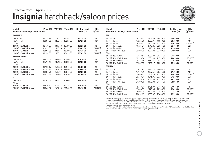### **Insignia** hatchback/saloon prices Effective from 3 April 2009



| Model<br>5-door hatchback/4-door saloon | Price $(E)$ | VAT (£) | Total $(E)$ | On-the-road<br>RRP(E) | CO <sub>2</sub><br>$(g/km)^*$ | <b>Model</b><br>5-door hatchback/4-door saloon | Price $(E)$ | VAT $(E)$ |
|-----------------------------------------|-------------|---------|-------------|-----------------------|-------------------------------|------------------------------------------------|-------------|-----------|
| <b>EXCLUSIV</b>                         |             |         |             |                       |                               | <b>SRi</b>                                     |             |           |
| 1.8i 16y VVT                            | 14134.78    | 2120.22 | 16255.00    | 17125.00              | 182                           | 1.8i 16v VVT                                   | 16356.52    | 2453.48   |
| 1.6i 16y Turbo                          | 15004.35    | 2250.65 | 17255.00    | 18125.00              | 181                           | 1.6i 16y Turbo                                 | 17226.09    | 2583.91   |
| Diesel                                  |             |         |             |                       |                               | 2.0i 16y Turbo                                 | 18369.57    | 2755.43   |
| 2.0CDTi 16v (130PS)                     | 15460.87    | 2319.13 | 17780.00    | 18625.00              | 154                           | 2.0i 16y Turbo auto                            | 19621.74    | 2943.26   |
| 2.0CDTi 16y (130PS) auto                | 16691.30    | 2503.70 | 19195.00    | 20065.00              | 179 (177)                     | 2.0i 16y Turbo 4X4                             | 19521.74    | 2928.26   |
| 2.0CDTi 16v (160PS)                     | 15895.65    | 2384.35 | 18280.00    | 19125.00              | 154                           | 2.0i 16y Turbo 4X4 auto                        | 20608.70    | 3091.30   |
| 2.0CDTi 16v (160PS) auto                | 17126.09    | 2568.91 | 19695.00    | 20565.00              | 179 (177)                     | Diesel                                         |             |           |
| <b>EXCLUSIV NAV**</b>                   |             |         |             |                       |                               | 2.0CDTi 16v (130PS)                            | 17682.61    | 2652.39   |
| 1.8i 16v VVT                            | 14826.09    | 2223.91 | 17050.00    | 17920.00              | 182                           | 2.0CDTi 16v (130PS) auto                       | 18913.04    | 2836.96   |
| 1.6i 16y Turbo                          | 15695.65    | 2354.35 | 18050.00    | 18920.00              | 181                           | 2.0CDTi 16v (160PS)                            | 18117.39    | 2717.61   |
| Diesel                                  |             |         |             |                       |                               | 2.0CDTi 16y (160PS) auto                       | 19347.83    | 2902.17   |
| 2.0CDTi 16v (130PS)                     | 16152.17    | 2422.83 | 18575.00    | 19420.00              | 154                           | <b>SRi NAV**</b>                               |             |           |
| 2.0CDTi 16v (130PS) auto                | 17382.61    | 2607.39 | 19990.00    | 20860.00              | 179 (177)                     | 1.8i 16y VVT                                   | 17047.83    | 2557.17   |
| 2.0CDTi 16v (160PS)                     | 16586.96    | 2488.04 | 19075.00    | 19920.00              | 154                           | 1.6i 16y Turbo                                 | 17917.39    | 2687.61   |
| 2.0CDTi 16v (160PS) auto                | 17817.39    | 2672.61 | 20490.00    | 21360.00              | 179 (177)                     | 2.0i 16v Turbo                                 | 19060.87    | 2859.13   |
| S                                       |             |         |             |                       |                               | 2.0i 16y Turbo auto                            | 20313.04    | 3046.96   |
| 1.8i 16v VVT                            | 15304.35    | 2295.65 | 17600.00    | 18470.00              | 182                           | 2.0i 16y Turbo 4X4                             | 20213.04    | 3031.96   |
| Diesel                                  |             |         |             |                       |                               | 2.0i 16y Turbo 4X4 auto                        | 21300.00    | 3195.00   |
| 2.0CDTi 16v (130PS)                     | 16630.43    | 2494.57 | 19125.00    | 19970.00              | 154                           | Diesel                                         |             |           |
| 2.0CDTi 16v (130PS) auto                | 17860.87    | 2679.13 | 20540.00    | 21410.00              | 179 (177)                     | 2.0CDTi 16v (130PS)                            | 18373.91    | 2756.09   |
|                                         |             |         |             |                       |                               | 2.0CDTi 16v (130PS) auto                       | 19604.35    | 2940.65   |

| SRi<br>1.8i 16v VVT<br>16356.52<br>18810.00<br>19680.00<br>182<br>2453.48<br>1.6i 16v Turbo<br>17226.09<br>2583.91<br>19810.00<br>20680.00<br>181<br>208 (207)<br>18369.57<br>2755.43<br>21125.00<br>2.0i 16v Turbo<br>22035.00<br>225<br>2.0i 16v Turbo auto<br>19621.74<br>2943.26<br>22565.00<br>23475.00<br>215<br>2.0i 16v Turbo 4X4<br>2928.26<br>22450.00<br>23360.00<br>19521.74<br>2.0i 16y Turbo 4X4 auto<br>23700.00<br>229<br>20608.70<br>3091.30<br>24800.00<br>Diesel<br>2.0CDTi 16v (130PS)<br>154<br>17682.61<br>2652.39<br>20335.00<br>21180.00<br>2.0CDTi 16v (130PS) auto<br>179 (177)<br>18913.04<br>2836.96<br>21750.00<br>22620.00<br>2.0CDTi 16v (160PS)<br>18117.39<br>2717.61<br>20835.00<br>21680.00<br>154<br>2.0CDTi 16v (160PS) auto<br>179 (177)<br>23120.00<br>19347.83<br>2902.17<br>22250.00<br><b>SRI NAV**</b><br>1.8i 16v VVT<br>182<br>17047.83<br>2557.17<br>19605.00<br>20475.00<br>1.6i 16v Turbo<br>2687.61<br>181<br>17917.39<br>20605.00<br>21475.00<br>208 (207)<br>19060.87<br>21920.00<br>2.0i 16v Turbo<br>2859.13<br>22830.00<br>2.0i 16y Turbo auto<br>20313.04<br>23360.00<br>225<br>3046.96<br>24270.00<br>2.0i 16v Turbo 4X4<br>20213.04<br>3031.96<br>23245.00<br>24155.00<br>215<br>2.0i 16v Turbo 4X4 auto<br>21300.00<br>25595.00<br>229<br>3195.00<br>24495.00<br>Diesel<br>2.0CDTi 16v (130PS)<br>2756.09<br>21130.00<br>21975.00<br>154<br>18373.91 | Model<br>5-door hatchback/4-door saloon |  | Price $(E)$ VAT $(E)$ Total $(E)$ | On-the-road<br>RRP(E) | CO <sub>2</sub><br>$(g/km)^*$ |
|----------------------------------------------------------------------------------------------------------------------------------------------------------------------------------------------------------------------------------------------------------------------------------------------------------------------------------------------------------------------------------------------------------------------------------------------------------------------------------------------------------------------------------------------------------------------------------------------------------------------------------------------------------------------------------------------------------------------------------------------------------------------------------------------------------------------------------------------------------------------------------------------------------------------------------------------------------------------------------------------------------------------------------------------------------------------------------------------------------------------------------------------------------------------------------------------------------------------------------------------------------------------------------------------------------------------------------------------------------------------------------------------------------------|-----------------------------------------|--|-----------------------------------|-----------------------|-------------------------------|
|                                                                                                                                                                                                                                                                                                                                                                                                                                                                                                                                                                                                                                                                                                                                                                                                                                                                                                                                                                                                                                                                                                                                                                                                                                                                                                                                                                                                                |                                         |  |                                   |                       |                               |
|                                                                                                                                                                                                                                                                                                                                                                                                                                                                                                                                                                                                                                                                                                                                                                                                                                                                                                                                                                                                                                                                                                                                                                                                                                                                                                                                                                                                                |                                         |  |                                   |                       |                               |
|                                                                                                                                                                                                                                                                                                                                                                                                                                                                                                                                                                                                                                                                                                                                                                                                                                                                                                                                                                                                                                                                                                                                                                                                                                                                                                                                                                                                                |                                         |  |                                   |                       |                               |
|                                                                                                                                                                                                                                                                                                                                                                                                                                                                                                                                                                                                                                                                                                                                                                                                                                                                                                                                                                                                                                                                                                                                                                                                                                                                                                                                                                                                                |                                         |  |                                   |                       |                               |
|                                                                                                                                                                                                                                                                                                                                                                                                                                                                                                                                                                                                                                                                                                                                                                                                                                                                                                                                                                                                                                                                                                                                                                                                                                                                                                                                                                                                                |                                         |  |                                   |                       |                               |
|                                                                                                                                                                                                                                                                                                                                                                                                                                                                                                                                                                                                                                                                                                                                                                                                                                                                                                                                                                                                                                                                                                                                                                                                                                                                                                                                                                                                                |                                         |  |                                   |                       |                               |
|                                                                                                                                                                                                                                                                                                                                                                                                                                                                                                                                                                                                                                                                                                                                                                                                                                                                                                                                                                                                                                                                                                                                                                                                                                                                                                                                                                                                                |                                         |  |                                   |                       |                               |
|                                                                                                                                                                                                                                                                                                                                                                                                                                                                                                                                                                                                                                                                                                                                                                                                                                                                                                                                                                                                                                                                                                                                                                                                                                                                                                                                                                                                                |                                         |  |                                   |                       |                               |
|                                                                                                                                                                                                                                                                                                                                                                                                                                                                                                                                                                                                                                                                                                                                                                                                                                                                                                                                                                                                                                                                                                                                                                                                                                                                                                                                                                                                                |                                         |  |                                   |                       |                               |
|                                                                                                                                                                                                                                                                                                                                                                                                                                                                                                                                                                                                                                                                                                                                                                                                                                                                                                                                                                                                                                                                                                                                                                                                                                                                                                                                                                                                                |                                         |  |                                   |                       |                               |
|                                                                                                                                                                                                                                                                                                                                                                                                                                                                                                                                                                                                                                                                                                                                                                                                                                                                                                                                                                                                                                                                                                                                                                                                                                                                                                                                                                                                                |                                         |  |                                   |                       |                               |
|                                                                                                                                                                                                                                                                                                                                                                                                                                                                                                                                                                                                                                                                                                                                                                                                                                                                                                                                                                                                                                                                                                                                                                                                                                                                                                                                                                                                                |                                         |  |                                   |                       |                               |
|                                                                                                                                                                                                                                                                                                                                                                                                                                                                                                                                                                                                                                                                                                                                                                                                                                                                                                                                                                                                                                                                                                                                                                                                                                                                                                                                                                                                                |                                         |  |                                   |                       |                               |
|                                                                                                                                                                                                                                                                                                                                                                                                                                                                                                                                                                                                                                                                                                                                                                                                                                                                                                                                                                                                                                                                                                                                                                                                                                                                                                                                                                                                                |                                         |  |                                   |                       |                               |
|                                                                                                                                                                                                                                                                                                                                                                                                                                                                                                                                                                                                                                                                                                                                                                                                                                                                                                                                                                                                                                                                                                                                                                                                                                                                                                                                                                                                                |                                         |  |                                   |                       |                               |
|                                                                                                                                                                                                                                                                                                                                                                                                                                                                                                                                                                                                                                                                                                                                                                                                                                                                                                                                                                                                                                                                                                                                                                                                                                                                                                                                                                                                                |                                         |  |                                   |                       |                               |
|                                                                                                                                                                                                                                                                                                                                                                                                                                                                                                                                                                                                                                                                                                                                                                                                                                                                                                                                                                                                                                                                                                                                                                                                                                                                                                                                                                                                                |                                         |  |                                   |                       |                               |
|                                                                                                                                                                                                                                                                                                                                                                                                                                                                                                                                                                                                                                                                                                                                                                                                                                                                                                                                                                                                                                                                                                                                                                                                                                                                                                                                                                                                                |                                         |  |                                   |                       |                               |
|                                                                                                                                                                                                                                                                                                                                                                                                                                                                                                                                                                                                                                                                                                                                                                                                                                                                                                                                                                                                                                                                                                                                                                                                                                                                                                                                                                                                                |                                         |  |                                   |                       |                               |
|                                                                                                                                                                                                                                                                                                                                                                                                                                                                                                                                                                                                                                                                                                                                                                                                                                                                                                                                                                                                                                                                                                                                                                                                                                                                                                                                                                                                                |                                         |  |                                   |                       |                               |
|                                                                                                                                                                                                                                                                                                                                                                                                                                                                                                                                                                                                                                                                                                                                                                                                                                                                                                                                                                                                                                                                                                                                                                                                                                                                                                                                                                                                                |                                         |  |                                   |                       |                               |
| 2.0CDTi 16v (130PS) auto<br>179 (177)<br>19604.35<br>2940.65<br>22545.00<br>23415.00                                                                                                                                                                                                                                                                                                                                                                                                                                                                                                                                                                                                                                                                                                                                                                                                                                                                                                                                                                                                                                                                                                                                                                                                                                                                                                                           |                                         |  |                                   |                       |                               |
| 2.0CDTi 16v (160PS)<br>18808.70<br>2821.30<br>21630.00<br>154<br>22475.00                                                                                                                                                                                                                                                                                                                                                                                                                                                                                                                                                                                                                                                                                                                                                                                                                                                                                                                                                                                                                                                                                                                                                                                                                                                                                                                                      |                                         |  |                                   |                       |                               |
| 179 (177)<br>2.0CDTi 16v (160PS) auto<br>20039.13<br>3005.87<br>23045.00<br>23915.00                                                                                                                                                                                                                                                                                                                                                                                                                                                                                                                                                                                                                                                                                                                                                                                                                                                                                                                                                                                                                                                                                                                                                                                                                                                                                                                           |                                         |  |                                   |                       |                               |

Please note: On-the-road recommended retail prices (RRP) include number plates and delivery to retailer of £645.00 (inc. £84.13 VAT), 12 months' Vehicle Excise Duty (see page 2 for details) and new vehicle first registration fee of £55.00. Excludes fuel and insurance.

 $*$  = CO<sub>2</sub> emission figures are for hatchback and saloon models. Where the figures differ between body style, the saloon figure is shown in brackets after the hatchback figure. Vehicle Excise Duty is based on CO<sub>2</sub> emissions (see page 2 for details).

For benefit in kind taxation charges see page 3.

\*\* = Fitted with DVD 800 Navi satellite navigation system with colour monitor/stereo radio/CD with MP3 format/auxiliary-in and USB sockets/ shark fin aerial/multi-function infotainment controller. Electric parking brake also fitted.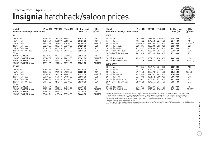### **Insignia** hatchback/saloon prices Effective from 3 April 2009



| Model<br>5-door hatchback/4-door saloon | Price (£) | VAT (£) | Total $(E)$ | On-the-road<br>RRP(E) | CO <sub>2</sub><br>$(g/km)^*$ | Model<br>5-door hatchback/4-door saloon                                                                                                                                                                                                                              | Price (£) | VAT (£) | Total $(E)$ | On-the-road<br>RRP(E) | $CO2$ (g/km)* |
|-----------------------------------------|-----------|---------|-------------|-----------------------|-------------------------------|----------------------------------------------------------------------------------------------------------------------------------------------------------------------------------------------------------------------------------------------------------------------|-----------|---------|-------------|-----------------------|---------------|
| <b>SE</b>                               |           |         |             |                       |                               | <b>ELITE</b>                                                                                                                                                                                                                                                         |           |         |             |                       |               |
| 1.8i 16y VVT                            | 17004.35  | 2550.65 | 19555.00    | 20425.00              | 182                           | 1.8i 16y VVT                                                                                                                                                                                                                                                         | 18786.96  | 2818.04 | 21605.00    | 22475.00              | 182           |
| 1.6i 16y Turbo                          | 17873.91  | 2681.09 | 20555.00    | 21425.00              | 181                           | 1.6i 16y Turbo                                                                                                                                                                                                                                                       | 19656.52  | 2948.48 | 22605.00    | 23475.00              | 181           |
| 2.0i 16y Turbo                          | 19017.39  | 2852.61 | 21870.00    | 22780.00              | 208 (207)                     | 2.0i 16y Turbo                                                                                                                                                                                                                                                       | 20800.00  | 3120.00 | 23920.00    | 24830.00              | 208 (207)     |
| 2.0i 16y Turbo auto                     | 20269.57  | 3040.43 | 23310.00    | 24220.00              | 225                           | 2.0i 16y Turbo auto                                                                                                                                                                                                                                                  | 22052.17  | 3307.83 | 25360.00    | 26270.00              | 225           |
| 2.0i 16y Turbo 4X4                      | 20169.57  | 3025.43 | 23195.00    | 24105.00              | 215                           | 2.0i 16y Turbo 4X4                                                                                                                                                                                                                                                   | 21952.17  | 3292.83 | 25245.00    | 26155.00              | 215           |
| 2.0i 16v Turbo 4X4 auto                 | 21256.52  | 3188.48 | 24445.00    | 25545.00              | 229                           | 2.0i 16y Turbo 4X4 auto                                                                                                                                                                                                                                              | 23039.13  | 3455.87 | 26495.00    | 27595.00              | 229           |
| Diesel                                  |           |         |             |                       |                               | 2.8i V6 24y Turbo 4X4 auto                                                                                                                                                                                                                                           | 24913.04  | 3736.96 | 28650.00    | 29750.00              | 272           |
| 2.0CDTi 16v (130PS)                     | 18330.43  | 2749.57 | 21080.00    | 21925.00              | 154                           | Diesel                                                                                                                                                                                                                                                               |           |         |             |                       |               |
| 2.0CDTi 16y (130PS) auto                | 19560.87  | 2934.13 | 22495.00    | 23365.00              | 179 (177)                     | 2.0CDTi 16v (160PS)                                                                                                                                                                                                                                                  | 20547.83  | 3082.17 | 23630.00    | 24475.00              | 154           |
| 2.0CDTi 16y (160PS)                     | 18765.22  | 2814.78 | 21580.00    | 22425.00              | 154                           | 2.0CDTi 16y (160PS) auto                                                                                                                                                                                                                                             | 21778.26  | 3266.74 | 25045.00    | 25915.00              | 179 (177)     |
| 2.0CDTi 16v (160PS) auto                | 19995.65  | 2999.35 | 22995.00    | 23865.00              | 179 (177)                     | <b>ELITE NAV**</b>                                                                                                                                                                                                                                                   |           |         |             |                       |               |
| SE NAV**                                |           |         |             |                       |                               | 1.8i 16y VVT                                                                                                                                                                                                                                                         | 19478.26  | 2921.74 | 22400.00    | 23270.00              | 182           |
| 1.8i 16y VVT                            | 17695.65  | 2654.35 | 20350.00    | 21220.00              | 182                           | 1.6i 16y Turbo                                                                                                                                                                                                                                                       | 20347.83  | 3052.17 | 23400.00    | 24270.00              | 181           |
| 1.6i 16y Turbo                          | 18565.22  | 2784.78 | 21350.00    | 22220.00              | 181                           | 2.0i 16y Turbo                                                                                                                                                                                                                                                       | 21491.30  | 3223.70 | 24715.00    | 25625.00              | 208 (207)     |
| 2.0i 16y Turbo                          | 19708.70  | 2956.30 | 22665.00    | 23575.00              | 208 (207)                     | 2.0i 16y Turbo auto                                                                                                                                                                                                                                                  | 22743.48  | 3411.52 | 26155.00    | 27065.00              | 225           |
| 2.0i 16y Turbo auto                     | 20960.87  | 3144.13 | 24105.00    | 25015.00              | 225                           | 2.0i 16y Turbo 4X4                                                                                                                                                                                                                                                   | 22643.48  | 3396.52 | 26040.00    | 26950.00              | 215           |
| 2.0i 16y Turbo 4X4                      | 20860.87  | 3129.13 | 23990.00    | 24900.00              | 215                           | 2.0i 16y Turbo 4X4 auto                                                                                                                                                                                                                                              | 23730.43  | 3559.57 | 27290.00    | 28390.00              | 229           |
| 2.0i 16y Turbo 4X4 auto                 | 21947.83  | 3292.17 | 25240.00    | 26340.00              | 229                           | 2.8i V6 24y Turbo 4X4 auto                                                                                                                                                                                                                                           | 25604.35  | 3840.65 | 29445.00    | 30545.00              | 272           |
| Diesel                                  |           |         |             |                       |                               | Diesel                                                                                                                                                                                                                                                               |           |         |             |                       |               |
| 2.0CDTi 16v (130PS)                     | 19021.74  | 2853.26 | 21875.00    | 22720.00              | 154                           | 2.0CDTi 16v (160PS)                                                                                                                                                                                                                                                  | 21239.13  | 3185.87 | 24425.00    | 25270.00              | 154           |
| 2.0CDTi 16v (130PS) auto                | 20252.17  | 3037.83 | 23290.00    | 24160.00              | 179 (177)                     | 2.0CDTi 16y (160PS) auto                                                                                                                                                                                                                                             | 22469.57  | 3370.43 | 25840.00    | 26710.00              | 179 (177)     |
| 2.0CDTi 16v (160PS)                     | 19456.52  | 2918.48 | 22375.00    | 23220.00              | 154                           |                                                                                                                                                                                                                                                                      |           |         |             |                       |               |
| 2.0CDTi 16v (160PS) auto                | 20686.96  | 3103.04 | 23790.00    | 24660.00              | 179 (177)                     | Please note: On-the-road recommended retail prices (RRP) include number plates and delivery to retailer of £645.00 (inc. £84.13 VAT).<br>10 acceller Valida Foster Box (essenza des dereits) erd accordials fair accidentes for af CEP OO Fostodes foot and incompre |           |         |             |                       |               |

12 months' Vehicle Excise Duty (see page 2 for details) and new vehicle first registration fee of £55.00. Excludes fuel and insurance.

\* = CO<sub>2</sub> emission figures are for hatchback and saloon models. Where the figures differ between body style, the saloon figure is shown in brackets after the hatchback figure. Vehicle Excise Duty is based on  $CO_2$  emissions (see page 2 for details).

For benefit in kind taxation charges see page 3.

\*\* = Fitted with DVD 800 Navi satellite navigation system with colour monitor/stereo radio/CD with MP3 format/auxiliary-in and USB sockets/ shark fin aerial/multi-function infotainment controller.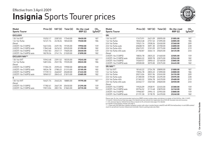### **Insignia** Sports Tourer prices Effective from 3 April 2009



| Model<br><b>Sports Tourer</b> | Price (£) | VAT (£) | Total $(E)$ | On-the-road<br>RRP(E) | CO <sub>2</sub><br>$(g/km)^*$ | <b>Model</b><br><b>Sports Tourer</b> | Price $(E)$ | VAT (£) | Total $(E)$ | On-the-road<br>RRP(E) | CO <sub>2</sub><br>$(g/km)^*$ |
|-------------------------------|-----------|---------|-------------|-----------------------|-------------------------------|--------------------------------------|-------------|---------|-------------|-----------------------|-------------------------------|
| <b>EXCLUSIV</b>               |           |         |             |                       |                               | <b>SRi</b>                           |             |         |             |                       |                               |
| 1.8i 16v VVT                  | 15252.17  | 2287.83 | 17540.00    | 18450.00              | 187                           | 1.8i 16y VVT                         | 17473.91    | 2621.09 | 20095.00    | 21005.00              | 187                           |
| 1.6i 16y Turbo                | 16121.74  | 2418.26 | 18540.00    | 19450.00              | 186                           | 1.6i 16y Turbo                       | 18343.48    | 2751.52 | 21095.00    | 22005.00              | 186                           |
| Diesel                        |           |         |             |                       |                               | 2.0i 16y Turbo                       | 19521.74    | 2928.26 | 22450.00    | 23360.00              | 209                           |
| 2.0CDTi 16v (130PS)           | 16613.04  | 2491.96 | 19105.00    | 19950.00              | 159                           | 2.0i 16v Turbo auto                  | 20608.70    | 3091.30 | 23700.00    | 24800.00              | 228                           |
| 2.0CDTi 16y (130PS) auto      | 17843.48  | 2676.52 | 20520.00    | 21390.00              | 182                           | 2.0i 16y Turbo 4X4                   | 20673.91    | 3101.09 | 23775.00    | 24685.00              | 219                           |
| 2.0CDTi 16v (160PS)           | 17047.83  | 2557.17 | 19605.00    | 20450.00              | 159                           | 2.0i 16y Turbo 4X4 auto              | 21760.87    | 3264.13 | 25025.00    | 26125.00              | 233                           |
| 2.0CDTi 16v (160PS) auto      | 18278.26  | 2741.74 | 21020.00    | 21890.00              | 182                           | Diesel                               |             |         |             |                       |                               |
| <b>EXCLUSIV NAV**</b>         |           |         |             |                       |                               | 2.0CDTi 16v (130PS)                  | 18834.78    | 2825.22 | 21660.00    | 22505.00              | 159                           |
| 1.8i 16v VVT                  | 15943.48  | 2391.52 | 18335.00    | 19245.00              | 187                           | 2.0CDTi 16y (130PS) auto             | 20065.22    | 3009.78 | 23075.00    | 23945.00              | 182                           |
| 1.6i 16y Turbo                | 16813.04  | 2521.96 | 19335.00    | 20245.00              | 186                           | 2.0CDTi 16v (160PS)                  | 19269.57    | 2890.43 | 22160.00    | 23005.00              | 159                           |
| Diesel                        |           |         |             |                       |                               | 2.0CDTi 16v (160PS) auto             | 20500.00    | 3075.00 | 23575.00    | 24445.00              | 182                           |
| 2.0CDTi 16v (130PS)           | 17304.35  | 2595.65 | 19900.00    | 20745.00              | 159                           | <b>SRi NAV**</b>                     |             |         |             |                       |                               |
| 2.0CDTi 16y (130PS) auto      | 18534.78  | 2780.22 | 21315.00    | 22185.00              | 182                           | 1.8i 16v VVT                         | 18165.22    | 2724.78 | 20890.00    | 21800.00              | 187                           |
| 2.0CDTi 16v (160PS)           | 17739.13  | 2660.87 | 20400.00    | 21245.00              | 159                           | 1.6i 16y Turbo                       | 19034.78    | 2855.22 | 21890.00    | 22800.00              | 186                           |
| 2.0CDTi 16v (160PS) auto      | 18969.57  | 2845.43 | 21815.00    | 22685.00              | 182                           | 2.0i 16y Turbo                       | 20213.04    | 3031.96 | 23245.00    | 24155.00              | 209                           |
| s                             |           |         |             |                       |                               | 2.0i 16y Turbo auto                  | 21300.00    | 3195.00 | 24495.00    | 25595.00              | 228                           |
|                               |           |         |             |                       |                               | 2.0i 16y Turbo 4X4                   | 21365.22    | 3204.78 | 24570.00    | 25480.00              | 219                           |
| 1.8i 16y VVT                  | 16421.74  | 2463.26 | 18885.00    | 19795.00              | 187                           | 2.0i 16v Turbo 4X4 auto              | 22452.17    | 3367.83 | 25820.00    | 26920.00              | 233                           |
| Diesel                        |           |         |             |                       |                               | Diesel                               |             |         |             |                       |                               |
| 2.0CDTi 16v (130PS)           | 17782.61  | 2667.39 | 20450.00    | 21295.00              | 159                           | 2.0CDTi 16v (130PS)                  | 19526.09    | 2928.91 | 22455.00    | 23300.00              | 159                           |
| 2.0CDTi 16v (130PS) auto      | 19013.04  | 2851.96 | 21865.00    | 22735.00              | 182                           | 2.0CDTi 16v (130PS) auto             | 20756.52    | 3113.48 | 23870.00    | 24740.00              | 182                           |
|                               |           |         |             |                       |                               | 2.0CDTi 16y (160PS)                  | 19960.87    | 2994.13 | 22955.00    | 23800.00              | 159                           |

2.0CDTi 16v (160PS) auto 21191.30 3178.70 24370.00 **25240.00** 182 Please note: On-the-road recommended retail prices (RRP) include number plates and delivery to retailer of £645.00 (inc. £84.13 VAT),

12 months' Vehicle Excise Duty (see page 2 for details) and new vehicle first registration fee of £55.00. Excludes fuel and insurance.

 $*$  = CO<sub>2</sub> emission figures. Vehicle Excise Duty is based on CO<sub>2</sub> emissions (see page 2 for details).

For benefit in kind taxation charges see page 3.

 \*\* = Fitted with DVD 800 Navi satellite navigation system with colour monitor/stereo radio/CD with MP3 format/auxiliary-in and USB sockets/ shark fin aerial/multi-function infotainment controller. Electric parking brake also fitted.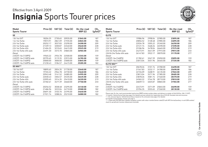### **Insignia** Sports Tourer prices Effective from 3 April 2009



| Model<br><b>Sports Tourer</b> |          | Price $(E)$ VAT $(E)$ | Total $(E)$ | On-the-road<br>RRP(E) | CO <sub>2</sub><br>$(g/km)^*$ | <b>Model</b><br><b>Sports Tourer</b>                                                                                                                                                                                                                                | Price (£) | VAT (£) | Total $(E)$ | On-the-road<br>RRP(E) | CO <sub>2</sub><br>$(g/km)^*$ |
|-------------------------------|----------|-----------------------|-------------|-----------------------|-------------------------------|---------------------------------------------------------------------------------------------------------------------------------------------------------------------------------------------------------------------------------------------------------------------|-----------|---------|-------------|-----------------------|-------------------------------|
| <b>SE</b>                     |          |                       |             |                       |                               | <b>ELITE</b>                                                                                                                                                                                                                                                        |           |         |             |                       |                               |
| 1.8i 16v VVT                  | 18204.35 | 2730.65               | 20935.00    | 21845.00              | 187                           | 1.8i 16v VVT                                                                                                                                                                                                                                                        | 19986.96  | 2998.04 | 22985.00    | 23895.00              | 187                           |
| 1.6i 16v Turbo                | 19073.91 | 2861.09               | 21935.00    | 22845.00              | 186                           | 1.6i 16y Turbo                                                                                                                                                                                                                                                      | 20856.52  | 3128.48 | 23985.00    | 24895.00              | 186                           |
| 2.0i 16y Turbo                | 20252.17 | 3037.83               | 23290.00    | 24200.00              | 209                           | 2.0i 16y Turbo                                                                                                                                                                                                                                                      | 22034.78  | 3305.22 | 25340.00    | 26250.00              | 209                           |
| 2.0i 16y Turbo auto           | 21339.13 | 3200.87               | 24540.00    | 25640.00              | 228                           | 2.0i 16y Turbo auto                                                                                                                                                                                                                                                 | 23121.74  | 3468.26 | 26590.00    | 27690.00              | 228                           |
| 2.0i 16y Turbo 4X4            | 21404.35 | 3210.65               | 24615.00    | 25525.00              | 219                           | 2.0i 16y Turbo 4X4                                                                                                                                                                                                                                                  | 23186.96  | 3478.04 | 26665.00    | 27575.00              | 219                           |
| 2.0i 16v Turbo 4X4 auto       | 22491.30 | 3373.70               | 25865.00    | 26965.00              | 233                           | 2.0i 16y Turbo 4X4 auto                                                                                                                                                                                                                                             | 24273.91  | 3641.09 | 27915.00    | 29015.00              | 233                           |
| Diesel                        |          |                       |             |                       |                               | 2.8i V6 24y Turbo 4X4 auto                                                                                                                                                                                                                                          | 26147.83  | 3922.17 | 30070.00    | 31170.00              | 277                           |
| 2.0CDTi 16y (130PS)           | 19565.22 | 2934.78               | 22500.00    | 23345.00              | 159                           | Diesel                                                                                                                                                                                                                                                              |           |         |             |                       |                               |
| 2.0CDTi 16y (130PS) auto      | 20795.65 | 3119.35               | 23915.00    | 24785.00              | 182                           | 2.0CDTi 16v (160PS)                                                                                                                                                                                                                                                 | 21782.61  | 3267.39 | 25050.00    | 25895.00              | 159                           |
| 2.0CDTi 16y (160PS)           | 20000.00 | 3000.00               | 23000.00    | 23845.00              | 159                           | 2.0CDTi 16y (160PS) auto                                                                                                                                                                                                                                            | 23013.04  | 3451.96 | 26465.00    | 27335.00              | 182                           |
| 2.0CDTi 16y (160PS) auto      | 21230.43 | 3184.57               | 24415.00    | 25285.00              | 182                           | <b>ELITE NAV**</b>                                                                                                                                                                                                                                                  |           |         |             |                       |                               |
| <b>SE NAV**</b>               |          |                       |             |                       |                               | 1.8i 16v VVT                                                                                                                                                                                                                                                        | 20678.26  | 3101.74 | 23780.00    | 24690.00              | 187                           |
| 1.8i 16v VVT                  | 18895.65 | 2834.35               | 21730.00    | 22640.00              | 187                           | 1.6i 16y Turbo                                                                                                                                                                                                                                                      | 21547.83  | 3232.17 | 24780.00    | 25690.00              | 186                           |
| 1.6i 16y Turbo                | 19765.22 | 2964.78               | 22730.00    | 23640.00              | 186                           | 2.0i 16y Turbo                                                                                                                                                                                                                                                      | 22726.09  | 3408.91 | 26135.00    | 27045.00              | 209                           |
| 2.0i 16y Turbo                | 20943.48 | 3141.52               | 24085.00    | 24995.00              | 209                           | 2.0i 16y Turbo auto                                                                                                                                                                                                                                                 | 23813.04  | 3571.96 | 27385.00    | 28485.00              | 228                           |
| 2.0i 16y Turbo auto           | 22030.43 | 3304.57               | 25335.00    | 26435.00              | 228                           | 2.0i 16y Turbo 4X4                                                                                                                                                                                                                                                  | 23878.26  | 3581.74 | 27460.00    | 28370.00              | 219                           |
| 2.0i 16y Turbo 4X4            | 22095.65 | 3314.35               | 25410.00    | 26320.00              | 219                           | 2.0i 16y Turbo 4X4 auto                                                                                                                                                                                                                                             | 24965.22  | 3744.78 | 28710.00    | 29810.00              | 233                           |
| 2.0i 16y Turbo 4X4 auto       | 23182.61 | 3477.39               | 26660.00    | 27760.00              | 233                           | 2.8i V6 24y Turbo 4X4 auto                                                                                                                                                                                                                                          | 26839.13  | 4025.87 | 30865.00    | 31965.00              | 277                           |
| Diesel                        |          |                       |             |                       |                               | Diesel                                                                                                                                                                                                                                                              |           |         |             |                       |                               |
| 2.0CDTi 16v (130PS)           | 20256.52 | 3038.48               | 23295.00    | 24140.00              | 159                           | 2.0CDTi 16v (160PS)                                                                                                                                                                                                                                                 | 22473.91  | 3371.09 | 25845.00    | 26690.00              | 159                           |
| 2.0CDTi 16y (130PS) auto      | 21486.96 | 3223.04               | 24710.00    | 25580.00              | 182                           | 2.0CDTi 16y (160PS) auto                                                                                                                                                                                                                                            | 23704.35  | 3555.65 | 27260.00    | 28130.00              | 182                           |
| 2.0CDTi 16v (160PS)           | 20691.30 | 3103.70               | 23795.00    | 24640.00              | 159                           |                                                                                                                                                                                                                                                                     |           |         |             |                       |                               |
| 2.0CDTi 16v (160PS) auto      | 21921.74 | 3288.26               | 25210.00    | 26080.00              | 182                           | Please note: On-the-road recommended retail prices (RRP) include number plates and delivery to retailer of £645.00 (inc. £84.13 VAT).<br>10 acceler Velotal Fortes Bolo (essence O fer delsite) and accorditate fundamental for af CEE OO Fortodas fort and tracera |           |         |             |                       |                               |

Please note: On-the-road recommended retail prices (RRP) include number plates and delivery to retailer of £645.00 (inc. £84.13 VAT),<br>12 months' Vehicle Excise Duty (see page 2 for details) and new vehicle first registrati

 $*$  = CO<sub>2</sub> emission figures. Vehicle Excise Duty is based on CO<sub>2</sub> emissions (see page 2 for details).

For benefit in kind taxation charges see page 3.

\*\* = Fitted with DVD 800 Navi satellite navigation system with colour monitor/stereo radio/CD with MP3 format/auxiliary-in and USB sockets/ shark fin aerial/multi-function infotainment controller.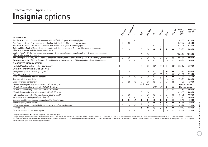### **Insignia** options Effective from 3 April 2009

|                                                                                                                                                                     |                         |                |            |                         |                         |                         |                         |                                  |                                  | Price (£)<br>exc. | Total $(E)$<br>inc. VAT |
|---------------------------------------------------------------------------------------------------------------------------------------------------------------------|-------------------------|----------------|------------|-------------------------|-------------------------|-------------------------|-------------------------|----------------------------------|----------------------------------|-------------------|-------------------------|
|                                                                                                                                                                     | Exclusiv                | Erclisit Map   | ທ          | $\dot{\mathcal{S}}$     | SRI-Nat                 |                         | <b>SK Nap</b>           | Eitre                            | Elite Nat                        | <b>VAT</b>        |                         |
| <b>OPTION PACKS</b>                                                                                                                                                 |                         |                |            |                         |                         |                         |                         |                                  |                                  |                   |                         |
| Plus Pack . 17-inch 7-spoke alloy wheels with 225/55 R 17 tyres . Front fog lights                                                                                  |                         |                | O          |                         |                         |                         |                         |                                  |                                  | 369.57            | 425.00                  |
| Plus Pack • 18-inch 7-twinspoke alloy wheels with 245/45 R 18 tyres • Front fog lights                                                                              | $\circ$                 | $\circ$        |            |                         |                         |                         |                         |                                  |                                  | 369.57            | 425.00                  |
| Plus Pack • 19-inch 10-spoke alloy wheels with 245/40 R 19 tyres • Front fog lights                                                                                 |                         |                |            |                         |                         | $\circ$                 | $\circ$                 |                                  |                                  | 413.04            | 475.00                  |
| Sight and Light Pack • Tunnel detection for automatic lighting control • Rain-sensitive windscreen wipers<br>· Electro-chromatic anti-dazzle rear-view mirror       | $\circ$                 | $\circ$        |            | $\circ$                 | $\circ$                 | $\bullet$               | $\bullet$               |                                  | $\bullet$                        | 173.91            | 200.00                  |
| Leather Pack <sup>1</sup> . Perforated leather seat facings . Dual-zone electronic climate control . Driver's seat ventilation<br>• Electrically heated front seats |                         |                |            | $\circ$                 | $\circ$                 |                         |                         |                                  |                                  | 1086.96           | 1250.00                 |
| VXR Styling Pack . Body-colour front lower spoiler/side sills/rear lower skirt/rear spoiler . Emergency tyre inflation kit                                          | $\circ$                 | $\circ$        |            | $\circ$                 | $\circ$                 | $\circ$                 | $\circ$                 | $\circ$                          | $\circ$                          | 695.65            | 800.00                  |
| FlexOrganiser® Pack (Sports Tourer) • Four side rails • 3D storage net • Side net pocket • Four side rail hooks                                                     | $\circ$                 | $\circ$        | O          | $\circ$                 | $\circ$                 | $\circ$                 | $\circ$                 | $\circ$                          | $\circ$                          | 86.96             | 100.00                  |
| <b>CHASSIS TECHNOLOGY OPTION</b>                                                                                                                                    |                         |                |            |                         |                         |                         |                         |                                  |                                  |                   |                         |
| FlexRide (Adaptive Stability Technology) system <sup>2</sup>                                                                                                        |                         |                |            | $\circ$                 | О                       | $\bigcirc$ <sup>3</sup> | $\bigcirc$ <sup>3</sup> | $\circlearrowright$ <sup>4</sup> | $\circlearrowright$ <sup>4</sup> | 652.17            | 750.00                  |
| <b>EXTERIOR AND CONVENIENCE OPTIONS</b>                                                                                                                             |                         |                |            |                         |                         |                         |                         |                                  |                                  |                   |                         |
| Intelligent Adaptive Forward Lighting (AFL)                                                                                                                         | $\bigcirc$ <sup>1</sup> | O <sup>1</sup> |            | $\bigcirc$ <sup>1</sup> | $\bigcirc$ <sup>1</sup> | О                       | $\circ$                 |                                  | $\bullet$                        | 739.13            | 850.00                  |
| Front camera system                                                                                                                                                 |                         |                |            |                         |                         | $\bigcirc$              | $\bigcirc$ <sup>5</sup> | $\bigcirc$ 6                     | $\bigcirc$ 6                     | 691.30            | 795.00                  |
| Front and rear parking distance sensors                                                                                                                             | $\bigcirc$              | $\bigcirc$     | $\bigcirc$ | $\bigcirc$              | $\circ$                 | $\circ$                 | $\circ$                 |                                  | $\bullet$                        | 317.39            | 365.00                  |
| Rear side window sunblinds                                                                                                                                          |                         |                |            |                         |                         | $\circ$                 | $\circ$                 | $\circ$                          | $\circ$                          | 173.91            | 200.00                  |
| Cigar lighter and front ashtray                                                                                                                                     | $\circ$                 | $\circ$        | O          | $\circ$                 | $\circ$                 | $\circ$                 | $\circ$                 | $\circ$                          | $\circ$                          | 17.39             | 20.00                   |
| 18-inch 5-twinspoke alloy wheels with 245/45 R 18 tyres                                                                                                             |                         |                |            | N/C <sub>7</sub>        | N/C <sub>7</sub>        |                         |                         |                                  |                                  | No-cost option    |                         |
| 18-inch 13-spoke alloy wheels with 245/45 R 18 tyres                                                                                                                |                         |                |            |                         |                         | N/C <sub>7</sub>        | N/C <sub>7</sub>        | $\bullet$                        | $\bullet$                        | No-cost option    |                         |
| 19-inch 10-spoke alloy wheels with 245/40 R 19 tyres                                                                                                                |                         |                |            |                         |                         |                         |                         | $\bigcirc$                       | $\bigcirc$                       | 347.83            | 400.00                  |
| 20-inch 5-twinspoke alloy wheels with 245/35 R 20 tyres                                                                                                             |                         |                |            | $\circ$                 | $\circ$                 |                         |                         |                                  |                                  | 695.65            | 800.00                  |
| Full-size steel spare wheel (in lieu of space-saver wheel) <sup>8</sup>                                                                                             | $\circ$                 | $\circ$        |            | $\circ$                 | $\circ$                 | $\circ$                 | $\circ$                 | $\circ$                          | $\circ$                          | 86.96             | 100.00                  |
| Vertical load-restraining net (Sports Tourer)                                                                                                                       | $\circ$                 | $\circ$        | О          | $\circ$                 | $\circ$                 | О                       | $\circ$                 | $\circ$                          | $\circ$                          | 173.91            | 200.00                  |
| Stainless steel trim on luggage compartment lip (Sports Tourer)                                                                                                     |                         | $\bullet$      | O          | $\bullet$               | $\bullet$               | $\bullet$               | $\bullet$               | $\bullet$                        | $\bullet$                        | 43.48             | 50.00                   |
| Power tailgate (Sports Tourer)                                                                                                                                      |                         |                |            | $\circ$                 | $\circ$                 | $\bullet$               | $\bullet$               | $\bullet$                        | $\bullet$                        | 304.35            | 350.00                  |
| 230-volt rear power outlet behind front seats (two-pin Euro-style socket)                                                                                           | $\circ$                 | $\circ$        | $\circ$    | $\circ$                 | $\circ$                 | $\circ$                 | $\circ$                 | $\circ$                          | $\circ$                          | 65.22             | 75.00                   |
| Front fog lights                                                                                                                                                    |                         |                |            | $\bullet$               | $\bullet$               | О                       | $\circ$                 |                                  | $\bullet$                        | 130.43            | 150.00                  |
| Two-coat metallic or pearlescent paint                                                                                                                              | $\circ$                 | $\circ$        | $\circ$    | $\circ$                 | $\circ$                 | $\circ$                 | $\circ$                 | О                                | $\circ$                          | 343.48            | 395.00                  |

 $Q = 0$ ptional at extra cost.  $\bullet =$  Standard equipment. N/C = No-cost option.

1 = Sight and Light Pack is also included. 2 = Standard on 2.0i 16v Turbo models. Not available on 1.8i 16v VVT models. 3 = Not available on 1.6i 16v Turbo or 2.0CDTi 16v (130PS) models. 4 = Standard on 2.8i V6 24v Turbo m high beam with assist function from optional Intelligent Adaptive Forward Lighting (AFL). 6 = Deletes high beam with assist function. 7 = Fitted as standard to Sports Tourer 2.0i 16v Turbo 4X4 models. 8 = Not available wit Fitment of full-size spare wheel reduces luggage capacities.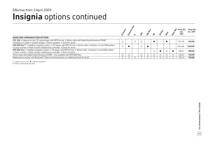### **Insignia** options continued Effective from 3 April 2009

|                                                                                                                                                                                                                   |  |         |  |  |  | Price (£)<br>exc.<br><b>VAT</b> | Total (£)<br>inc. VAT |
|-------------------------------------------------------------------------------------------------------------------------------------------------------------------------------------------------------------------|--|---------|--|--|--|---------------------------------|-----------------------|
| AUDIO AND COMMUNICATION OPTIONS                                                                                                                                                                                   |  |         |  |  |  |                                 |                       |
| CDC 400 . Integral six-disc CD autochanger with MP3 format . Stereo radio with Digital Audio Broadcast (DAB)<br>• Auxiliary-in socket • Graphic display • Seven speakers • Shark fin aerial                       |  | $\circ$ |  |  |  | 391.30                          | 450.00                |
| DVD 800 Navi <sup>9</sup> • Satellite navigation system • CD player with MP3 format • Stereo radio • Auxiliary-in and USB sockets<br>• Colour monitor • Multi-function infotainment controller • Shark fin aerial |  |         |  |  |  | 1043.48                         | 1200.00               |
| DVD 800 Navi . Satellite navigation system . CD player with MP3 format . Stereo radio . Auxiliary-in and USB sockets<br>• Colour monitor • Multi-function infotainment controller • Shark fin aerial              |  |         |  |  |  | 782.61                          | 900.00                |
| Stereo radio with Digital Audio Broadcast (DAB) - only available with DVD 800 Navi                                                                                                                                |  |         |  |  |  | 130.43                          | 150.00                |
| Mobile phone system with Bluetooth® (does not include phone or cradle) and shark fin aerial                                                                                                                       |  |         |  |  |  | 130.43                          | 150.00                |

 $\bigcirc$  = Optional at extra cost.  $\bigcirc$  = Standard equipment.

 $9$  = Electric parking brake also fitted.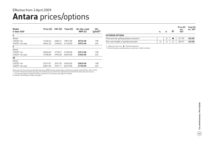### **Antara** prices/options Effective from 3 April 2009

| Model<br>5-door SUV | Price $(E)$ | VAT (£) | Total $(E)$ | On-the-road<br>RRP(E) | CO <sub>2</sub><br>$(g/km)^*$ |
|---------------------|-------------|---------|-------------|-----------------------|-------------------------------|
| Е                   |             |         |             |                       |                               |
| Diesel              |             |         |             |                       |                               |
| 2.0CDTi 16v         | 17230.43    | 2584.57 | 19815.00    | 20725.00              | 198                           |
| 2.0CDTi 16y auto    | 18404.35    | 2760.65 | 21165.00    | 22075.00              | 225                           |
| S                   |             |         |             |                       |                               |
| Diesel              |             |         |             |                       |                               |
| 2.0CDTi 16v         | 18526.09    | 2778.91 | 21305.00    | 22215.00              | 198                           |
| 2.0CDTi 16y auto    | 19700.00    | 2955.00 | 22655.00    | 23565.00              | 225                           |
| <b>SE</b>           |             |         |             |                       |                               |
| Diesel              |             |         |             |                       |                               |
| 2.0CDTi 16v         | 21673.91    | 3251.09 | 24925.00    | 25835.00              | 198                           |
| 2.0CDTi 16y auto    | 22847.83    | 3427.17 | 26275.00    | 27185.00              | 225                           |

Please note: On-the-road recommended retail prices (RRP) include number plates and delivery to retailer of £645.00 (inc. £84.13 VAT),<br>12 months' Vehicle Excise Duty (see page 2 for details) and new vehicle first registrati

 $*$  = CO<sub>2</sub> emission figures. Vehicle Excise Duty is based on CO<sub>3</sub> emissions (see page 2 for details).

For benefit in kind taxation charges see page 3.

|                                                      |  | ິ | Price $(E)$<br>exc.<br><b>VAT</b> | Total $(E)$<br>inc. VAT |
|------------------------------------------------------|--|---|-----------------------------------|-------------------------|
| <b>EXTERIOR OPTIONS</b>                              |  |   |                                   |                         |
| Front and rear parking distance sensors <sup>1</sup> |  |   | 317.39                            | 365.00                  |
| Two-coat metallic or pearlescent paint               |  |   | 369.57                            | 425.00                  |

 $\bigcirc$  = Optional at extra cost.  $\bullet$  = Standard equipment.

1 = Restricted option availability, please consult your retailer for details.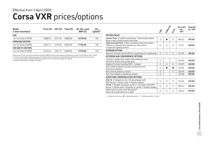### **Corsa VXR** prices/options Effective from 3 April 2009

| Model<br>3-door hatchback | Price $(E)$ |         | VAT $(E)$ Total $(E)$ | On-the-road<br>RRP(E) | CO <sub>2</sub><br>$(g/km)^*$ |
|---------------------------|-------------|---------|-----------------------|-----------------------|-------------------------------|
| <b>VXR</b>                |             |         |                       |                       |                               |
| 1.6i 16y Turbo (192PS)    | 13808.70    | 2071.30 | 15880.00              | 16790.00              | 190                           |
| <b>VXRACING EDITION</b>   |             |         |                       |                       |                               |
| 1.6i 16y Turbo (192PS)    | 14652.17    | 2197.83 | 16850.00              | 17760.00              | 190                           |
| <b>VXR ARCTIC EDITION</b> |             |         |                       |                       |                               |
| 1.6i 16y Turbo (192PS)    | 14678.26    | 220174  | 16880.00              | 17790.00              | 190                           |

Please note: On-the-road recommended retail prices (RRP) include number plates and delivery to retailer of £645.00 (inc. £84.13 VAT), 12 months' Vehicle Excise Duty (see page 2 for details) and new vehicle first registration fee of £55.00. Excludes fuel and insurance.<br>\* = CO<sub>2</sub> emission figures. Vehicle Excise Duty is based on CO<sub>2</sub> emissions (see page 2

For benefit in kind taxation charges see page 3.

|                                                                                                                                             | $z_{\vec{k}}$ | <b>LIRACITO</b> | Arctic     | Price $(E)$<br>exc.<br><b>VAT</b> | Total (£)<br>inc. VAT |
|---------------------------------------------------------------------------------------------------------------------------------------------|---------------|-----------------|------------|-----------------------------------|-----------------------|
| <b>OPTION PACKS</b>                                                                                                                         |               |                 |            |                                   |                       |
| Leather Pack • Leather seat facings • Electrically heated<br>Recaro shell-backed sports front seats                                         | $\bigcirc$    |                 | Ο          | 865.22                            | 995.00                |
| Sight and Light Pack . Rain-sensitive windscreen wipers<br>· Electro-chromatic anti-dazzle rear-view mirror<br>• Automatic lighting control | Ω             | Ω               | Ω          | 173.91                            | 200.00                |
| <b>INTERIOR OPTION</b>                                                                                                                      |               |                 |            |                                   |                       |
| Electronic Climate Control (ECC) incorporating air conditioning                                                                             | Ω             | ∩               | Ο          | 247.83                            | 285.00                |
| <b>EXTERIOR AND CONVENIENCE OPTIONS</b>                                                                                                     |               |                 |            |                                   |                       |
| 18-inch V-spoke alloy wheels with anthracite inner,<br>225/35 R 18 ultra-low profile tyres                                                  | ∩             |                 |            | 426.09                            | 490.00                |
| Adaptive Forward Lighting (AFL) - halogen                                                                                                   | О             | ◯               | Ο          | 226.09                            | 260.00                |
| Dark-tinted windows (excludes windscreen and<br>front door windows)                                                                         | Ο             |                 |            | 226.09                            | 260.00                |
| Rear parking distance sensors                                                                                                               | О             |                 | Ο          | 226.09                            | 260.00                |
| Two-coat metallic or pearlescent paint                                                                                                      | Ο             |                 |            | 343.48                            | 395.00                |
| <b>AUDIO AND COMMUNICATION OPTIONS</b>                                                                                                      |               |                 |            |                                   |                       |
| CDC 40 • Integral six-disc CD autochanger with<br>MP3 format . Stereo radio . Graphic display <sup>1</sup>                                  | O             | $\circ$         | $\bigcirc$ | 343.48                            | 395.00                |
| CD 60 • Satellite navigation system • CD player with MP3<br>format • Stereo radio • Auxiliary-in socket • Graphic display                   | O             | O               | О          | 830.43                            | 955.00                |
| Mobile phone system with Bluetooth <sup>®</sup><br>(does not include phone or cradle)                                                       | O             | О               | О          | 256.52                            | 295.00                |

 $O =$  Optional at extra cost.  $\bullet =$  Standard equipment. 1 = Deletes auxiliary-in socket.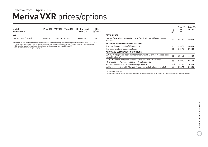### **Meriva VXR** prices/options Effective from 3 April 2009

| Model<br>5-door MPV    |          | Price $(E)$ VAT $(E)$ Total $(E)$ | On-the-road<br>RRP(E) | CO <sub>2</sub><br>$(q/km)$ * |
|------------------------|----------|-----------------------------------|-----------------------|-------------------------------|
| <b>VXR</b>             |          |                                   |                       |                               |
| 1.6i 16y Turbo (180PS) | 14908.70 | 2236.30 17145.00                  | 18055.00              | 187                           |

12 months' Vehicle Excise Duty (see page 2 for details) and new vehicle first registration fee of £55.00. Excludes fuel and insurance.<br>\* = CO<sub>2</sub> emission figures. Vehicle Excise Duty is based on CO<sub>2</sub> emissions (see page 2

For benefit in kind taxation charges see page 3.

|                                                                                                                           | $\mathcal{F}_{\mathcal{F}}$ | Price $(E)$<br>exc.<br><b>VAT</b> | Total $(E)$<br>inc. VAT |
|---------------------------------------------------------------------------------------------------------------------------|-----------------------------|-----------------------------------|-------------------------|
| <b>OPTION PACK</b>                                                                                                        |                             |                                   |                         |
| Leather Pack • Leather seat facings • Electrically heated Recaro sports<br>front seats                                    | Ο                           | 852.17                            | 980.00                  |
| <b>EXTERIOR AND CONVENIENCE OPTIONS</b>                                                                                   |                             |                                   |                         |
| Adaptive Forward Lighting (AFL) - halogen                                                                                 | Ο                           | 226.09                            | 260.00                  |
| Two-coat metallic or pearlescent paint                                                                                    | ∩                           | 343.48                            | 395.00                  |
| AUDIO AND COMMUNICATION OPTIONS                                                                                           |                             |                                   |                         |
| CDC 40 • Integral six-disc CD autochanger with MP3 format • Stereo radio<br>• Graphic display $1$                         | $\bigcirc$                  | 386.96                            | 445.00                  |
| CD 70 • Satellite navigation system • CD player with MP3 format<br>• Stereo radio • Auxiliary-in socket • Graphic display | Ο                           | 830.43                            | 955.00                  |
| Rear seat Twin Audio <sup>®</sup> system with single headset                                                              | $\bigcirc$ <sup>2</sup>     | 91.30                             | 105.00                  |
| Mobile phone system with Bluetooth <sup>®</sup> (does not include phone or cradle)                                        | $\circ$                     | 256.52                            | 295.00                  |

 $O =$  Optional at extra cost.

1 = Deletes auxiliary-in socket. 2 = Not available in conjunction with mobile phone system with Bluetooth®. Deletes auxiliary-in socket.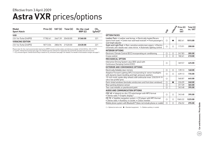### **Astra VXR** prices/options Effective from 3 April 2009

| Model<br><b>Sport Hatch</b> | Price $(E)$ VAT $(E)$ Total $(E)$ |         |                  | On-the-road<br>RRP(E) | CO <sub>2</sub><br>$(q/km)^*$ |
|-----------------------------|-----------------------------------|---------|------------------|-----------------------|-------------------------------|
| <b>VXR</b>                  |                                   |         |                  |                       |                               |
| 2.0i 16v Turbo (240PS)      | 17782.61                          | 2667.39 | 20450.00         | 21360.00              | 221                           |
| <b>VXRACING EDITION</b>     |                                   |         |                  |                       |                               |
| 2.0i 16y Turbo (240PS)      | 1871304                           |         | 2806.96 21520.00 | 22430.00              | 221                           |

Please note: On-the-road recommended retail prices (RRP) include number plates and delivery to retailer of £645.00 (inc. £84.13 VAT), 12 months' Vehicle Excise Duty (see page 2 for details) and new vehicle first registration fee of £55.00. Excludes fuel and insurance. \* = CO<sub>2</sub> emission figures. Vehicle Excise Duty is based on CO<sub>2</sub> emissions (see page 2 for details). For benefit in kind taxation charges see page 3.

|                                                                                                                                                                      | $z_{\rm f}$ | Macriso    | Price $(E)$<br>exc.<br><b>VAT</b> | Total (£)<br>inc. VAT |
|----------------------------------------------------------------------------------------------------------------------------------------------------------------------|-------------|------------|-----------------------------------|-----------------------|
| <b>OPTION PACKS</b>                                                                                                                                                  |             |            |                                   |                       |
| Leather Pack • Leather seat facings • Electrically heated Recaro<br>sports front seats • Centre rear seat head restraint • Front passenger's<br>seat height adjuster | Ω           |            | 882.61                            | 1015.00               |
| Sight and Light Pack • Rain-sensitive windscreen wipers • Electro-<br>chromatic anti-dazzle rear-view mirror • Automatic lighting control                            | О           | O          | 173.91                            | 200.00                |
| <b>INTERIOR OPTIONS</b>                                                                                                                                              |             |            |                                   |                       |
| Electronic Climate Control (ECC) incorporating air conditioning                                                                                                      | О           | О          | 247.83                            | 285.00                |
| Cruise control                                                                                                                                                       | $\bigcirc$  | $\bigcirc$ | 182.61                            | 210.00                |
| <b>MECHANICAL OPTION</b>                                                                                                                                             |             |            |                                   |                       |
| Interactive Driving System-plus (IDS-plus) with<br>Continuous Damping Control (CDC)                                                                                  | Ο           |            | 369.57                            | 425.00                |
| <b>EXTERIOR AND CONVENIENCE OPTIONS</b>                                                                                                                              |             |            |                                   |                       |
| Electrically foldable door mirrors                                                                                                                                   | O           | $\circ$    | 139.13                            | 160.00                |
| Adaptive Forward Lighting (AFL) incorporating bi-xenon headlights<br>with dynamic beam levelling and high-pressure washers                                           | ∩           | $\bigcirc$ | 639.13                            | 735.00                |
| 19-inch multi-spoke alloy wheels with anthracite inner, 235/35 R 19<br>ultra-low profile tyres                                                                       | О           |            | 560.87                            | 645.00                |
| Dark-tinted windows (excludes windscreen and front door windows)                                                                                                     | $\bigcirc$  | $\bullet$  | 226.09                            | 260.00                |
| Rear parking distance sensor                                                                                                                                         | $\circ$     |            | 317.39                            | 365.00                |
| Two-coat metallic or pearlescent paint                                                                                                                               | ∩           |            | 343.48                            | 395.00                |
| AUDIO AND COMMUNICATION OPTIONS                                                                                                                                      |             |            |                                   |                       |
| CDC 40 . Integral six-disc CD autochanger with MP3 format<br>· Stereo radio · Graphic display <sup>1</sup>                                                           | Ω           | $\bigcirc$ | 343.48                            | 395.00                |
| CD 70 • Satellite navigation system • CD player with MP3 format<br>· Stereo radio · Auxiliary-in socket · Colour monitor                                             | О           | $\circ$    | 1065.22                           | 1225.00               |

Mobile phone system with Bluetooth<sup>®</sup> (does not include phone or cradle)  $\boxed{\bigcirc}$   $\boxed{\bigcirc}$  256.52 **295.00** 

 $O =$  Optional at extra cost.  $\bullet =$  Standard equipment. 1 = Deletes auxiliary-in socket.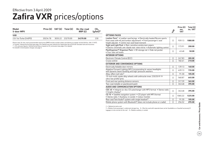### **Zafira VXR** prices/options Effective from 3 April 2009

| Model<br>5-door MPV                                                                                                                                                                                                                                                                                                                                                                                                                                              |          |         | Price $(E)$ VAT $(E)$ Total $(E)$ | On-the-road<br>RRP(E) | CO <sub>2</sub> |
|------------------------------------------------------------------------------------------------------------------------------------------------------------------------------------------------------------------------------------------------------------------------------------------------------------------------------------------------------------------------------------------------------------------------------------------------------------------|----------|---------|-----------------------------------|-----------------------|-----------------|
| <b>VXR</b>                                                                                                                                                                                                                                                                                                                                                                                                                                                       |          |         |                                   |                       |                 |
| 2.0i 16y Turbo (240PS)                                                                                                                                                                                                                                                                                                                                                                                                                                           | 20234.78 | 3035.22 | 23270.00                          | 24370.00              | 230             |
| Please note: On-the-road recommended retail prices (RRP) include number plates and delivery to retailer of £645.00 (inc. £84.13 VAT),<br>12 months' Vehicle Excise Duty (see page 2 for details) and new vehicle first registration fee of £55.00. Excludes fuel and insurance.<br>* = CO <sub>2</sub> emission figures. Vehicle Excise Duty is based on CO <sub>2</sub> emissions (see page 2 for details).<br>For benefit in kind taxation charges see page 3. |          |         |                                   |                       |                 |

|                                                                                                                                                                                                                   | $z_{f}^2$  | Price $(E)$<br>exc.<br><b>VAT</b> | Total (£)<br>inc. VAT |
|-------------------------------------------------------------------------------------------------------------------------------------------------------------------------------------------------------------------|------------|-----------------------------------|-----------------------|
| <b>OPTIONS PACKS</b>                                                                                                                                                                                              |            |                                   |                       |
| Leather Pack <sup>1</sup> • Leather seat facings • Electrically heated Recaro sports<br>front seats with tilt and lumbar adjustment . Front passenger's seat<br>height adjuster . Centre rear seat head restraint | ◯          | 939.13                            | 1080.00               |
| Sight and Light Pack . Rain-sensitive windscreen wipers<br>• Electro-chromatic anti-dazzle rear-view mirror • Automatic lighting control                                                                          | $\bigcirc$ | 173.91                            | 200.00                |
| FlexOrganiser <sup>®</sup> Organiser Pack • 3D storage net • Side net pocket<br>• Four side rail hooks                                                                                                            | O          | 43.48                             | 50.00                 |
| <b>INTERIOR OPTIONS</b>                                                                                                                                                                                           |            |                                   |                       |
| Electronic Climate Control (ECC)                                                                                                                                                                                  | O          | 247.83                            | 285.00                |
| Cruise control                                                                                                                                                                                                    | $\bigcirc$ | 182.61                            | 210.00                |
| <b>EXTERIOR AND CONVENIENCE OPTIONS</b>                                                                                                                                                                           |            |                                   |                       |
| Electrically foldable door mirrors                                                                                                                                                                                | $\bigcirc$ | 139.13                            | 160.00                |
| Adaptive Forward Lighting (AFL) incorporating bi-xenon headlights<br>with dynamic beam levelling and high-pressure washers                                                                                        | ◯          | 639.13                            | 735.00                |
| Alloy-effect roof rails <sup>2</sup>                                                                                                                                                                              | $\bigcirc$ | 91.30                             | 105.00                |
| 19-inch multi-spoke alloy wheels with anthracite inner, 235/35 R 19<br>ultra-low profile tyres                                                                                                                    | ◯          | 560.87                            | 645.00                |
| Front and rear parking distance sensors                                                                                                                                                                           | $\circ$    | 317.39                            | 365.00                |
| Two-coat metallic or pearlescent paint                                                                                                                                                                            | ∩          | 343.48                            | 395.00                |
| AUDIO AND COMMUNICATION OPTIONS                                                                                                                                                                                   |            |                                   |                       |
| CDC 40 • Integral six-disc CD autochanger with MP3 format • Stereo radio<br>• Graphic display <sup>3</sup>                                                                                                        | $\bigcirc$ | 343.48                            | 395.00                |
| CD 70 • Satellite navigation system • CD player with MP3 format<br>· Stereo radio · Auxiliary-in socket · Colour monitor                                                                                          | $\bigcirc$ | 1065.22                           | 1225.00               |
| Rear seat Twin Audio <sup>®</sup> system with single headset <sup>3</sup>                                                                                                                                         | O          | 91.30                             | 105.00                |
| Mobile phone system with Bluetooth <sup>®</sup> (does not include phone or cradle)                                                                                                                                | $\bigcirc$ | 256.52                            | 295.00                |

 $O =$  Optional at extra cost.

<sup>1</sup> = Deletes front passenger's underseat storage tray. <sup>2</sup> = Must be used with separate base carrier (available as a Vauxhall accessory) if luggage is to be carried on the roof. 3 = Deletes auxiliary-in socket.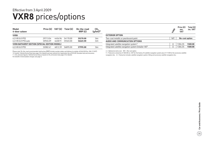### **VXR8** prices/options Effective from 3 April 2009

| Model<br>4-door saloon                               |          |         | Price $(E)$ VAT $(E)$ Total $(E)$ | On-the-road<br>RRP(E) | CO <sub>2</sub><br>$(g/km)^*$ |
|------------------------------------------------------|----------|---------|-----------------------------------|-----------------------|-------------------------------|
| VXR8                                                 |          |         |                                   |                       |                               |
| 6.2i V8 (431PS)                                      | 29713.04 | 4456.96 | 34170.00                          | 35270.00              | 364                           |
| 6.2i V8 (431PS) auto                                 | 30926.09 | 4638.91 | 35565.00                          | 36665.00              | 345                           |
| <b>VXR8 BATHURST EDITION (SPECIAL EDITION MODEL)</b> |          |         |                                   |                       |                               |
| 6.2i V8 (431PS)                                      | 32082.61 | 4812.39 | 36895.00                          | 37995.00              | 364                           |

Please note: On-the-road recommended retail prices (RRP) include number plates and delivery to retailer of £645.00 (inc. £84.13 VAT), 12 months' Vehicle Excise Duty (see page 2 for details) and new vehicle first registration fee of £55.00. Excludes fuel and insurance. \* = CO2 emission figures. Vehicle Excise Duty is based on CO2 emissions (see page 2 for details).

For benefit in kind taxation charges see page 3.

|                                                                    | JR8 | Price $(E)$<br>exc.<br><b>VAT</b> | Total $(E)$<br>inc. VAT |
|--------------------------------------------------------------------|-----|-----------------------------------|-------------------------|
| <b>EXTERIOR OPTION</b>                                             |     |                                   |                         |
| Two-coat metallic or pearlescent paint                             | N/C | No-cost option                    |                         |
| AUDIO AND COMMUNICATION OPTIONS                                    |     |                                   |                         |
| Integrated satellite navigation system <sup>1</sup>                |     | 1304.35                           | 1500.00                 |
| Integrated satellite navigation system (retailer-fit) <sup>2</sup> |     | 1304.35                           | 1500.00                 |

 $O =$  Optional at extra cost.  $N/C = No$ -cost option.

1 = Total price comprises £1383.00 inc. VAT for the factory-fi t satellite navigation system plus £117.00 for the accessory satellite navigation disc. 2 = Total price includes satellite navigation system, fitting and accessory satellite navigation disc.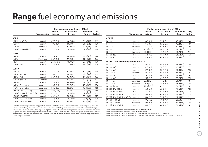## **Range** fuel economy and emissions

|                            |              |                         | Fuel economy mpg (litres/100km) |                           |                           |                                   | Fuel economy mpg (litres/100km) |                  |                        |                           |                           |
|----------------------------|--------------|-------------------------|---------------------------------|---------------------------|---------------------------|-----------------------------------|---------------------------------|------------------|------------------------|---------------------------|---------------------------|
|                            | Transmission | <b>Urban</b><br>driving | Extra-urban<br>driving          | <b>Combined</b><br>figure | CO <sub>2</sub><br>(g/km) |                                   | <b>Transmission</b>             | Urban<br>driving | Extra-urban<br>driving | <b>Combined</b><br>figure | CO <sub>2</sub><br>(g/kn) |
| <b>AGILA</b>               |              |                         |                                 |                           |                           | <b>MERIVA</b>                     |                                 |                  |                        |                           |                           |
| 1.0i 12v ecoFLEX           | manual       | 47.9 (5.9)              | 64.2(4.4)                       | 56.5(5.0)                 | 119                       | 1.4i 16v                          | manual                          | 34.9(8.1)        | 55.4(5.1)              | 45.6(6.2)                 | 148                       |
| 1.2i 16v                   | manual       | 40.9 (6.9)              | 60.1(4.7)                       | 51.4(5.5)                 | 129                       | 1.6i 16v                          | manual                          | 31.7(8.9)        | 52.3(5.4)              | 42.2(6.7)                 | 159                       |
| 1.2i 16v                   | automatic    | 36.2(7.8)               | 57.6 (4.9)                      | 47.9(5.9)                 | 142                       | 1.6i 16v                          | Easytronic                      | 31.7(8.9)        | 52.3(5.4)              | 42.2(6.7)                 | 159                       |
| 1.3CDTi 16v ecoFLEX        | manual       | 51.4(5.5)               | 70.6 (4.0)                      | 62.8(4.5)                 | 120                       | 1.8i 16v                          | manual                          | 27.4 (10.3)      | 50.4(5.6)              | 38.7(7.3)                 | 174                       |
|                            |              |                         |                                 |                           |                           | 1.8i 16v                          | Easytronic                      | 28.0(10.1)       | 49.6(5.7)              | 38.7(7.3)                 | 174                       |
| <b>TIGRA</b>               |              |                         |                                 |                           |                           | 1.3CDTi 16v                       | manual                          | 45.6(6.2)        | 65.7(4.3)              | 56.5(5.0)                 | 135                       |
| 1.4i 16v                   | manual       | 34.9(8.1)               | 56.5(5.0)                       | 46.3(6.1)                 | 146                       | 1.7CDTi 16v                       | manual                          | 42.8(6.6)        | 64.2(4.4)              | 54.3(5.2)                 | 139                       |
| 1.4i 16v                   | Easytronic   | 35.3(8.0)               | 57.6 (4.9)                      | 47.1(6.0)                 | 144                       |                                   |                                 |                  |                        |                           |                           |
| 1.8i 16v                   | manual       | 27.2(10.4)              | 48.7(5.8)                       | 37.7(7.5)                 | 179                       | ASTRA SPORT HATCH/ASTRA HATCHBACK |                                 |                  |                        |                           |                           |
| 1.3CDTi 16v                | manual       | 48.7 (5.8)              | 72.4 (3.9)                      | 61.4(4.6)                 | 124                       | 1.4i 16v                          | manual                          | 35.3(8.0)        | 56.5(5.0)              | 46.3(6.1)                 | 146                       |
| <b>CORSA</b>               |              |                         |                                 |                           |                           | 1.6i 16v VVT1                     | manual                          | 32.5(8.7)        | 54.3(5.2)              | 43.5(6.5)                 | 155                       |
| 1.0i 12v                   | manual       | 38.7(7.3)               | 61.4(4.6)                       | 50.4(5.6)                 | 134                       | 1.6i 16v VVT <sup>2</sup>         | manual                          | 32.1(8.8)        | 53.3(5.3)              | 42.8(6.6)                 | 158                       |
| 1.2i 16v exc. SXi          | manual       | 36.7(7.7)               | 60.1(4.7)                       | 48.7(5.8)                 | 139                       | 1.6i 16v VVT                      | Easytronic                      | 33.2(8.5)        | 56.5(5.0)              | 44.8(6.3)                 | 151                       |
| 1.2i 16y SXi               | manual       | 35.3(8.0)               | 56.5(5.0)                       | 46.3(6.1)                 | 146                       | 1.8i 16v VVT1                     | manual                          | 29.1(9.7)        | 50.4(5.6)              | 39.8(7.1)                 | 169                       |
| 1.2i 16y exc. SXi          | Easytronic   | 37.2(7.6)               | 61.4(4.6)                       | 49.6(5.7)                 | 137                       | 1.8i 16v VVT <sup>2</sup>         | manual                          | 28.8 (9.8)       | 49.6(5.7)              | 39.2(7.2)                 | 172                       |
| 1.4i 16v                   | manual       | 35.3(8.0)               | 56.5(5.0)                       | 46.3(6.1)                 | 146                       | 1.8i 16v VVT <sup>1</sup>         | automatic                       | 27.2(10.4)       | 46.3(6.1)              | 36.7(7.7)                 | 184                       |
| 1.4i 16y 3-dr hatch        | automatic    | 33.2(8.5)               | 53.3(5.3)                       | 43.5(6.5)                 | 154                       | 1.8i 16v VVT <sup>2</sup>         | automatic                       | 26.9(10.5)       | 45.6(6.2)              | 36.2(7.8)                 | 186                       |
| 1.4i 16y 5-dr hatch        | automatic    | 32.8(8.6)               | 52.3(5.4)                       | 42.8(6.6)                 | 158                       | 1.6i 16v Turbo                    | manual                          | 27.4 (10.3)      | 45.6(6.2)              | 36.7(7.7)                 | 185                       |
| 1.6i 16v Turbo (150PS)     | manual       | 26.9(10.5)              | 44.1(6.4)                       | 35.8(7.9)                 | 189                       | 1.3CDTi 16v (90PS)                | manual                          | 44.8(6.3)        | 68.9(4.1)              | 57.6 (4.9)                | 130                       |
| 1.3CDTi 16v (75PS) ecoFLEX | manual       | 49.6(5.7)               | 74.3 (3.8)                      | 62.8(4.5)                 | 119                       | 1.7CDTi 16v (100PS)3              | manual                          | 44.1(6.4)        | 67.3(4.2)              | 56.5(5.0)                 | 135                       |
| 1.3CDTi 16v (90PS)         | manual       | 45.6(6.2)               | 70.6 (4.0)                      | 58.9 (4.8)                | 127                       | 1.7CDTi 16v (100PS) <sup>4</sup>  | manual                          | 43.5(6.5)        | 65.7(4.3)              | 55.4(5.1)                 | 138                       |
| 1.7CDTi 16y 3-dr hatch     | manual       | 45.6 (6.2)              | 70.6 (4.0)                      | 58.9 (4.8)                | 130                       | 1.7CDTi 16v (110PS) ecoFLEX       | manual                          | 50.4(5.6)        | 72.4 (3.9)             | 62.8(4.5)                 | 119                       |
| 1.7CDTi 16v 5-dr hatch     | manual       | 44.8(6.3)               | 68.9(4.1)                       | 57.6(4.9)                 | 132                       | 1.9CDTi (120PS)                   | manual                          | 39.2 (7.2)       | 60.1(4.7)              | 50.4(5.6)                 | 149                       |
|                            |              |                         |                                 |                           |                           | 1.9CDTi (120PS)                   | automatic                       | 29.4(9.6)        | 53.3(5.3)              | 40.9(6.9)                 | 186                       |

|                                   |                     |              | Fuel economy mpg (litres/100km) |                 |                 |
|-----------------------------------|---------------------|--------------|---------------------------------|-----------------|-----------------|
|                                   |                     | <b>Urban</b> | Extra-urban                     | <b>Combined</b> | CO <sub>2</sub> |
|                                   | <b>Transmission</b> | driving      | driving                         | figure          | (g/km)          |
| <b>MERIVA</b>                     |                     |              |                                 |                 |                 |
| 1.4i 16v                          | manual              | 34.9(8.1)    | 55.4(5.1)                       | 45.6(6.2)       | 148             |
| 1.6i 16v                          | manual              | 31.7(8.9)    | 52.3 (5.4)                      | 42.2 (6.7)      | 159             |
| 1.6i 16v                          | Easytronic          | 31.7(8.9)    | 52.3(5.4)                       | 42.2(6.7)       | 159             |
| 1.8i 16v                          | manual              | 27.4 (10.3)  | 50.4(5.6)                       | 38.7(7.3)       | 174             |
| 1.8i 16v                          | Easytronic          | 28.0 (10.1)  | 49.6 (5.7)                      | 38.7(7.3)       | 174             |
| 1.3CDTi 16v                       | manual              | 45.6(6.2)    | 65.7(4.3)                       | 56.5(5.0)       | 135             |
| 1.7CDTi 16v                       | manual              | 42.8(6.6)    | 64.2(4.4)                       | 54.3 (5.2)      | 139             |
| ASTRA SPORT HATCH/ASTRA HATCHBACK |                     |              |                                 |                 |                 |
| 1.4i 16v                          | manual              | 35.3(8.0)    | 56.5(5.0)                       | 46.3(6.1)       | 146             |
| 1.6i 16v VVT1                     | manual              | 32.5(8.7)    | 54.3 (5.2)                      | 43.5(6.5)       | 155             |
| 1.6i 16v VVT <sup>2</sup>         | manual              | 32.1(8.8)    | 53.3(5.3)                       | 42.8(6.6)       | 158             |
| 1.6i 16v VVT                      | Easytronic          | 33.2(8.5)    | 56.5(5.0)                       | 44.8(6.3)       | 151             |
| 1.8i 16v VVT1                     | manual              | 29.1(9.7)    | 50.4(5.6)                       | 39.8(7.1)       | 169             |
| 1.8i 16v VVT <sup>2</sup>         | manual              | 28.8 (9.8)   | 49.6(5.7)                       | 39.2 (7.2)      | 172             |
| 1.8i 16v VVT1                     | automatic           | 27.2(10.4)   | 46.3(6.1)                       | 36.7(7.7)       | 184             |
| 1.8i 16v VVT2                     | automatic           | 26.9 (10.5)  | 45.6(6.2)                       | 36.2(7.8)       | 186             |
| 1.6i 16v Turbo                    | manual              | 27.4 (10.3)  | 45.6 (6.2)                      | 36.7(7.7)       | 185             |
| 1.3CDTi 16v (90PS)                | manual              | 44.8(6.3)    | 68.9(4.1)                       | 57.6 (4.9)      | 130             |
| 1.7CDTi 16v (100PS)3              | manual              | 44.1(6.4)    | 67.3(4.2)                       | 56.5(5.0)       | 135             |
| 1.7CDTi 16v (100PS) <sup>4</sup>  | manual              | 43.5(6.5)    | 65.7(4.3)                       | 55.4 (5.1)      | 138             |
| 1.7CDTi 16v (110PS) ecoFLEX       | manual              | 50.4 (5.6)   | 72.4 (3.9)                      | 62.8(4.5)       | 119             |
| 1.9CDTi (120PS)                   | manual              | 39.2 (7.2)   | 60.1(4.7)                       | 50.4(5.6)       | 149             |

The fuel consumption figures shown comply with EC directive 1999/100 to provide a realistic indication of fuel consumption by taking into account everyday driving conditions, such as cold starts, acceleration and braking. These figures take account of the vehicle's kerbweight, ascertained in accordance with the above regulation. Important: the results given relate to the particular car tested. Variations in trim level and equipment may result in slightly higher fuel consumption and  $CO<sub>2</sub>$  emission levels than those quoted. Driving style, road and traffic conditions, vehicle mileage and standard of maintenance may also affect fuel consumption; therefore the results do not express or imply any guarantee of fuel consumption attainable.

 $1$  = Figures apply to vehicles fitted with wheels up to 16 inches in diameter.

 $2$  = Figures apply to vehicles fitted with 17-inch or 18-inch wheels.

3 = Figures apply to Sport Hatch models fitted with 16-inch wheels and 5-door hatchback Life models.

4 = Figures apply to Sport Hatch models fitted with 17-inch or 18-inch wheels and 5-door hatchback models excluding Life.

1.9CDTi 16v (150PS) manual 39.2 (7.2) 60.1 (4.7) 50.4 (5.6) 149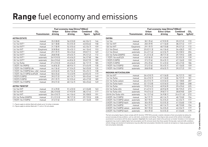## **Range** fuel economy and emissions

|                                 |              |                         | Fuel economy mpg (litres/100km) |                           |                           |                              |                     |                         | Fuel economy mpg (litres/100km) |                           |                           |
|---------------------------------|--------------|-------------------------|---------------------------------|---------------------------|---------------------------|------------------------------|---------------------|-------------------------|---------------------------------|---------------------------|---------------------------|
|                                 | Transmission | <b>Urban</b><br>driving | Extra-urban<br>driving          | <b>Combined</b><br>figure | CO <sub>2</sub><br>(g/km) |                              | <b>Transmission</b> | <b>Urban</b><br>driving | Extra-urban<br>driving          | <b>Combined</b><br>figure | CO <sub>2</sub><br>(g/kn) |
| <b>ASTRA ESTATE</b>             |              |                         |                                 |                           |                           | <b>ZAFIRA</b>                |                     |                         |                                 |                           |                           |
| 1.4i 16v                        | manual       | 35.3(8.0)               | 56.5(5.0)                       | 46.3(6.1)                 | 146                       | 1.6i 16v                     | manual              | 30.1(9.4)               | 47.9(5.9)                       | 39.2(7.2)                 | 172                       |
| 1.6i 16v VVT1                   | manual       | 32.1(8.8)               | 53.3(5.3)                       | 42.8(6.6)                 | 158                       | 1.8i 16v VVT                 | manual              | 28.5(9.9)               | 47.1(6.0)                       | 38.2(7.4)                 | 177                       |
| 1.6i 16y VVT <sup>2</sup>       | manual       | 31.7(8.9)               | 52.3(5.4)                       | 42.2(6.7)                 | 159                       | 1.8i 16v VVT                 | Easytronic          | 29.1(9.7)               | 48.7(5.8)                       | 39.2(7.2)                 | 172                       |
| 1.6i 16v VVT                    | Easytronic   | 32.8(8.6)               | 55.4(5.1)                       | 44.1(6.4)                 | 153                       | 2.2i 16y Direct              | manual              | 25.0(11.3)              | 44.1(6.4)                       | 34.4(8.2)                 | 197                       |
| 1.8i 16y VVT1                   | manual       | 29.1(9.7)               | 50.4(5.6)                       | 39.8(7.1)                 | 169                       | 2.2i 16y Direct              | automatic           | 24.4 (11.6)             | 42.2(6.7)                       | 33.2(8.5)                 | 204                       |
| 1.8i 16v VVT <sup>2</sup>       | manual       | 28.8 (9.8)              | 49.6(5.7)                       | 39.2 (7.2)                | 172                       | 2.0i 16v Turbo (200PS)       | manual              | 21.2(13.3)              | 38.7 (7.3)                      | 29.7(9.5)                 | 228                       |
| 1.8i 16y VVT <sup>1</sup>       | automatic    | 26.9(10.5)              | 45.6(6.2)                       | 36.2(7.8)                 | 186                       | 1.7CDTi 16v ecoFLEX          | manual              | 43.5(6.5)               | 61.4(4.6)                       | 53.3(5.3)                 | 139                       |
| 1.8i 16v VVT2                   | automatic    | 26.6(10.6)              | 44.8(6.3)                       | 35.8(7.9)                 | 189                       | 1.9CDTi (120PS)              | manual              | 37.2(7.6)               | 55.4(5.1)                       | 47.1(6.0)                 | 159                       |
| 1.6i 16v Turbo                  | manual       | 27.4 (10.3)             | 45.6(6.2)                       | 36.7(7.7)                 | 185                       | 1.9CDTi (120PS)              | automatic           | 29.4(9.6)               | 51.4(5.5)                       | 40.4(7.0)                 | 186                       |
| 1.3CDTi 16v (90PS)              | manual       | 44.8(6.3)               | 68.9(4.1)                       | 57.6 (4.9)                | 130                       | 1.9CDTi 16v (150PS)          | manual              | 37.2(7.6)               | 55.4(5.1)                       | 47.1(6.0)                 | 159                       |
| 1.7CDTi 16y (100PS) Life        | manual       | 44.1(6.4)               | 67.3(4.2)                       | 56.5(5.0)                 | 135                       | 1.9CDTi 16v (150PS)          | automatic           | 28.8(9.8)               | 49.6(5.7)                       | 39.2(7.2)                 | 191                       |
| 1.7CDTi 16v (100PS) (exc. Life) | manual       | 43.5(6.5)               | 65.7(4.3)                       | 55.4(5.1)                 | 138                       |                              |                     |                         |                                 |                           |                           |
| 1.7CDTi 16y (110PS) ecoFLEX     | manual       | 50.4(5.6)               | 72.4 (3.9)                      | 62.8(4.5)                 | 119                       | <b>INSIGNIA HATCH/SALOON</b> |                     |                         |                                 |                           |                           |
| 1.9CDTi (120PS)                 | manual       | 39.2(7.2)               | 60.1(4.7)                       | 50.4(5.6)                 | 149                       | 1.8i 16v VVT                 | manual              | 26.4(10.7)              | 47.1(6.0)                       | 36.7(7.7)                 | 182                       |
| 1.9CDTi (120PS)                 | automatic    | 29.1(9.7)               | 52.3(5.4)                       | 40.4 (7.0)                | 189                       | 1.6i 16v Turbo               | manual              | 26.4(10.7)              | 47.1(6.0)                       | 36.7(7.7)                 | 181                       |
| 1.9CDTi 16y (150PS)             | manual       | 39.2(7.2)               | 60.1(4.7)                       | 50.4(5.6)                 | 149                       | 2.0i 16v Turbo saloon        | manual              | 22.2(12.7)              | 43.5(6.5)                       | 32.1(8.8)                 | 207                       |
|                                 |              |                         |                                 |                           |                           | 2.0i 16y Turbo hatch         | manual              | 22.1(12.8)              | 43.5(6.5)                       | 32.1(8.8)                 | 208                       |
| <b>ASTRA TWINTOP</b>            |              |                         |                                 |                           |                           | 2.0i 16v Turbo               | automatic           | 19.9 (14.2)             | 40.9(6.9)                       | 29.4 (9.6)                | 225                       |
| 1.6i 16v VVT                    | manual       | 31.4(9.0)               | 51.4(5.5)                       | 41.5(6.8)                 | 163                       | 2.0i 16y Turbo 4X4           | manual              | 21.6(13.1)              | 40.9(6.9)                       | 30.7(9.2)                 | 215                       |
| 1.8i 16v VVT                    | manual       | 28.2(10.0)              | 47.9(5.9)                       | 38.2(7.4)                 | 177                       | 2.0i 16y Turbo 4X4           | automatic           | 19.6(14.4)              | 39.8(7.1)                       | 28.8(9.8)                 | 229                       |
| 1.8i 16v VVT                    | automatic    | 26.4(10.7)              | 44.1(6.4)                       | 35.3(8.0)                 | 191                       | 2.8i V6 24v Turbo 4X4        | automatic           | 16.1(17.6)              | 34.9(8.1)                       | 24.4(11.6)                | 272                       |
| 2.0i 16y Turbo (200PS)          | manual       | 21.2(13.3)              | 38.7(7.3)                       | 29.7(9.5)                 | 228                       | 2.0CDTi 16v (130PS)          | manual              | 36.7(7.7)               | 60.1(4.7)                       | 48.7(5.8)                 | 154                       |
| 1.9CDTi 16v (150PS)             | manual       | 37.2(7.6)               | 55.4(5.1)                       | 47.1(6.0)                 | 159                       | 2.0CDTi 16v (130PS) saloon   | automatic           | 30.7(9.2)               | 54.3(5.2)                       | 42.2(6.7)                 | 177                       |

1 = Figures apply to vehicles fitted with wheels up to 16 inches in diameter.

 $2$  = Figures apply to vehicles fitted with 17-inch or 18-inch wheels.

|                              |                     | Urban       | Extra-urban | <b>Combined</b> | CO <sub>2</sub> |
|------------------------------|---------------------|-------------|-------------|-----------------|-----------------|
|                              | <b>Transmission</b> | driving     | driving     | figure          | (g/km)          |
| <b>ZAFIRA</b>                |                     |             |             |                 |                 |
| 1.6i 16v                     | manual              | 30.1(9.4)   | 47.9 (5.9)  | 39.2(7.2)       | 172             |
| 1.8i 16v VVT                 | manual              | 28.5(9.9)   | 47.1 (6.0)  | 38.2 (7.4)      | 177             |
| 1.8i 16v VVT                 | Easytronic          | 29.1(9.7)   | 48.7 (5.8)  | 39.2 (7.2)      | 172             |
| 2.2i 16y Direct              | manual              | 25.0(11.3)  | 44.1(6.4)   | 34.4(8.2)       | 197             |
| 2.2i 16y Direct              | automatic           | 24.4 (11.6) | 42.2 (6.7)  | 33.2(8.5)       | 204             |
| 2.0i 16v Turbo (200PS)       | manual              | 21.2 (13.3) | 38.7(7.3)   | 29.7 (9.5)      | 228             |
| 1.7CDTi 16v ecoFLEX          | manual              | 43.5(6.5)   | 61.4(4.6)   | 53.3(5.3)       | 139             |
| 1.9CDTi (120PS)              | manual              | 37.2(7.6)   | 55.4(5.1)   | 47.1(6.0)       | 159             |
| 1.9CDTi (120PS)              | automatic           | 29.4(9.6)   | 51.4(5.5)   | 40.4 (7.0)      | 186             |
| 1.9CDTi 16v (150PS)          | manual              | 37.2(7.6)   | 55.4(5.1)   | 47.1(6.0)       | 159             |
| 1.9CDTi 16v (150PS)          | automatic           | 28.8 (9.8)  | 49.6 (5.7)  | 39.2(7.2)       | 191             |
| <b>INSIGNIA HATCH/SALOON</b> |                     |             |             |                 |                 |
| 1.8i 16v VVT                 | manual              | 26.4 (10.7) | 47.1 (6.0)  | 36.7(7.7)       | 182             |
| 1.6i 16v Turbo               | manual              | 26.4(10.7)  | 47.1 (6.0)  | 36.7(7.7)       | 181             |
| 2.0i 16y Turbo saloon        | manual              | 22.2(12.7)  | 43.5(6.5)   | 32.1(8.8)       | 207             |
| 2.0i 16v Turbo hatch         | manual              | 22.1 (12.8) | 43.5 (6.5)  | 32.1(8.8)       | 208             |
| 2.0i 16y Turbo               | automatic           | 19.9 (14.2) | 40.9 (6.9)  | 29.4 (9.6)      | 225             |
| 2.0i 16y Turbo 4X4           | manual              | 21.6(13.1)  | 40.9 (6.9)  | 30.7(9.2)       | 215             |
| 2.0i 16y Turbo 4X4           | automatic           | 19.6 (14.4) | 39.8(7.1)   | 28.8 (9.8)      | 229             |
| 2.8i V6 24y Turbo 4X4        | automatic           | 16.1(17.6)  | 34.9 (8.1)  | 24.4 (11.6)     | 272             |
|                              |                     |             |             |                 |                 |

The fuel consumption figures shown comply with EC directive 1999/100 to provide a realistic indication of fuel consumption by taking into account everyday driving conditions, such as cold starts, acceleration and braking. These figures take account of the vehicle's kerbweight, ascertained in accordance with the above regulation. Important: the results given relate to the particular car tested. Variations in trim level and equipment may result in slightly higher fuel consumption and CO<sub>2</sub> emission levels than those quoted. Driving style, road and traffic conditions, vehicle mileage and standard of maintenance may also affect fuel consumption; therefore the results do not express or imply any guarantee of fuel consumption attainable.

2.0CDTi 16v (130PS) hatch automatic 30.4 (9.3) 53.3 (5.3) 41.5 (6.8) 179 2.0CDTi 16v (160PS) manual 36.7 (7.7) 60.1 (4.7) 48.7 (5.8) 154 2.0CDTi 16v (160PS) saloon automatic 30.7 (9.2) 54.3 (5.2) 42.2 (6.7) 177 2.0CDTi 16v (160PS) hatch automatic 30.4 (9.3) 53.3 (5.3) 41.5 (6.8) 179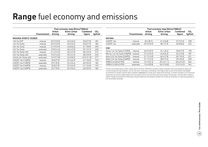## **Range** fuel economy and emissions

|                               |                     |             | Fuel economy mpg (litres/100km) |                 |                 |
|-------------------------------|---------------------|-------------|---------------------------------|-----------------|-----------------|
|                               |                     | Urban       | Extra-urban                     | <b>Combined</b> | CO <sub>2</sub> |
|                               | <b>Transmission</b> | driving     | driving                         | figure          | (g/km)          |
| <b>INSIGNIA SPORTS TOURER</b> |                     |             |                                 |                 |                 |
| 1.8i 16v VVT                  | manual              | 25.9(10.9)  | 45.6(6.2)                       | 35.8(7.9)       | 187             |
| 1.6i 16y Turbo                | manual              | 25.9(10.9)  | 45.6(6.2)                       | 35.8(7.9)       | 186             |
| 2.0i 16y Turbo                | manual              | 21.9(12.9)  | 42.8(6.6)                       | 31.7(8.9)       | 209             |
| 2.0i 16y Turbo                | automatic           | 19.8(14.3)  | 40.4(7.0)                       | 29.1(9.7)       | 228             |
| 2.0i 16y Turbo 4X4            | manual              | 21.4(13.2)  | 40.4(7.0)                       | 30.4(9.3)       | 219             |
| 2.0i 16y Turbo 4X4            | automatic           | 19.5(14.5)  | 39.2(7.2)                       | 28.5(9.9)       | 233             |
| 2.8i V6 24v Turbo 4X4         | automatic           | 15.9 (17.8) | 34.0(8.3)                       | 23.9(11.8)      | 277             |
| 2.0CDTi 16y (130PS)           | manual              | 35.8(7.9)   | 57.6(4.9)                       | 47.1(6.0)       | 159             |
| 2.0CDTi 16y (130PS)           | automatic           | 29.7(9.5)   | 52.3(5.4)                       | 40.9(6.9)       | 182             |
| 2.0CDTi 16y (160PS)           | manual              | 35.8(7.9)   | 57.6(4.9)                       | 47.1(6.0)       | 159             |
| 2.0CDTi 16y (160PS)           | automatic           | 29.7(9.5)   | 52.3(5.4)                       | 40.9(6.9)       | 182             |

|                               |                     |                  | Fuel economy mpg (litres/100km) |                    |                           |
|-------------------------------|---------------------|------------------|---------------------------------|--------------------|---------------------------|
|                               | <b>Transmission</b> | Urban<br>driving | Extra-urban<br>driving          | Combined<br>figure | CO <sub>2</sub><br>(g/km) |
| <b>ANTARA</b>                 |                     |                  |                                 |                    |                           |
| 2.0CDTi 16v                   | manual              | 32.5(8.7)        | 41.5(6.8)                       | 37.2(7.6)          | 198                       |
| 2.0CDTi 16v                   | automatic           | 25.9(10.9)       | 38.7(7.3)                       | 32.8(8.6)          | 225                       |
| <b>VXR</b>                    |                     |                  |                                 |                    |                           |
| Corsa 1.6i 16y Turbo (192PS)  | manual              | 26.9(10.5)       | 44.1(6.4)                       | 35.8(7.9)          | 190                       |
| Meriva 1.6i 16v Turbo (180PS) | manual              | 27.2(10.4)       | 44.8(6.3)                       | 36.2(7.8)          | 187                       |
| Astra 2.0i 16v Turbo (240PS)  | manual              | 21.7(13.0)       | 40.4(7.0)                       | 30.7(9.2)          | 221                       |
| Zafira 2.0i 16y Turbo (240PS) | manual              | 21.1(13.4)       | 38.2(7.4)                       | 29.4(9.6)          | 230                       |
| VXR8 6.2i V8 (431PS)          | manual              | 12.7(22.3)       | 25.4(11.1)                      | 18.6(15.2)         | 364                       |
| VXR8 6.2i V8 (431PS)          | automatic           | 13.6 (20.8)      | 26.2(10.8)                      | 19.5(14.5)         | 345                       |

The fuel consumption figures shown comply with EC directive 1999/100 to provide a realistic indication of fuel consumption by taking into account everyday driving conditions, such as cold starts, acceleration and braking. These figures take account of the vehicle's kerbweight, ascertained in accordance with the above regulation. Important: the results given relate to the particular car tested. Variations in trim level and equipment may result in slightly higher fuel consumption and CO<sub>2</sub> emission levels than those quoted. Driving style, road and traffic conditions, vehicle mileage and standard of maintenance may also affect fuel consumption; therefore the results do not express or imply any guarantee of fuel consumption attainable.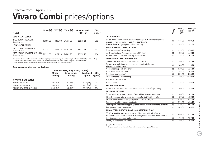### **Vivaro Combi** prices/options Effective from 3 April 2009

| Model                                              | Price $(E)$ | VAT (£) | Total $(E)$ | On-the-road<br>RRP(E) | CO <sub>2</sub><br>$(g/km)^*$ |
|----------------------------------------------------|-------------|---------|-------------|-----------------------|-------------------------------|
| <b>SWB 9-SEAT COMBI</b>                            |             |         |             |                       |                               |
| 2900 2.0CDTI 16y (90PS)<br>Standard roof           | 18900.00    | 2835.00 | 21735.00    | 22645.00              | 202                           |
| LWB 9-SEAT COMBI                                   |             |         |             |                       |                               |
| 2900 2.0CDTI 16y (115PS)<br>Standard roof          | 20315.00    | 304725  | 23362.25    | 24272.25              | 202                           |
| 2900 2.0CDTI 16v (115PS) Tecshift<br>Standard roof | 21115.00    | 3167.25 | 2428225     | 25192.25              | 194                           |

Please note: On-the-road recommended retail prices (RRP) include number plates and delivery to retailer of £645.00 (inc. £84.13 VAT), 12 months' Vehicle Excise Duty (£210.00) and new vehicle first registration fee of £55.00. Excludes fuel and insurance.

 $*$  = CO<sub>2</sub> emission figures. Vehicle Excise Duty is based on CO<sub>3</sub> emissions (see page 2 for details).

#### **Fuel consumption and emissions**

|                              | Fuel economy mpg (litres/100km) |                        |                           |                           |  |
|------------------------------|---------------------------------|------------------------|---------------------------|---------------------------|--|
|                              | <b>Urban</b><br>driving         | Extra-urban<br>driving | <b>Combined</b><br>figure | CO <sub>2</sub><br>(g/km) |  |
| <b>VIVARO 9-SEAT COMBI</b>   |                                 |                        |                           |                           |  |
| 2.0CDTI 16v (90PS)           | 30.7(9.2)                       | 42.2(6.7)              | 37.2(7.6)                 | 202                       |  |
| 2.0CDTI 16y (115PS)          | 30.7(9.2)                       | 42.2(6.7)              | 37.2(7.6)                 | 202                       |  |
| 2.0CDTI 16v (115PS) Tecshift | 34.4(8.2)                       | 40.9(6.9)              | 38.2(7.4)                 | 194                       |  |

|                                                                                                                                            | Compi      | Price $(E)$<br>exc.<br><b>VAT</b> | Total $(E)$<br>inc. VAT |
|--------------------------------------------------------------------------------------------------------------------------------------------|------------|-----------------------------------|-------------------------|
| <b>OPTION PACKS</b>                                                                                                                        |            |                                   |                         |
| Vision Pack • Rain-sensitive windscreen wipers • Automatic lighting<br>control . Front fog lights . Selective door locking                 | Ω          | 165.00                            | 189.75                  |
| Smoker Pack . Cigar lighter . Front ashtray                                                                                                | Ω          | 45.00                             | 51.75                   |
| <b>SAFETY AND SECURITY OPTIONS</b>                                                                                                         |            |                                   |                         |
| Front passengers' twin airbag                                                                                                              | О          | 235.00                            | 270.25                  |
| Electronic Stability Programme-plus (ESP-plus)                                                                                             | $\circ$    | 400.00                            | 460.00                  |
| Remote control ultrasonic security alarm system                                                                                            | Ο          | 175.00                            | 201.25                  |
| <b>INTERIOR AND SEATING OPTIONS</b>                                                                                                        |            |                                   |                         |
| Driver's seat with lumbar adjustment and armrest                                                                                           | Ο          | 50.00                             | 57.50                   |
| Driver's seat and single front passenger's seat with lumbar<br>adjustment and armrest                                                      | ∩          | 100.00                            | 115.00                  |
| Air conditioning - cab area only                                                                                                           | Ο          | 630.00                            | 724.50                  |
| Solar Reflect <sup>®</sup> windscreen                                                                                                      | ∩          | 55.00                             | 63.25                   |
| Additional rear heating <sup>1</sup>                                                                                                       | $\circ$    | 225.00                            | 258.75                  |
| Front and rear air conditioning                                                                                                            | ∩          | 1260.00                           | 1449.00                 |
| <b>MECHANICAL OPTION</b>                                                                                                                   |            |                                   |                         |
| Speed limiter                                                                                                                              | $\circ$    | 75.00                             | 86.25                   |
| <b>REAR DOOR OPTION</b>                                                                                                                    |            |                                   |                         |
| Glazed twin rear doors with heated windows and wash/wipe facility                                                                          | О          | 160.00                            | 184.00                  |
| <b>EXTERIOR OPTIONS</b>                                                                                                                    |            |                                   |                         |
| Sliding windows in nearside and offside sliding side-access doors                                                                          | О          | 140.00                            | 161.00                  |
| 16-inch recessed alloy wheels (steel spare) with 215/65 R 16 tyres                                                                         | $\bigcirc$ | 420.00                            | 483.00                  |
| 16-inch alloy wheels (steel spare) with 215/65 R 16 tyres                                                                                  | $\circ$    | 420.00                            | 483.00                  |
| Two-coat metallic or pearlescent paint                                                                                                     | $\circ$    | 395.00                            | 454.25                  |
| Special paint (restrictions apply – please consult your retailer for availability)                                                         | $\circ$    | 440.00                            | 506.00                  |
| Rear parking distance sensors                                                                                                              | ∩          | 265.00                            | 304.75                  |
| AUDIO, COMMUNICATION AND NAVIGATION OPTIONS                                                                                                |            |                                   |                         |
| CD 70 • Satellite navigation system • CD player with MP3 format<br>• Stereo radio • Colour monitor • Steering wheel mounted audio controls | $\circ$    | 850.00                            | 977.50                  |
| Steering wheel mounted audio controls                                                                                                      | О          | 95.00                             | 109.25                  |
| Factory-fit telephone pre-wiring                                                                                                           | $\bigcirc$ | 80.00                             | 92.00                   |
|                                                                                                                                            |            |                                   |                         |

 $O =$  Optional at extra cost.

1 = Only available in conjunction with front and rear air conditioning on LWB models.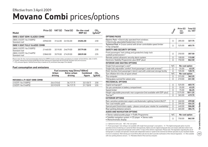### **Movano Combi prices/options** Effective from 3 April 2009

| Model                                        | Price $(E)$ | VAT (£) | Total $(E)$ | On-the-road<br>RRP(E) | CO <sub>2</sub><br>$(g/km)^*$ |
|----------------------------------------------|-------------|---------|-------------|-----------------------|-------------------------------|
| SWB 6-SEAT SEMI-GLAZED COMBI                 |             |         |             |                       |                               |
| 2800 2.5CDTI 16y (100PS)<br>Standard roof    | 20960.00    | 3144 00 | 2410400     | 25204.00              | 230                           |
| SWB 9-SEAT FULLY GLAZED COMBI                |             |         |             |                       |                               |
| 2800 2.5CDTI 16y (100PS)<br>Standard roof    | 21460.00    | 3219.00 | 24679.00    | 25779.00              | 230                           |
| 2800 2.5 CDTI 16 v (146 PS)<br>Standard roof | 23860.00    | 3579.00 | 27439.00    | 28539.00              | 235                           |

Please note: On-the-road recommended retail prices (RRP) include number plates and delivery to retailer of £645.00 (inc. £84.13 VAT), 12 months' Vehicle Excise Duty (£400.00) and new vehicle first registration fee of £55.00. Excludes fuel and insurance.

 $*$  = CO<sub>2</sub> emission figures. Vehicle Excise Duty is based on CO<sub>3</sub> emissions (see page 2 for details).

#### **Fuel consumption and emissions**

|                            | Fuel economy mpg (litres/100km) |                        |                           |                           |  |  |  |  |
|----------------------------|---------------------------------|------------------------|---------------------------|---------------------------|--|--|--|--|
|                            | Urban<br>driving                | Extra-urban<br>driving | <b>Combined</b><br>figure | CO <sub>2</sub><br>(g/km) |  |  |  |  |
| MOVANO 6-/9-SEAT SWB COMBI |                                 |                        |                           |                           |  |  |  |  |
| 2.5CDTI 16v (100PS)        | 26.6(10.6)                      | 36.7(7.7)              | 32.5(8.7)                 | 230                       |  |  |  |  |
| 2.5CDTI 16y (146PS)        | 25.9(10.9)                      | 36.7(7.7)              | 31.7(8.9)                 | 235                       |  |  |  |  |
|                            |                                 |                        |                           |                           |  |  |  |  |

|                                                                                                                                                                                                                                                                                                                                                                                                                                                                                                            | Compty:    | Price $(E)$<br>exc.<br><b>VAT</b> | Total $(E)$<br>inc. VAT |
|------------------------------------------------------------------------------------------------------------------------------------------------------------------------------------------------------------------------------------------------------------------------------------------------------------------------------------------------------------------------------------------------------------------------------------------------------------------------------------------------------------|------------|-----------------------------------|-------------------------|
| <b>OPTIONS PACKS</b>                                                                                                                                                                                                                                                                                                                                                                                                                                                                                       |            |                                   |                         |
| Electric Pack . Electrically operated front windows<br>• Electrically adjustable/heated door mirrors                                                                                                                                                                                                                                                                                                                                                                                                       | $\bigcirc$ | 285.00                            | 327.75                  |
| Technical Pack . Cruise control with driver controllable speed limiter<br>• Trip computer                                                                                                                                                                                                                                                                                                                                                                                                                  | $\bigcirc$ | 525.00                            | 603.75                  |
| <b>SAFETY AND SECURITY OPTIONS</b>                                                                                                                                                                                                                                                                                                                                                                                                                                                                         |            |                                   |                         |
| Front passengers' twin airbag and pyrotechnic body-lock<br>seatbelt pretensioners <sup>1</sup>                                                                                                                                                                                                                                                                                                                                                                                                             | ◯          | 250.00                            | 287.50                  |
| Remote control ultrasonic security alarm system                                                                                                                                                                                                                                                                                                                                                                                                                                                            | O          | 100.00                            | 115.00                  |
| Electronic Stability Programme-plus (ESP-plus)                                                                                                                                                                                                                                                                                                                                                                                                                                                             | Ω          | 750.00                            | 862.50                  |
| <b>INTERIOR AND SEATING OPTIONS</b>                                                                                                                                                                                                                                                                                                                                                                                                                                                                        |            |                                   |                         |
| Single front passenger's seat1                                                                                                                                                                                                                                                                                                                                                                                                                                                                             | N/C        | No-cost option                    |                         |
| Single fully adjustable 'comfort' front passenger's seat with armrest <sup>1</sup>                                                                                                                                                                                                                                                                                                                                                                                                                         | Ω          | 55.00                             | 63.25                   |
| Multi-function front passenger's bench seat with underseat storage facility                                                                                                                                                                                                                                                                                                                                                                                                                                | $\bigcirc$ | 105.00                            | 120.75                  |
| Tyre inflation kit in lieu of spare wheel                                                                                                                                                                                                                                                                                                                                                                                                                                                                  | N/C        | No-cost option                    |                         |
| Trip computer                                                                                                                                                                                                                                                                                                                                                                                                                                                                                              | О          | 315.00                            | 362.25                  |
| Tilting glass sunroof for saloon area                                                                                                                                                                                                                                                                                                                                                                                                                                                                      | Ο          | 210.00                            | 241.50                  |
| <b>MECHANICAL OPTIONS</b>                                                                                                                                                                                                                                                                                                                                                                                                                                                                                  |            |                                   |                         |
| Digital tachograph <sup>2</sup>                                                                                                                                                                                                                                                                                                                                                                                                                                                                            | O          | 525.00                            | 603.75                  |
| Six-pin connection in battery compartment                                                                                                                                                                                                                                                                                                                                                                                                                                                                  | ∩          | 55.00                             | 63.25                   |
| Speed limiter                                                                                                                                                                                                                                                                                                                                                                                                                                                                                              | ∩          | 75.00                             | 86.25                   |
| Height-adjustable pneumatic rear suspension (not available with ESP-plus)                                                                                                                                                                                                                                                                                                                                                                                                                                  | О          | 1575.00                           | 1811.25                 |
| Tow bar <sup>3</sup>                                                                                                                                                                                                                                                                                                                                                                                                                                                                                       | $\bigcirc$ | 365.00                            | 419.75                  |
| <b>EXTERIOR OPTIONS</b>                                                                                                                                                                                                                                                                                                                                                                                                                                                                                    |            |                                   |                         |
| Rain-sensitive windscreen wipers and Automatic Lighting Control (ALC) <sup>4</sup>                                                                                                                                                                                                                                                                                                                                                                                                                         | O          | 260.00                            | 299.00                  |
| Two-coat metallic paint                                                                                                                                                                                                                                                                                                                                                                                                                                                                                    | ◯          | 395.00                            | 454.25                  |
| Special paint (restrictions apply - please consult your retailer for availability)                                                                                                                                                                                                                                                                                                                                                                                                                         | О          | 440.00                            | 506.00                  |
| Rear parking distance sensors                                                                                                                                                                                                                                                                                                                                                                                                                                                                              | O          | 265.00                            | 304.75                  |
| <b>AUDIO AND NAVIGATION OPTIONS</b>                                                                                                                                                                                                                                                                                                                                                                                                                                                                        |            |                                   |                         |
| • Stereo radio/cassette player • Traffic Programme                                                                                                                                                                                                                                                                                                                                                                                                                                                         | N/C        | No-cost option                    |                         |
| • Satellite navigation system • CD player • Stereo radio<br>• Monochromatic display                                                                                                                                                                                                                                                                                                                                                                                                                        | O          | 750.00                            | 862.50                  |
| $O =$ Optional at extra cost. $N/C = No$ -cost option.<br>1 = Front passengers' twin airbag is not available with single front passenger's seat options. 2 = The digital tachograph option must be<br>specified at time of ordering as it cannot be fitted retrospectively. Option price for digital tachograph does not include calibration which must<br>he carried out at an annroved tachograph centre within 1/ days of the vehicle's registration. Please note: The legislation regarding the use of |            |                                   |                         |

40

Car and Accessory Price Guide **Car and Accessory Price Guide**

#### $O = 0p$

1 = Front passengers' twin airbag is not available with single front passenger's seat options. 2 = The digital tachograph option must be specified at time of ordering as it cannot be fitted retrospectively. Option price for digital tachograph does not include calibration which must be carried out at an approved tachograph centre within 14 days of the vehicle's reg tachographs is complex and operators should seek independent advice or speak to the Commercial Vehicle specialist at your Vauxhall retailer to ensure compliance. Alternatively your local DVLA office will also be able to provide clarification of the relevant legislation. 3 = Not available with rear parking distance sensors.  $4 =$  Mandates Electric Pack and trip computer.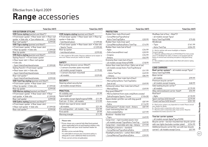### **Range** accessories Effective from 3 April 2009

| Total (inc.VAT)                                             |          |                |  |  |  |  |  |
|-------------------------------------------------------------|----------|----------------|--|--|--|--|--|
| <b>VXR EXTERIOR STYLING</b>                                 |          |                |  |  |  |  |  |
| <b>VXR Corsa styling</b> (painted and fitted*) <sup>1</sup> |          | <b>VXRI</b>    |  |  |  |  |  |
| • Front lower spoiler • Rear lower skirt • Rear roof        |          | • Fror         |  |  |  |  |  |
| spoiler . Side sills . Tyre inflation kit                   | £1399.00 | spoile         |  |  |  |  |  |
| Rear roof spoiler <sup>1</sup>                              | £299.00  | - hatcl        |  |  |  |  |  |
| <b>VXR Tigra styling</b> (painted and fitted*)              |          | $\bullet$ Fron |  |  |  |  |  |
| • Front lower spoiler • Rear lower skirt                    |          | - Spor         |  |  |  |  |  |
| • Rear lip spoiler • Side sills                             | £1399.00 | Rear l         |  |  |  |  |  |
| Rear lip spoiler                                            | £299.00  | - hatcl        |  |  |  |  |  |
| VXR Astra styling (painted and fitted*)                     |          | $1 = Not$      |  |  |  |  |  |
| Styling Pack A <sup>1</sup> . Front lower spoiler           |          | extra co:      |  |  |  |  |  |
| • Rear lower skirt • Rear roof spoiler                      |          |                |  |  |  |  |  |
| • Side sills                                                |          | <b>SAFE</b>    |  |  |  |  |  |
| - Sport Hatch/hatchback/estate                              | £1399.00 | Rear p         |  |  |  |  |  |
| Styling Pack B . Front lower spoiler                        |          | $-2$ ser       |  |  |  |  |  |
| • Rear lower skirt • Side sills                             |          | – all m        |  |  |  |  |  |
| - Sport Hatch/hatchback/estate                              | £1150.00 | – 4 sei        |  |  |  |  |  |
| Rear roof spoiler <sup>1</sup>                              |          | – all m        |  |  |  |  |  |
| - Sport Hatch/hatchback/estate                              | £299.00  |                |  |  |  |  |  |
| <b>VXR TwinTop styling</b> (painted and fitted*)            |          | <b>SECU</b>    |  |  |  |  |  |
| • Front lower spoiler • Rear lower skirt                    |          | Steeri         |  |  |  |  |  |
| • Rear lip spoiler • Side sills                             | £1399.00 | – all m        |  |  |  |  |  |
| Rear lip spoiler                                            | £299.00  |                |  |  |  |  |  |
| <b>VXR Meriva styling</b> (painted and fitted*)             |          | <b>PRAC</b>    |  |  |  |  |  |
| · Front lower spoiler · Rear lower skirt · Rear             |          | Hi-vis         |  |  |  |  |  |
| roof spoiler . Side sills                                   | £1399.00 | Spare          |  |  |  |  |  |
| Rear roof spoiler                                           | £299.00  | – all m        |  |  |  |  |  |
| VXR Zafira styling (painted and fitted*)1                   |          | Fuel c         |  |  |  |  |  |
| • Front lower spoiler • Rear lower skirt                    |          | <b>Stretc</b>  |  |  |  |  |  |
| • Rear roof spoiler • Side sills                            | £1399.00 | – all m        |  |  |  |  |  |
| Rear roof spoiler <sup>1</sup>                              | £299.00  | Fire ex        |  |  |  |  |  |



|                                                                                                                                 | Total (Inc.VAT) |
|---------------------------------------------------------------------------------------------------------------------------------|-----------------|
|                                                                                                                                 |                 |
| <b>VXR Insignia styling</b> (painted and fitted*)                                                                               |                 |
| • Front lower spoiler • Rear lower skirt • Rear lip                                                                             |                 |
| spoiler · Side sills                                                                                                            |                 |
| - hatchback/saloon                                                                                                              | £1399.00        |
| • Front lower spoiler • Rear lower skirt • Side sills                                                                           |                 |
| - Sports Tourer                                                                                                                 | £1399.00        |
| Rear lip spoiler                                                                                                                |                 |
| - hatchback/saloon                                                                                                              | £299.00         |
| 1 = Not suitable for SRi models. Requires additional aerial adaptor at<br>extra cost. Please consult your retailer for details. |                 |
| <b>SAFETY</b>                                                                                                                   |                 |
| Rear parking distance sensor (fitted*)                                                                                          |                 |
| – 2 sensors (number plate mounted)                                                                                              |                 |
| - all models except Insignia                                                                                                    | £179.00         |
| - 4 sensors (bumper mounted)                                                                                                    |                 |
| - all models                                                                                                                    | £229.00         |
|                                                                                                                                 |                 |
| <b>SECURITY</b>                                                                                                                 |                 |
| Steering wheel security bar                                                                                                     |                 |
| - all models except Antara                                                                                                      | £58.99          |
| <b>PRACTICAL</b>                                                                                                                |                 |
| Hi-visibility vest                                                                                                              | £5.99           |
| Spare bulb kit <sup>2</sup>                                                                                                     |                 |
| - all models except Agila/Insignia/VXR8                                                                                         | £11.99          |
| Fuel can - 5-litre - all models                                                                                                 | £13.99          |
| Stretch tow rope (2 tonne rated)                                                                                                |                 |
| - all models                                                                                                                    | £21.99          |
| Fire extinguisher – all models – 1kg                                                                                            | £22.99          |
| First aid kit                                                                                                                   | £9.99           |
| Warning triangle                                                                                                                | £11.99          |
|                                                                                                                                 |                 |

#### Please note:

 It is advisable to ensure your insurance policy is adequate to cover additional fitted accessories. Prices correct at time of publication.

| <b>Total (inc.VAT)</b>        |                                                                                         | <b>Total (inc.VAT)</b> |                                                    | <b>Total (inc.VAT)</b> |                                                                                                                                                   | <b>Total (inc.VAT)</b> |
|-------------------------------|-----------------------------------------------------------------------------------------|------------------------|----------------------------------------------------|------------------------|---------------------------------------------------------------------------------------------------------------------------------------------------|------------------------|
|                               |                                                                                         |                        | <b>PROTECTION</b>                                  |                        |                                                                                                                                                   |                        |
| $\overline{d^*}$ <sup>1</sup> | VXR Insignia styling (painted and fitted*)                                              |                        | Rubber floor mats (front pair)                     |                        | Mudflaps (set of four - fitted*) <sup>4</sup>                                                                                                     |                        |
| kirt • Rear roof              | · Front lower spoiler · Rear lower skirt · Rear lip                                     |                        | - Corsa/Meriva/Tigra/Astra/                        |                        | - all models except Tigra/                                                                                                                        |                        |
| £1399.00                      | spoiler . Side sills                                                                    |                        | Astra TwinTop/Zafira                               | £20.99                 | Astra TwinTop/VXR8                                                                                                                                | £75.00                 |
| £299.00                       | - hatchback/saloon                                                                      | £1399.00               | Rubber floor mats (rear pair)                      |                        | Windbreak                                                                                                                                         |                        |
| $\overline{I^{\star}})$       | · Front lower spoiler · Rear lower skirt · Side sills                                   |                        | - Corsa/Meriva/Astra/Astra TwinTop                 | £14.99                 | - Tigra                                                                                                                                           | £161.99                |
| kirt                          | - Sports Tourer                                                                         | £1399.00               | Rubber floor mats (set of four)                    |                        | - Astra TwinTop                                                                                                                                   | £204.99                |
| £1399.00                      | Rear lip spoiler                                                                        |                        | - Agila                                            | £34.99                 | 2 = Not for vehicles with xenon headlights or Adaptive                                                                                            |                        |
| £299.00                       | - hatchback/saloon                                                                      | £299.00                | - Zafira (second/third row)                        | £20.99                 | Forward Lighting.                                                                                                                                 |                        |
| d*)                           | 1 = Not suitable for SRi models. Requires additional aerial adaptor at                  |                        | - Insignia                                         | £34.99                 | 3 = Requires additional fitting kit at £99.00 (fitted*) for Astra estate<br>and £117.00 (fitted*) for Zafira, if vehicle is not equipped with the |                        |
|                               | extra cost. Please consult your retailer for details.                                   |                        | – Antara                                           | £62.99                 | factory-fit vertical load restraining net option or dog guard fixing                                                                              |                        |
|                               |                                                                                         |                        | Economy floor mats (set of four)                   |                        | points.<br>4 = Not available on some models when fitted with exterior styling                                                                     |                        |
|                               | <b>SAFETY</b>                                                                           |                        | - all models except Antara/VXR8                    | £18.99                 | accessories.                                                                                                                                      |                        |
| £1399.00                      | Rear parking distance sensor (fitted*)                                                  |                        | Velour floor mats (set of four, Zafira set of six) |                        |                                                                                                                                                   |                        |
|                               | - 2 sensors (number plate mounted)                                                      |                        | - all models except Astra TwinTop/Antara/          |                        | <b>LOAD CARRIERS</b>                                                                                                                              |                        |
|                               | - all models except Insignia                                                            | £179.00                | VXR8                                               | £41.99                 | Roof carrier system <sup>5</sup> - all models except Tigra/                                                                                       |                        |
| £1150.00                      | - 4 sensors (bumper mounted)                                                            |                        | - Astra TwinTop                                    | £49.99                 | Astra TwinTop/VXR8                                                                                                                                |                        |
|                               | - all models                                                                            | £229.00                | - Antara                                           | £84.99                 | Base carrier                                                                                                                                      |                        |
| £299.00                       |                                                                                         |                        | Deluxe velour floor mats (set of four)             |                        | - all models                                                                                                                                      | £99.99                 |
| itted*)                       | <b>SECURITY</b>                                                                         |                        | - Meriva/Astra/Astra TwinTop/Zafira                |                        | Premium bicycle carrier <sup>6</sup>                                                                                                              |                        |
| kirt                          | Steering wheel security bar                                                             |                        | (set of six)                                       | £49.99                 | - all models except Insignia                                                                                                                      | £68.99                 |
| £1399.00                      | - all models except Antara                                                              | £58.99                 | Contoured velour floor mats (set of four)          |                        | Side loading bicycle carrier7                                                                                                                     |                        |
| £299.00                       |                                                                                         |                        | - Meriva/Astra                                     | £49.99                 | - all models                                                                                                                                      | £179.99                |
| $ed^*)$                       | <b>PRACTICAL</b>                                                                        |                        | Dog guard (fitted*) <sup>3</sup>                   |                        | Alloy ski/snowboard carrier-fixed <sup>6</sup>                                                                                                    | £55.99                 |
| kirt • Rear                   | Hi-visibility vest                                                                      | £5.99                  | - Meriva (behind front seats only)/Astra estate/   |                        | Roof box <sup>6</sup>                                                                                                                             |                        |
| £1399.00                      | Spare bulb kit <sup>2</sup>                                                             |                        | Zafira/Insignia Sports Tourer                      | £104.00                | - Agila                                                                                                                                           | £170.99                |
| £299.00                       | - all models except Agila/Insignia/VXR8                                                 | £11.99                 | Space divider grid (for use with dog guard)        |                        | Sport roof box (450 litres) <sup>6</sup>                                                                                                          | £279.99                |
| $d^*$ )1                      | Fuel can - 5-litre - all models                                                         | £13.99                 | - Astra estate                                     | £87.99                 | Travel roof box (450 litres) <sup>6</sup>                                                                                                         | £251.99                |
| kirt                          | Stretch tow rope (2 tonne rated)                                                        |                        | – Zafira                                           | £116.99                | 5 = Roof carrier systems vary dependent on model. Please consult                                                                                  |                        |
| £1399.00                      | - all models                                                                            | £21.99                 | FlexOrganiser <sup>®</sup> divider mesh - Antara   | £87.99                 | your retailer for details.                                                                                                                        |                        |
| £299.00                       | Fire extinguisher - all models - 1kg                                                    | £22.99                 | Load-restraining floor net                         |                        | 6 = Must be used in conjunction with a base carrier.<br>7 = Must be used in conjunction with a base carrier. Requires                             |                        |
|                               | First aid kit                                                                           | £9.99                  | - Astra estate/Zafira                              | £27.99                 | installation kit at extra cost of £17.99.                                                                                                         |                        |
|                               | Warning triangle                                                                        | £11.99                 | Bootliner - flexible liner                         |                        |                                                                                                                                                   |                        |
|                               |                                                                                         |                        | – Tigra                                            | £49.99                 | Tow bar carrier system                                                                                                                            |                        |
|                               | Please note:                                                                            |                        | Cargo liner - rigid moulded plastic liner          |                        | - all models except Agila/Tigra/VXR8                                                                                                              |                        |
|                               | * Prices shown are a special fully fitted (and painted,                                 |                        | - all models except Tigra/Astra TwinTop            | £49.99                 | Bicycle carrier - tow bar mounted two-bicycle carrier                                                                                             |                        |
|                               | where applicable) price at participating retailers only.                                |                        | Cargo liner - reversible anti-slip - Antara        | £77.99                 | with rear lights (excludes number plate)                                                                                                          | £254.99                |
|                               | Please check with your local Vauxhall retailer for                                      |                        | Headlight protectors - standard                    |                        | Additional bicycle carrier (for use with two-bicycle                                                                                              |                        |
|                               | details.                                                                                |                        | - Corsa/Meriva/Tigra/Astra/Zafira                  | £39.99                 | carrier) - all models except Corsa                                                                                                                | £67.99                 |
|                               | All other prices exclude fitting.<br>It is advisable to ensure your insurance policy is |                        | Headlight protectors - carbon fibre-effect         |                        |                                                                                                                                                   |                        |
|                               | adequate to cover additional fitted accessories.                                        |                        | - Corsa/Meriva/Tigra/Astra/Zafira                  | £39.99                 |                                                                                                                                                   |                        |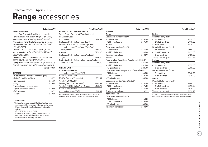### **Range** accessories Effective from 3 April 2009

|                                                       | <b>Total (inc.VAT)</b> |                                                                         | Total (inc.VAT) |                                                    | <b>Total (inc.VAT)</b> |                                                                                | <b>Total (inc.VAT)</b> |
|-------------------------------------------------------|------------------------|-------------------------------------------------------------------------|-----------------|----------------------------------------------------|------------------------|--------------------------------------------------------------------------------|------------------------|
| <b>MOBILE PHONES</b>                                  |                        | <b>ESSENTIAL ACCESSORY PACKS</b>                                        |                 | <b>TOWING</b>                                      |                        |                                                                                |                        |
| Hands-free Bluetooth <sup>®</sup> mobile phone cradle |                        | Safety Pack - First aid kit/Warning triangle/                           |                 | Corsa                                              |                        | <b>Zafira</b>                                                                  |                        |
| - only available with factory-fit option on Corsa/    |                        | Hi-visibility vest                                                      |                 | Detachable tow bar (fitted*)                       |                        | Fixed tow bar (fitted*)                                                        |                        |
| Meriva/Astra/Astra TwinTop/Zafira/Insignia/           |                        | - all models                                                            | £24.99          | - 12N electrics                                    | £460.00                | -12N electrics                                                                 | £335.00                |
| Antara. Suitable for the following mobile phones:     |                        | Protection Pack - Velour mats (four)/                                   |                 | - 12N/12S electrics                                | £495.00                | -12N/12S electrics                                                             | £415.00                |
| - Motorola V400/500/525/550/600/620/635/              |                        | Mudflaps (set of four – fitted*)/Cargo liner                            |                 | <b>Meriva</b>                                      |                        | - 13-pin electrics                                                             | £375.00                |
| L2/L6/L7/SLVR                                         |                        | - all models except Tigra/Astra TwinTop/                                |                 | Detachable tow bar (fitted*)                       |                        | Detachable tow bar (fitted*)                                                   |                        |
| - Nokia 3100/6100/6020/6021/6151/6220                 |                        | VXR8/Antara                                                             | £160.00         | - 12N electrics                                    | £460.00                | -12N electrics                                                                 | £460.00                |
| (excl. Classic)/6230/6233/6234/6310(i)/6610/          |                        | – Antara                                                                | £200.00         | -12N/12S electrics                                 | £495.00                | -12N/12S electrics                                                             | £495.00                |
| 6820/7210/7250(i)                                     |                        | Protection Pack - Velour mats/Windbreak                                 |                 | Towing mirrors (pair)                              | £132.99                | -13-pin electrics                                                              | £480.00                |
| - Siemens C65/CX65/M55/M65/S55/S65/S68/               |                        | – Tigra                                                                 | £195.00         | Astra <sup>9</sup>                                 |                        | Towing mirrors (pair)                                                          | £132.99                |
| C55/CX70/SP65/C75/CX75/M75/S75                        |                        | Protection Pack - Deluxe velour mats/Windbreak                          |                 | Fixed tow bar (Sport Hatch/hatch/estate) (fitted*) |                        | Insignia                                                                       |                        |
| - Sony-Ericsson K510i/K610i/K700i/K750i/K800i/        |                        | – Astra TwinTop                                                         | £245.00         | - 12N electrics                                    | £245.00                | Fixed tow bar (fitted*)                                                        |                        |
| T610/T630/W310i/W510i/W700i/W800i/W810i               |                        |                                                                         |                 | - 12N/12S electrics                                | £325.00                | - 12N electrics                                                                | £375.00                |
|                                                       | from £103.99           | <b>CHILD SEATS8</b>                                                     |                 | - 13-pin electrics                                 | £285.00                | - 13-pin electrics                                                             | £395.00                |
|                                                       |                        | <b>Vauxhall child seats</b>                                             |                 | Detachable tow bar (Sport Hatch/hatch) (fitted*)   |                        | Detachable tow bar (fitted*)                                                   |                        |
| <b>INTERIOR</b>                                       |                        | - all models except Tigra/VXR8                                          |                 | -12N electrics                                     | £460.00                | -12N electrics                                                                 | £540.00                |
| Privacy shades - rear side windows (pair)             |                        | Vauxhall BABY-SAFE                                                      |                 | - 12N/12S electrics                                | £495.00                | -13-pin electrics                                                              | £575.00                |
| – Agila/Corsa/Meriva/Astra                            | £39.99                 | (0-13kg/birth to 15 months)                                             | £91.99          | -13-pin electrics                                  | £480.00                | Antara                                                                         |                        |
| – Zafira/Antara                                       | £44.99                 | Vauxhall DUO ISOFIX                                                     |                 | Detachable tow bar (estate) (fitted*)              |                        | Detachable tow bar (fitted*)                                                   |                        |
| – Insignia                                            | £49.99                 | (9-18kg/9 months to 4 years)                                            | £260.99         | - 12N electrics                                    | £460.00                | -12N electrics                                                                 | £540.00                |
| Privacy shades - tailgate (pair)                      |                        | Vauxhall KID (15-36kg/4 to 12 years)                                    | £123.99         | -12N/12S electrics                                 | £495.00                | -12N/12S electrics                                                             | £595.00                |
| - Agila/Corsa/Meriva/Astra                            | £49.99                 | Vauxhall baby mirror                                                    |                 | -13-pin electrics                                  | £480.00                | - 13-pin electrics                                                             | £575.00                |
| – Zafira/Antara                                       | £54.99                 | - all models except VXR8                                                | £12.99          | Towing mirrors (pair)                              | £132.99                | Towing mirrors (pair)                                                          | £132.99                |
| – Insignia                                            | £59.99                 | $B =$ Restrictions apply to the use of child seats, please consult your |                 | <b>Astra TwinTop</b>                               |                        | $9 = \Delta$ stra 1 $\Delta/1$ 6 models require additional components at extra |                        |

8 = Restrictions apply to the use of child seats, please consult your Vauxhall retailer or request a copy of the Child seats brochure.

#### Please note:

\* Prices shown are a special fully fitted (and painted, where applicable) price at participating retailers only. Please check with your local Vauxhall retailer for details. All other prices exclude fitting. It is advisable to ensure your insurance policy is

adequate to cover additional fitted accessories. Prices correct at time of publication.

Detachable tow bar (fitted\*) – 12N electrics £460.00– 12N/12S electrics £495.00

> – 13-pin electrics £480.00 Towing mirrors (pair) £132.99

| l (inc.VAT) |                                                                 | Total (inc.VAT) |
|-------------|-----------------------------------------------------------------|-----------------|
|             | Zafira                                                          |                 |
|             | Fixed tow bar (fitted*)                                         |                 |
| £460.00     | -12N electrics                                                  | £335.00         |
| £495.00     | -12N/12S electrics                                              | £415.00         |
|             | - 13-pin electrics                                              | £375.00         |
|             | Detachable tow bar (fitted*)                                    |                 |
| £460.00     | - 12N electrics                                                 | £460.00         |
| £495.00     | - 12N/12S electrics                                             | £495.00         |
| £132.99     | - 13-pin electrics                                              | £480.00         |
|             | Towing mirrors (pair)                                           | £132.99         |
| (fitted*)   | <b>Insignia</b>                                                 |                 |
| £245.00     | Fixed tow bar (fitted*)                                         |                 |
| £325.00     | -12N electrics                                                  | £375.00         |
| £285.00     | - 13-pin electrics                                              | £395.00         |
| itted*)     | Detachable tow bar (fitted*)                                    |                 |
| £460.00     | -12N electrics                                                  | £540.00         |
| £495.00     | - 13-pin electrics                                              | £575.00         |
| £480.00     | Antara                                                          |                 |
|             | Detachable tow bar (fitted*)                                    |                 |
| £460.00     | - 12N electrics                                                 | £540.00         |
| £495.00     | - 12N/12S electrics                                             | £595.00         |
| £480.00     | - 13-pin electrics                                              | £575.00         |
| £132.99     | Towing mirrors (pair)                                           | £132.99         |
|             | 9 = Astra 1.4/1.6 models require additional components at extra |                 |

9 = Astra 1.4/1.6 models require additional components at extra cost. Please consult your retailer for further details and prices.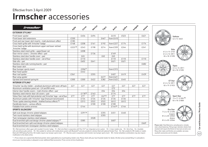### **Irmscher** accessoriesEffective from 3 April 2009

| irmscher                                                                     | Agila  | Corsa  | Meriva | Tigra | Astra     | Zafira | Insignia | Antara |
|------------------------------------------------------------------------------|--------|--------|--------|-------|-----------|--------|----------|--------|
| <b>EXTERIOR STYLING*</b>                                                     |        |        |        |       |           |        |          |        |
| Front lower spoiler                                                          |        | £456   | £494   |       | £410      | £523   |          | £621   |
| Front lower skirt extensions                                                 | £330   |        |        | £467  | from £410 |        |          |        |
| Front and rear lower skirt inserts – matt aluminium-effect                   | £185   |        |        |       |           |        |          |        |
| Cross hatch grille with 'Irmscher' badge                                     | £168   | £208   | £161   | £192  | from £227 | £174   |          | £174   |
| Cross hatch grille with aluminium upper and laser-etched<br>'Irmscher' badge | £22310 | £243   | £198   | £214  | from £339 | £244   |          | £241   |
| Stainless steel mesh grille - upper/lower set                                |        | £208   |        |       |           |        |          |        |
| Door mirror covers - chrome-effect - pair                                    |        |        | £136   |       | £169      |        |          |        |
| Stainless steel door handle cover - pair                                     |        | £65    |        | £65   | £65       |        |          |        |
| Stainless steel door handle cover - set of four                              |        | £110   |        |       | £110      | £110   |          | £110   |
| Side sills - pair                                                            |        | £602   | £641   |       | £621      | £621   |          |        |
| Stainless steel side running boards - pair                                   |        |        |        |       |           |        |          | £682   |
| Rear lower skirt                                                             |        |        |        |       |           |        |          |        |
| Rear bumper sports insert                                                    |        | £30611 |        |       | from £315 |        |          |        |
| Rear hood spoiler                                                            |        | £442   |        |       |           |        |          |        |
| Rear roof spoiler                                                            | £361   |        | £355   |       | £407      | £419   |          | £439   |
| Rear wing spoiler                                                            |        |        |        | £477  | from £421 |        |          |        |
| Uprated and lowered spring kit                                               | £300   | £300   | £422   | £382  | from £422 | £445   |          |        |
| <b>INTERIOR STYLING*</b>                                                     |        |        |        |       |           |        |          |        |
| 'Irmscher' tax disc holder – anodised aluminium with twist-off back          | £27    | £27    | £27    | £27   | £27       | £27    | £27      | £27    |
| Aluminium ventilation panel set - LH and RH vents                            |        |        |        |       | E72       |        |          |        |
| Interior door handle covers - matt chrome-effect - pair                      |        |        |        | £54   | £54       | £54    |          |        |
| Stainless steel interior door sill covers - pair                             |        | £17812 | £163   |       | £174      |        |          |        |
| Velour floor mats with heel protector and 'Irmscher' logo - set of four      | £77    | £77    | £77    | E6713 | £77       | £77    | £77      | £77    |
| Aluminium pedals with 'Irmscher' logo (manual transmission)                  |        | £134   | £134   | £134  | £134      | £134   |          |        |
| Three-spoke steering wheels - leather/various effects <sup>14</sup>          |        | £313   | £522   | £522  | £612      | £612   |          |        |
| Handbrake levers - various effects                                           |        |        | £100   | £100  | £100      |        |          |        |
| Foldable front centre armrest                                                |        | £144   |        |       | £14415    | £144   |          |        |
| <b>SPORTS SILENCERS*</b>                                                     |        |        |        |       |           |        |          |        |
| Split oval design chrome-plated tailpipes                                    |        | £39116 |        | £355  | £451      | £440   |          |        |
| Twin round stainless steel tailpipes                                         |        |        |        | £355  |           |        |          |        |
| Twin rectangular stainless steel tailpipes                                   |        |        | £528   |       |           |        |          |        |
| Dual branched split oval design chrome-plated tailpipes 17                   |        | £585   |        |       | £607      |        |          |        |
| Dual branched twin split oval design chrome-plated tailpipes                 |        |        |        |       |           |        |          | £669   |
| Dual branched twin rectangular stainless steel tailpipes                     |        |        |        |       |           |        |          |        |

10 = Matt aluminium-effect upper with moulded 'Irmscher' badge. 11 = Not to be fitted in conjunction with Flex-Fix® rear integrated carrier system. 12 = 3-door models only. 13 = Set of two. 14 = Available with and without audio controls. 15 = Not suitable for vehicles with mobile phone system with Bluetooth® and only suitable for vehicles fitted with optional Smoker Pack. 16 = Not suitable for SRi models or models fitted with VXR Styling Pack One. SXi models require rear bumper sports insert. 17 = Must be used in conjunction with Irmscher rear bumper sports insert. 18 = Certain wheel/tyre combinations may also require modification to the wheel arches.

\* = Prices shown are a special fully fitted (and painted, where applicable) price at participating retailers only. Please check with your local Vauxhall retailer for details. All other prices exclude fitting. It is advisab ensure your insurance policy is adequate to cover additional fitted accessories. Prices correct at time of publication.



**Car and Accessory Price Guide**

vauxhall-accessories.com for details.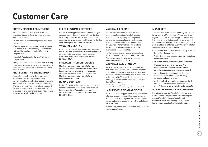# **Customer Care**

#### **CUSTOMER CARE COMMITMENT**

For added peace of mind, Vauxhall has an innovative Customer Care Commitment\* that offers the following:

- A one-year unlimited mileage manufacturer's warranty
- Second and third year no-fee customer option warranty up to 60,000 miles (100,000 miles Vivaro/Movano Combi models) from first registration
- Vauxhall Assistance for 12 months from first registration
- Six years' body panel anti-perforation warranty
- \* = Warranty is only on vehicles sourced from General Motors UK Limited. Terms and conditions apply – please see your Vauxhall retailer for details.

#### **PROTECTING THE ENVIRONMENT**

Vauxhall's commitment to the environment is demonstrated by our products' many environmental awards. Further details, including new initiatives such as our innovative Recycling Allowance programme, are available on page 3. For even more information on Vauxhall's efforts to achieve an environmentally sustainable future, see www.vauxhall.co.uk/recycling

#### **FLEET CUSTOMER SERVICES**

Our dedicated support services for fleet managers includes factory demonstrators, a three-day test drive programme and information on whole life costs, company car taxation and finance. For further information please call **0870 010 0651.**

#### **VAUXHALL RENTAL**

A nationwide network guarantees well prepared and maintained Vauxhalls for rental at competitive rates which include insurance and Vauxhall Assistance. For further information please call **0870 442 1567.**

#### **SPECIALIST MOBILITY ADVICE**

Motability accredited Vauxhall retailers can provide special mobility help and advice. Blue badge holders are entitled to very favourable discounts on new vehicles. Contact your local Motability accredited Vauxhall retailer or Freefone **0800 731 5267.**

#### **BUYING YOUR CAR**

GMAC offers one of the most comprehensive and competitive ranges of financing plans in the UK. Contact your local Vauxhall retailer for details or call the GMAC customer service centre on **0845 712 3444**.

#### **VAUXHALL LEASING**

As Vauxhall's own contract hire and fleet management operation, Vauxhall Leasing provides a one-stop-shop for competitive car and van leasing solutions – for business users and private individuals. Working with the Vauxhall retailer network, we combine the support of a national contract with the convenience of a local contact.

For further information, please see your local Vauxhall retailer or call us on **0870 737 2557.**Alternatively, you can visit our website at www.vauxhall-leasing.co.uk

#### **VAUXHALL ASSISTANCE\*\***

Vauxhall Assistance is provided automatically with every new Vauxhall for 12 months from first registration and covers everything from accident assistance, roadside recovery and 'at home' service to flat tyres. With Vauxhall Assistance help is literally just a free† phone call away, 24 hours a day, 365 days a year!

- \*\* = Conditions may apply to Combi models.
- † = Mobile phone users will be charged at their standard tariff.

#### **IN THE EVENT OF AN ACCIDENT...**

Vauxhall Accident Support helps keep you mobile following an accident. Benefits include scene-ofaccident advice, message service, assistance with claims and vehicle recovery. For further details call **0800 010 304.**

Alternatively, details can be found on our website at www.vauxhall.co.uk

#### **MASTERFIT**

Vauxhall's MasterFit retailers offer a great service for owners of all Vauxhall cars. Value for money, regular offers and free check-ups, combined with the peace of mind that comes from using trained technicians and genuine parts, help keep your car in peak condition at all times. Every MasterFit retailer supports our customer promise:

- Convenience for our customers in every aspect of the MasterFit experience
- Professional advice on what work is essential and what is desirable
- Value assured by our monthly local price check
- Transparent pricing and invoicing. Any amendments or variations to work will be agreed with the customer before it is started
- Latest diagnostic equipment used on your Vauxhall to maintain its safety, reliability, emissions and performance
- Vehicle and software enhancements advised on Vauxhall's database will be carried out free-of-charge, www.vauxhall.co.uk/masterfit

#### **FOR MORE PRODUCT INFORMATION**

For a brochure on any Vauxhall model (up to a maximum of three per caller) or location of your nearest Vauxhall retailer please Lo-call **0845 600 1500.** Alternatively, details can be found on our website at www.vauxhall.co.uk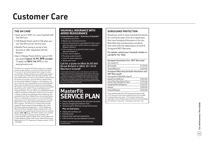# **Customer Care**

#### **THE GM CARD**

- Save up to £1500\* on a new Vauxhall with The GM Card
- 100 Rebate Points worth £100 when you use The GM Card for the first time
- Rebate Point saving is on top of any discount or offer negotiated with the Retailer
- Earn 3 Rebate Points (£3) for every £100 you spend **Typical 14.9% APR variable** To apply call **0845 746 2777** or visit www.gmcard.co.uk

The GM Card is issued by HFC Bank Limited and is available to persons aged 18 years or over and resident in the UK (or 21 and over in the Channel Islands) and is subject to status and conditions. Written quotations are available upon request from The GM Card, PO Box 3615, Birmingham B3 2RJ. The typical APR quoted is the rate for new customers. Rebate Points are earned on purchases using The GM Card. Rebate Points are not earned on Balance Transfers or Cash Advances. You earn money off a new Vauxhall/Saab by accumulating Rebate Points under the Rebate Points Programme. General Motors UK Limited is solely responsible for the operation of the Rebate Points Programme, which is subject to the Rebate Points Programme Rules. \*You can redeem up to 2500 Rebate Points subject to the Model Line Maximum which will vary in amount in relation to different Vauxhall/Saab vehicle model lines and unlimited Partner Points. Rebate Points and unlimited Partner Points are redeemable as discounts on a new Vauxhall/Saab vehicle and must be redeemed four years from the issue date. Rebate Points may not be redeemed by Motability Contract Hire customers. 'The GM Card' is a trading name and style of both HFC Bank Limited and General Motors UK Limited. HFC Bank registered in England No. 1117305. Registered Office: North Street, Winkfield, Windsor, Berkshire SL4 4TD is authorised and regulated by the Financial Services Authority . HFC Bank Limited is not a member of the same group of companies as General Motors UK Limited, Saab GB Limited or GMAC UK plc. General Motors UK Limited, Registered Office: Griffin House, Osborne Road, Luton, Bedfordshire LU1 3YT. Registered in England number 135767. – CN6/0987.

#### **VAUXHALL INSURANCE WITH ADDED REASSURANCE**

#### Comprehensive cover  $-$  Summary of benefits\* • Competitive premiums

- Repairs by a Vauxhall technician
- Genuine Vauxhall parts, guaranteed for three years when we repair your vehicle within our Approved Repairer Network
- Free courtesy car as standard when using an Approved Repairer\*\*
- 24 hour claims helpline
- Personal accident benefit
- Cover for audio equipment
- Windscreen cover

#### Call for a quote on 0844 84 85 840 (Great Britain) or 0845 351 3410 (Northern Ireland)†

 $^{\star}$  The benefits listed above are for comprehensive cover only. For details of third party, fire and theft cover, please call our sales team. \*\* Should your car need repairing following an accident, we provide a courtesy car (subject to availability) for the duration of the repair. Only genuine Vauxhall parts are used. Terms and conditions apply. † Calls may be recorded. Vauxhall Motor Insurance is underwritten and administered by Provident Insurance plc (Great Britain) and AXA Insurance Limited (Northern Ireland).

#### **MasterFit SERVICE PLAN**

- Fixed monthly payments for the plan duration
- Easy to budget and interest-free
- Genuine parts fitted by trained technicians

#### **Plus on Gold plans:**

- Valet and courtesy car
- Full AA cover
- Engine flush and fuel treatments
- Litre of oil for top ups between services

Full details can be obtained from your local participating Vauxhall retailer.

#### **SUREGUARD PROTECTION**

Should you wish to enjoy Vauxhall Assistance for a full three years from first registration, then new Sureguard Assistance is for you. Both Warranty and Assistance products now come with the added peace of mind of Sureguard MOT Warranty.

For details contact your Vauxhall retailer or call 0870 752 7020.

| <b>Sureguard Assistance (inc. MOT Warranty)</b><br>36 monthstt |         |
|----------------------------------------------------------------|---------|
| All models                                                     | £139.00 |
| Vivaro/Movano                                                  | £225.00 |
| Sureguard Warranty (includes Assistance and<br>MOT Warranty)‡  |         |
| 48 monthstt/60,000 milestt<br>Agila/Corsa/Meriva               | £325.00 |
| Astra/TwinTop/Zafira/Tigra                                     | £375.00 |
| Insignia/Vectra/Signum                                         | £425.00 |
| Antara                                                         | £599.00 |
| Vivaro/Movano                                                  | £635.00 |

Prices quoted include VAT or IPT (Sureguard Assistance only) at 15% and were correct at time of going to press but are subject to change without prior notice. †† From date of vehicle's first registration. Cover will expire at the end of the cover period/mileage limit whichever is the sooner. ‡ Assistance cover year 4 only.